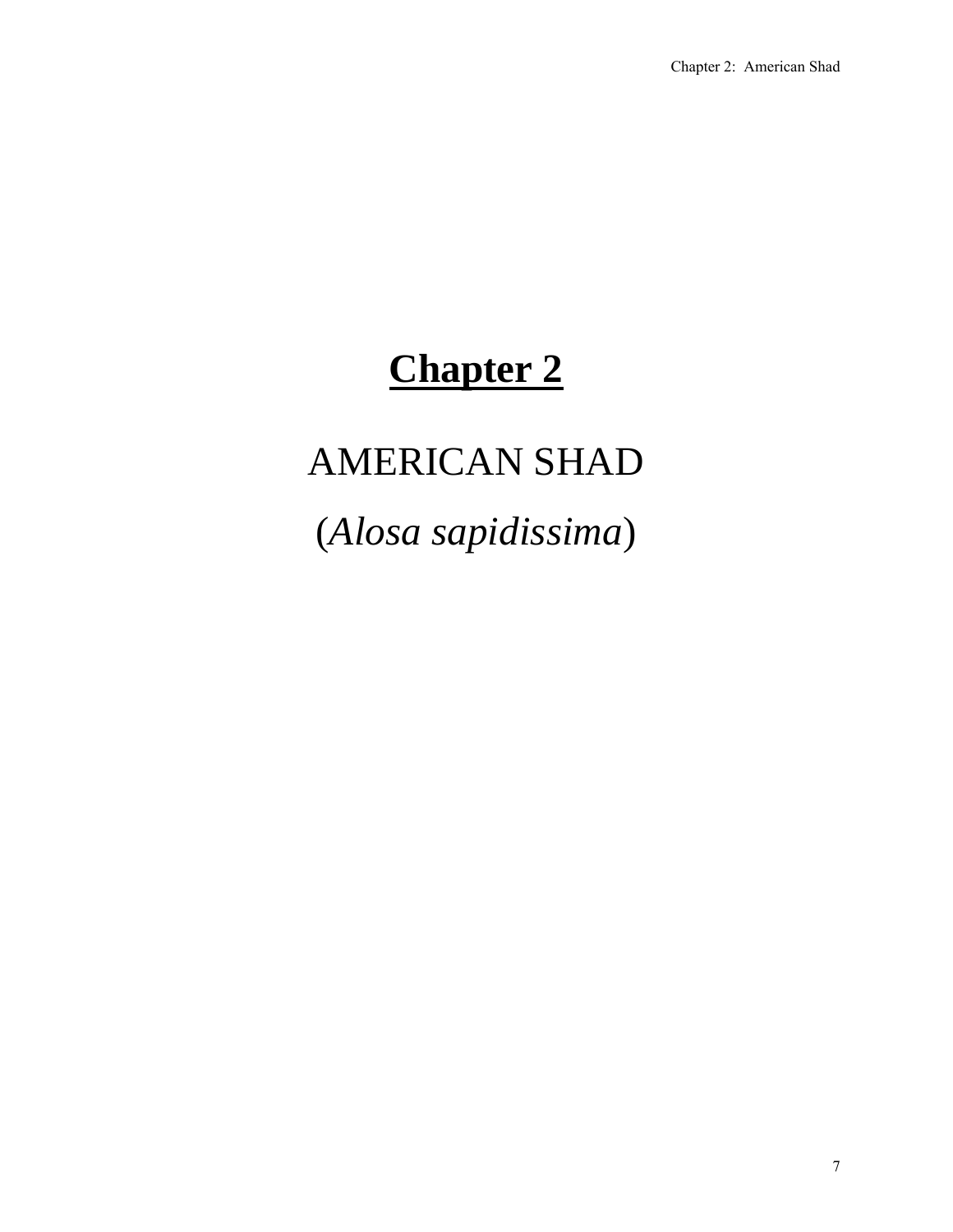# **Chapter 2**

# AMERICAN SHAD

(*Alosa sapidissima*)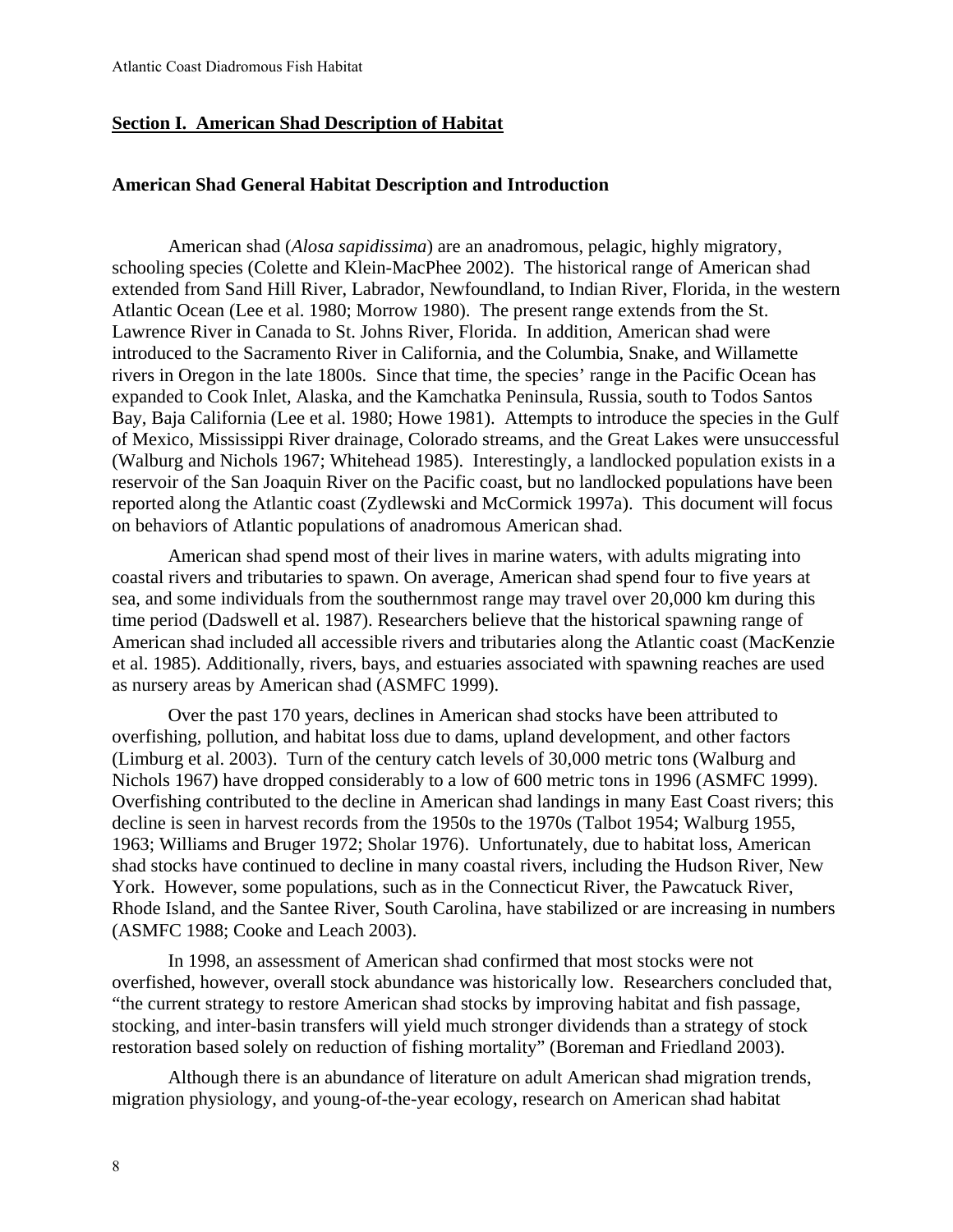## **Section I. American Shad Description of Habitat**

#### **American Shad General Habitat Description and Introduction**

American shad (*Alosa sapidissima*) are an anadromous, pelagic, highly migratory, schooling species (Colette and Klein-MacPhee 2002). The historical range of American shad extended from Sand Hill River, Labrador, Newfoundland, to Indian River, Florida, in the western Atlantic Ocean (Lee et al. 1980; Morrow 1980). The present range extends from the St. Lawrence River in Canada to St. Johns River, Florida. In addition, American shad were introduced to the Sacramento River in California, and the Columbia, Snake, and Willamette rivers in Oregon in the late 1800s. Since that time, the species' range in the Pacific Ocean has expanded to Cook Inlet, Alaska, and the Kamchatka Peninsula, Russia, south to Todos Santos Bay, Baja California (Lee et al. 1980; Howe 1981). Attempts to introduce the species in the Gulf of Mexico, Mississippi River drainage, Colorado streams, and the Great Lakes were unsuccessful (Walburg and Nichols 1967; Whitehead 1985). Interestingly, a landlocked population exists in a reservoir of the San Joaquin River on the Pacific coast, but no landlocked populations have been reported along the Atlantic coast (Zydlewski and McCormick 1997a). This document will focus on behaviors of Atlantic populations of anadromous American shad.

American shad spend most of their lives in marine waters, with adults migrating into coastal rivers and tributaries to spawn. On average, American shad spend four to five years at sea, and some individuals from the southernmost range may travel over 20,000 km during this time period (Dadswell et al. 1987). Researchers believe that the historical spawning range of American shad included all accessible rivers and tributaries along the Atlantic coast (MacKenzie et al. 1985). Additionally, rivers, bays, and estuaries associated with spawning reaches are used as nursery areas by American shad (ASMFC 1999).

Over the past 170 years, declines in American shad stocks have been attributed to overfishing, pollution, and habitat loss due to dams, upland development, and other factors (Limburg et al. 2003). Turn of the century catch levels of 30,000 metric tons (Walburg and Nichols 1967) have dropped considerably to a low of 600 metric tons in 1996 (ASMFC 1999). Overfishing contributed to the decline in American shad landings in many East Coast rivers; this decline is seen in harvest records from the 1950s to the 1970s (Talbot 1954; Walburg 1955, 1963; Williams and Bruger 1972; Sholar 1976). Unfortunately, due to habitat loss, American shad stocks have continued to decline in many coastal rivers, including the Hudson River, New York. However, some populations, such as in the Connecticut River, the Pawcatuck River, Rhode Island, and the Santee River, South Carolina, have stabilized or are increasing in numbers (ASMFC 1988; Cooke and Leach 2003).

In 1998, an assessment of American shad confirmed that most stocks were not overfished, however, overall stock abundance was historically low. Researchers concluded that, "the current strategy to restore American shad stocks by improving habitat and fish passage, stocking, and inter-basin transfers will yield much stronger dividends than a strategy of stock restoration based solely on reduction of fishing mortality" (Boreman and Friedland 2003).

Although there is an abundance of literature on adult American shad migration trends, migration physiology, and young-of-the-year ecology, research on American shad habitat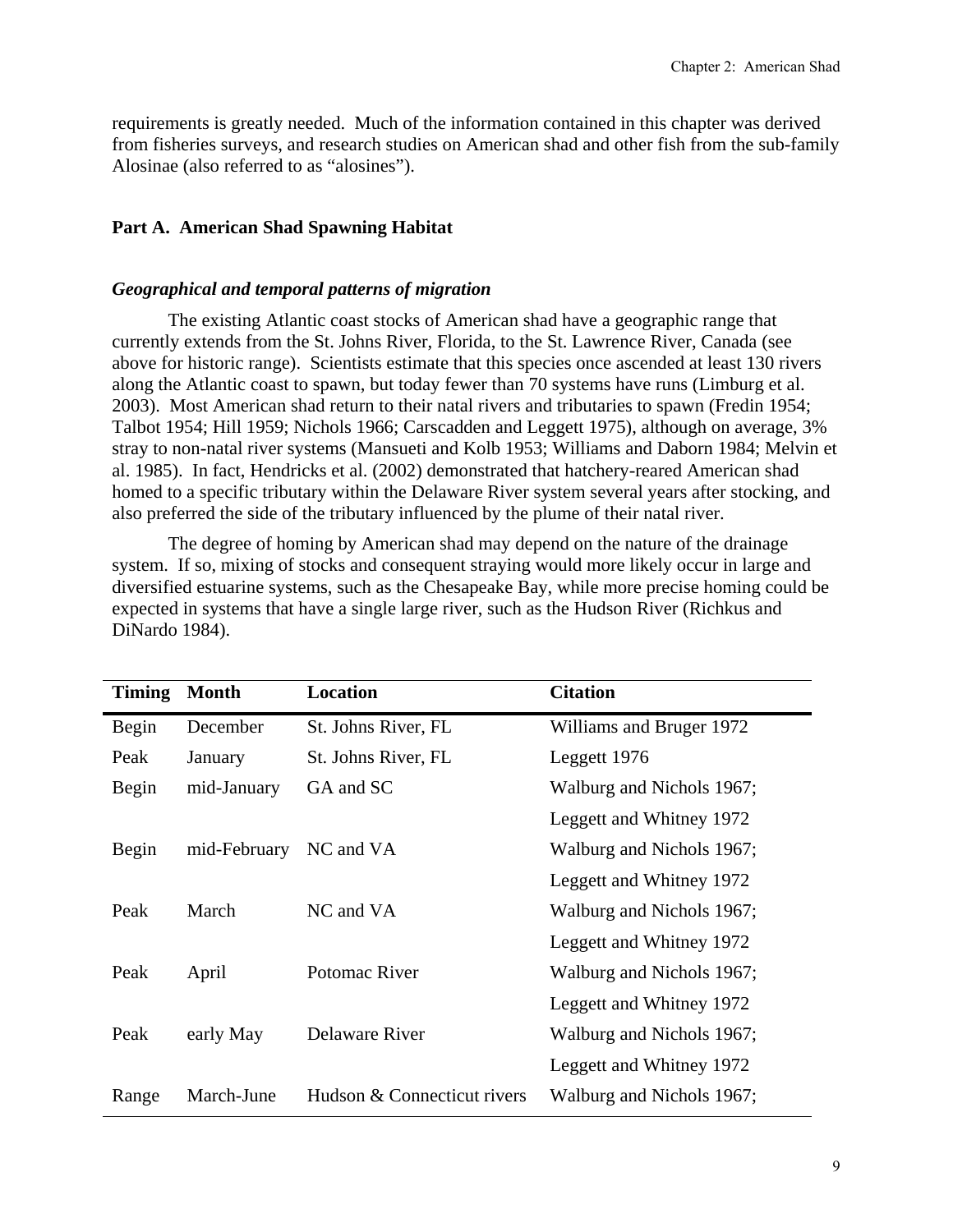requirements is greatly needed. Much of the information contained in this chapter was derived from fisheries surveys, and research studies on American shad and other fish from the sub-family Alosinae (also referred to as "alosines").

# **Part A. American Shad Spawning Habitat**

## *Geographical and temporal patterns of migration*

The existing Atlantic coast stocks of American shad have a geographic range that currently extends from the St. Johns River, Florida, to the St. Lawrence River, Canada (see above for historic range). Scientists estimate that this species once ascended at least 130 rivers along the Atlantic coast to spawn, but today fewer than 70 systems have runs (Limburg et al. 2003). Most American shad return to their natal rivers and tributaries to spawn (Fredin 1954; Talbot 1954; Hill 1959; Nichols 1966; Carscadden and Leggett 1975), although on average, 3% stray to non-natal river systems (Mansueti and Kolb 1953; Williams and Daborn 1984; Melvin et al. 1985). In fact, Hendricks et al. (2002) demonstrated that hatchery-reared American shad homed to a specific tributary within the Delaware River system several years after stocking, and also preferred the side of the tributary influenced by the plume of their natal river.

The degree of homing by American shad may depend on the nature of the drainage system. If so, mixing of stocks and consequent straying would more likely occur in large and diversified estuarine systems, such as the Chesapeake Bay, while more precise homing could be expected in systems that have a single large river, such as the Hudson River (Richkus and DiNardo 1984).

| <b>Timing</b> | <b>Month</b> | Location                    | <b>Citation</b>           |
|---------------|--------------|-----------------------------|---------------------------|
| Begin         | December     | St. Johns River, FL         | Williams and Bruger 1972  |
| Peak          | January      | St. Johns River, FL         | Leggett 1976              |
| Begin         | mid-January  | GA and SC                   | Walburg and Nichols 1967; |
|               |              |                             | Leggett and Whitney 1972  |
| Begin         | mid-February | NC and VA                   | Walburg and Nichols 1967; |
|               |              |                             | Leggett and Whitney 1972  |
| Peak          | March        | NC and VA                   | Walburg and Nichols 1967; |
|               |              |                             | Leggett and Whitney 1972  |
| Peak          | April        | Potomac River               | Walburg and Nichols 1967; |
|               |              |                             | Leggett and Whitney 1972  |
| Peak          | early May    | Delaware River              | Walburg and Nichols 1967; |
|               |              |                             | Leggett and Whitney 1972  |
| Range         | March-June   | Hudson & Connecticut rivers | Walburg and Nichols 1967; |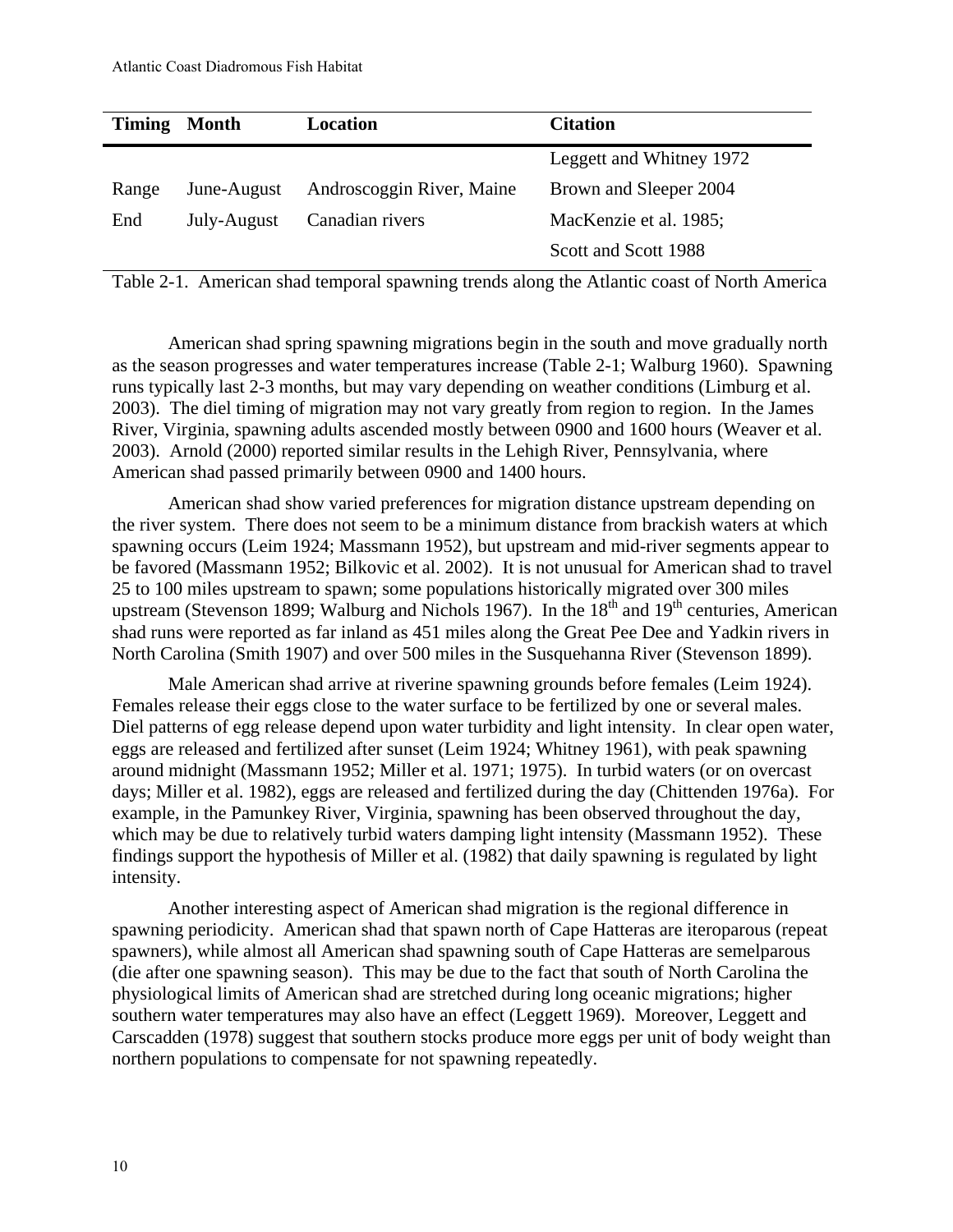| Timing | <b>Month</b> | Location                  | <b>Citation</b>          |
|--------|--------------|---------------------------|--------------------------|
|        |              |                           | Leggett and Whitney 1972 |
| Range  | June-August  | Androscoggin River, Maine | Brown and Sleeper 2004   |
| End    | July-August  | Canadian rivers           | MacKenzie et al. 1985;   |
|        |              |                           | Scott and Scott 1988     |

Table 2-1. American shad temporal spawning trends along the Atlantic coast of North America

American shad spring spawning migrations begin in the south and move gradually north as the season progresses and water temperatures increase (Table 2-1; Walburg 1960). Spawning runs typically last 2-3 months, but may vary depending on weather conditions (Limburg et al. 2003). The diel timing of migration may not vary greatly from region to region. In the James River, Virginia, spawning adults ascended mostly between 0900 and 1600 hours (Weaver et al. 2003). Arnold (2000) reported similar results in the Lehigh River, Pennsylvania, where American shad passed primarily between 0900 and 1400 hours.

American shad show varied preferences for migration distance upstream depending on the river system. There does not seem to be a minimum distance from brackish waters at which spawning occurs (Leim 1924; Massmann 1952), but upstream and mid-river segments appear to be favored (Massmann 1952; Bilkovic et al. 2002). It is not unusual for American shad to travel 25 to 100 miles upstream to spawn; some populations historically migrated over 300 miles upstream (Stevenson 1899; Walburg and Nichols 1967). In the  $18<sup>th</sup>$  and 19<sup>th</sup> centuries, American shad runs were reported as far inland as 451 miles along the Great Pee Dee and Yadkin rivers in North Carolina (Smith 1907) and over 500 miles in the Susquehanna River (Stevenson 1899).

Male American shad arrive at riverine spawning grounds before females (Leim 1924). Females release their eggs close to the water surface to be fertilized by one or several males. Diel patterns of egg release depend upon water turbidity and light intensity. In clear open water, eggs are released and fertilized after sunset (Leim 1924; Whitney 1961), with peak spawning around midnight (Massmann 1952; Miller et al. 1971; 1975). In turbid waters (or on overcast days; Miller et al. 1982), eggs are released and fertilized during the day (Chittenden 1976a). For example, in the Pamunkey River, Virginia, spawning has been observed throughout the day, which may be due to relatively turbid waters damping light intensity (Massmann 1952). These findings support the hypothesis of Miller et al. (1982) that daily spawning is regulated by light intensity.

Another interesting aspect of American shad migration is the regional difference in spawning periodicity. American shad that spawn north of Cape Hatteras are iteroparous (repeat spawners), while almost all American shad spawning south of Cape Hatteras are semelparous (die after one spawning season). This may be due to the fact that south of North Carolina the physiological limits of American shad are stretched during long oceanic migrations; higher southern water temperatures may also have an effect (Leggett 1969). Moreover, Leggett and Carscadden (1978) suggest that southern stocks produce more eggs per unit of body weight than northern populations to compensate for not spawning repeatedly.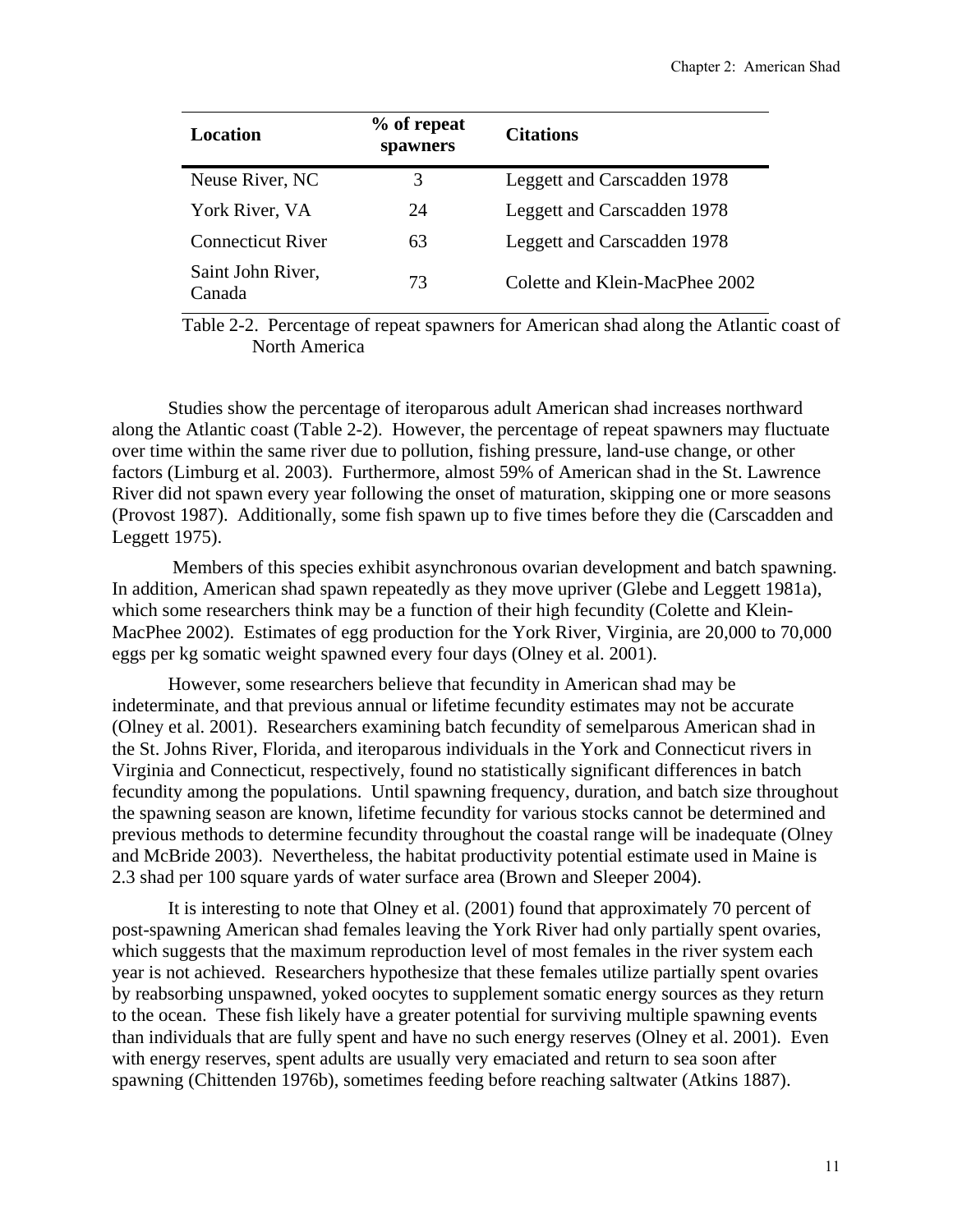| Location                    | % of repeat<br>spawners | <b>Citations</b>               |
|-----------------------------|-------------------------|--------------------------------|
| Neuse River, NC             | 3                       | Leggett and Carscadden 1978    |
| York River, VA              | 24                      | Leggett and Carscadden 1978    |
| <b>Connecticut River</b>    | 63                      | Leggett and Carscadden 1978    |
| Saint John River,<br>Canada | 73                      | Colette and Klein-MacPhee 2002 |

Table 2-2. Percentage of repeat spawners for American shad along the Atlantic coast of North America

Studies show the percentage of iteroparous adult American shad increases northward along the Atlantic coast (Table 2-2). However, the percentage of repeat spawners may fluctuate over time within the same river due to pollution, fishing pressure, land-use change, or other factors (Limburg et al. 2003). Furthermore, almost 59% of American shad in the St. Lawrence River did not spawn every year following the onset of maturation, skipping one or more seasons (Provost 1987). Additionally, some fish spawn up to five times before they die (Carscadden and Leggett 1975).

 Members of this species exhibit asynchronous ovarian development and batch spawning. In addition, American shad spawn repeatedly as they move upriver (Glebe and Leggett 1981a), which some researchers think may be a function of their high fecundity (Colette and Klein-MacPhee 2002). Estimates of egg production for the York River, Virginia, are 20,000 to 70,000 eggs per kg somatic weight spawned every four days (Olney et al. 2001).

However, some researchers believe that fecundity in American shad may be indeterminate, and that previous annual or lifetime fecundity estimates may not be accurate (Olney et al. 2001). Researchers examining batch fecundity of semelparous American shad in the St. Johns River, Florida, and iteroparous individuals in the York and Connecticut rivers in Virginia and Connecticut, respectively, found no statistically significant differences in batch fecundity among the populations. Until spawning frequency, duration, and batch size throughout the spawning season are known, lifetime fecundity for various stocks cannot be determined and previous methods to determine fecundity throughout the coastal range will be inadequate (Olney and McBride 2003). Nevertheless, the habitat productivity potential estimate used in Maine is 2.3 shad per 100 square yards of water surface area (Brown and Sleeper 2004).

It is interesting to note that Olney et al. (2001) found that approximately 70 percent of post-spawning American shad females leaving the York River had only partially spent ovaries, which suggests that the maximum reproduction level of most females in the river system each year is not achieved. Researchers hypothesize that these females utilize partially spent ovaries by reabsorbing unspawned, yoked oocytes to supplement somatic energy sources as they return to the ocean. These fish likely have a greater potential for surviving multiple spawning events than individuals that are fully spent and have no such energy reserves (Olney et al. 2001). Even with energy reserves, spent adults are usually very emaciated and return to sea soon after spawning (Chittenden 1976b), sometimes feeding before reaching saltwater (Atkins 1887).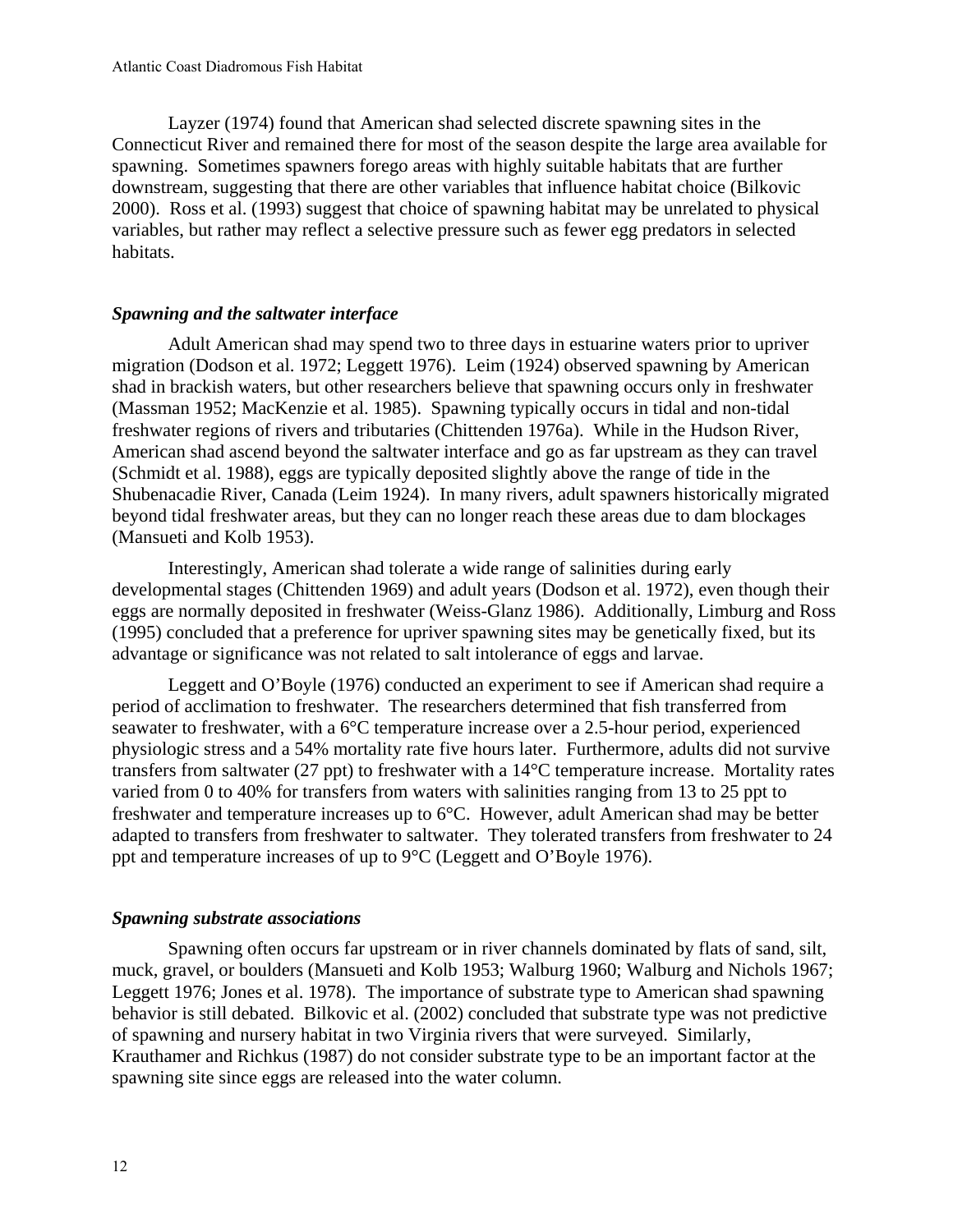Layzer (1974) found that American shad selected discrete spawning sites in the Connecticut River and remained there for most of the season despite the large area available for spawning. Sometimes spawners forego areas with highly suitable habitats that are further downstream, suggesting that there are other variables that influence habitat choice (Bilkovic 2000). Ross et al. (1993) suggest that choice of spawning habitat may be unrelated to physical variables, but rather may reflect a selective pressure such as fewer egg predators in selected habitats.

## *Spawning and the saltwater interface*

Adult American shad may spend two to three days in estuarine waters prior to upriver migration (Dodson et al. 1972; Leggett 1976). Leim (1924) observed spawning by American shad in brackish waters, but other researchers believe that spawning occurs only in freshwater (Massman 1952; MacKenzie et al. 1985). Spawning typically occurs in tidal and non-tidal freshwater regions of rivers and tributaries (Chittenden 1976a). While in the Hudson River, American shad ascend beyond the saltwater interface and go as far upstream as they can travel (Schmidt et al. 1988), eggs are typically deposited slightly above the range of tide in the Shubenacadie River, Canada (Leim 1924). In many rivers, adult spawners historically migrated beyond tidal freshwater areas, but they can no longer reach these areas due to dam blockages (Mansueti and Kolb 1953).

Interestingly, American shad tolerate a wide range of salinities during early developmental stages (Chittenden 1969) and adult years (Dodson et al. 1972), even though their eggs are normally deposited in freshwater (Weiss-Glanz 1986). Additionally, Limburg and Ross (1995) concluded that a preference for upriver spawning sites may be genetically fixed, but its advantage or significance was not related to salt intolerance of eggs and larvae.

Leggett and O'Boyle (1976) conducted an experiment to see if American shad require a period of acclimation to freshwater. The researchers determined that fish transferred from seawater to freshwater, with a 6°C temperature increase over a 2.5-hour period, experienced physiologic stress and a 54% mortality rate five hours later. Furthermore, adults did not survive transfers from saltwater (27 ppt) to freshwater with a 14°C temperature increase. Mortality rates varied from 0 to 40% for transfers from waters with salinities ranging from 13 to 25 ppt to freshwater and temperature increases up to 6°C. However, adult American shad may be better adapted to transfers from freshwater to saltwater. They tolerated transfers from freshwater to 24 ppt and temperature increases of up to 9°C (Leggett and O'Boyle 1976).

## *Spawning substrate associations*

Spawning often occurs far upstream or in river channels dominated by flats of sand, silt, muck, gravel, or boulders (Mansueti and Kolb 1953; Walburg 1960; Walburg and Nichols 1967; Leggett 1976; Jones et al. 1978). The importance of substrate type to American shad spawning behavior is still debated. Bilkovic et al. (2002) concluded that substrate type was not predictive of spawning and nursery habitat in two Virginia rivers that were surveyed. Similarly, Krauthamer and Richkus (1987) do not consider substrate type to be an important factor at the spawning site since eggs are released into the water column.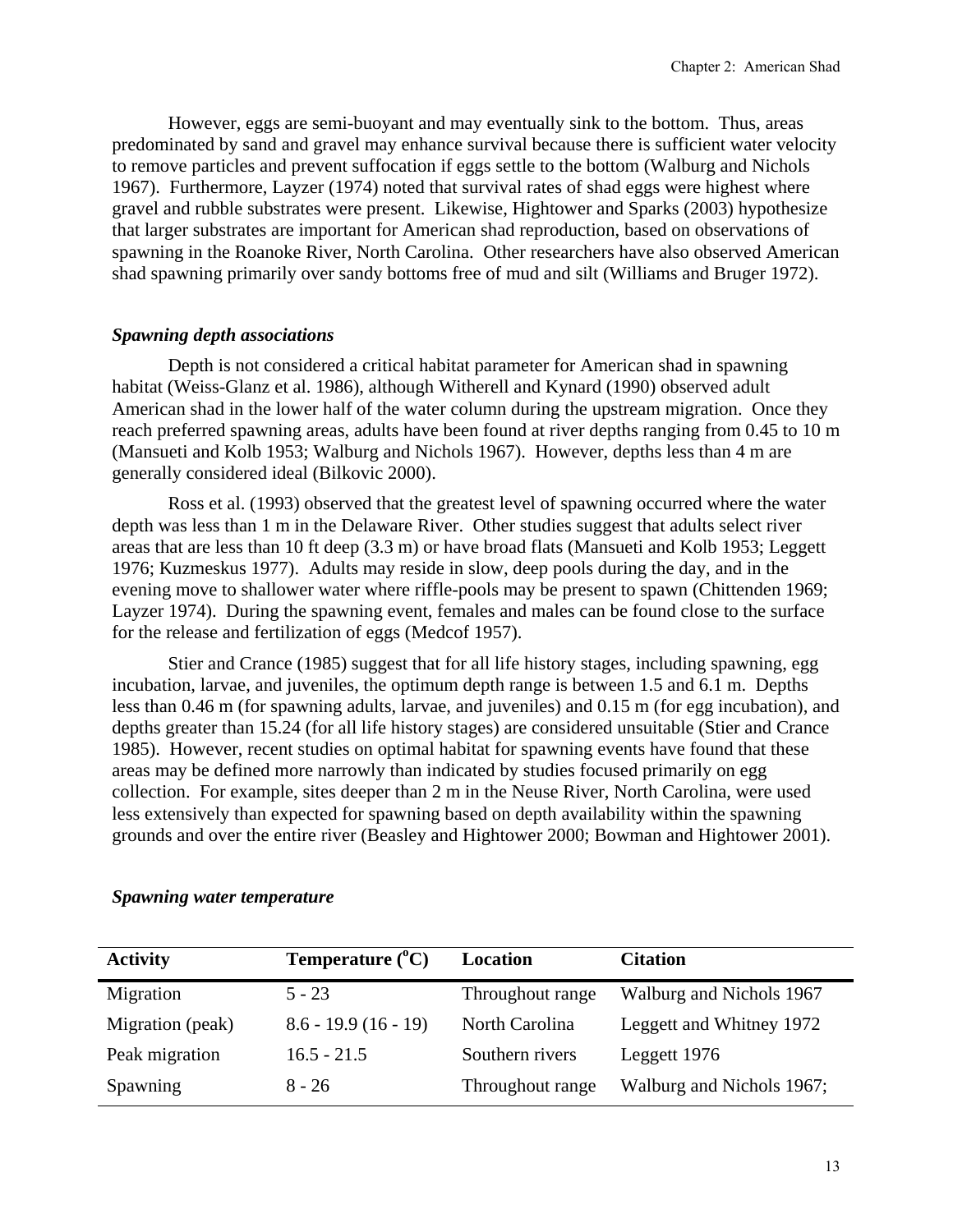However, eggs are semi-buoyant and may eventually sink to the bottom. Thus, areas predominated by sand and gravel may enhance survival because there is sufficient water velocity to remove particles and prevent suffocation if eggs settle to the bottom (Walburg and Nichols 1967). Furthermore, Layzer (1974) noted that survival rates of shad eggs were highest where gravel and rubble substrates were present. Likewise, Hightower and Sparks (2003) hypothesize that larger substrates are important for American shad reproduction, based on observations of spawning in the Roanoke River, North Carolina. Other researchers have also observed American shad spawning primarily over sandy bottoms free of mud and silt (Williams and Bruger 1972).

#### *Spawning depth associations*

Depth is not considered a critical habitat parameter for American shad in spawning habitat (Weiss-Glanz et al. 1986), although Witherell and Kynard (1990) observed adult American shad in the lower half of the water column during the upstream migration. Once they reach preferred spawning areas, adults have been found at river depths ranging from 0.45 to 10 m (Mansueti and Kolb 1953; Walburg and Nichols 1967). However, depths less than 4 m are generally considered ideal (Bilkovic 2000).

Ross et al. (1993) observed that the greatest level of spawning occurred where the water depth was less than 1 m in the Delaware River. Other studies suggest that adults select river areas that are less than 10 ft deep (3.3 m) or have broad flats (Mansueti and Kolb 1953; Leggett 1976; Kuzmeskus 1977). Adults may reside in slow, deep pools during the day, and in the evening move to shallower water where riffle-pools may be present to spawn (Chittenden 1969; Layzer 1974). During the spawning event, females and males can be found close to the surface for the release and fertilization of eggs (Medcof 1957).

Stier and Crance (1985) suggest that for all life history stages, including spawning, egg incubation, larvae, and juveniles, the optimum depth range is between 1.5 and 6.1 m. Depths less than 0.46 m (for spawning adults, larvae, and juveniles) and 0.15 m (for egg incubation), and depths greater than 15.24 (for all life history stages) are considered unsuitable (Stier and Crance 1985). However, recent studies on optimal habitat for spawning events have found that these areas may be defined more narrowly than indicated by studies focused primarily on egg collection. For example, sites deeper than 2 m in the Neuse River, North Carolina, were used less extensively than expected for spawning based on depth availability within the spawning grounds and over the entire river (Beasley and Hightower 2000; Bowman and Hightower 2001).

| <b>Activity</b>  | Temperature $(^{\circ}C)$ | Location         | <b>Citation</b>           |
|------------------|---------------------------|------------------|---------------------------|
| Migration        | $5 - 23$                  | Throughout range | Walburg and Nichols 1967  |
| Migration (peak) | $8.6 - 19.9(16 - 19)$     | North Carolina   | Leggett and Whitney 1972  |
| Peak migration   | $16.5 - 21.5$             | Southern rivers  | Leggett 1976              |
| Spawning         | $8 - 26$                  | Throughout range | Walburg and Nichols 1967; |

#### *Spawning water temperature*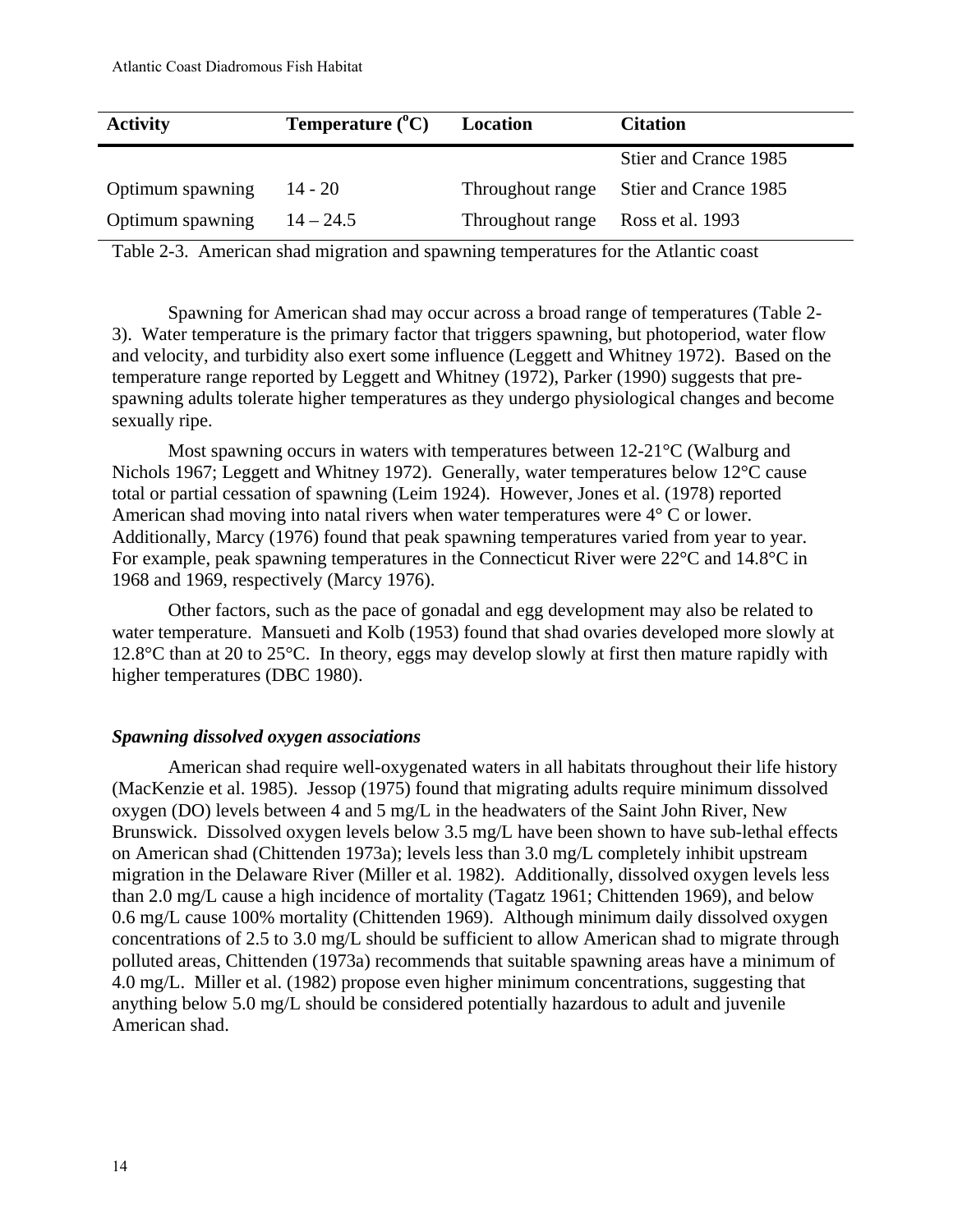| <b>Activity</b>  | <b>Temperature</b> $(^{\circ}C)$ | Location                          | <b>Citation</b>                        |
|------------------|----------------------------------|-----------------------------------|----------------------------------------|
|                  |                                  |                                   | Stier and Crance 1985                  |
| Optimum spawning | $14 - 20$                        |                                   | Throughout range Stier and Crance 1985 |
| Optimum spawning | $14 - 24.5$                      | Throughout range Ross et al. 1993 |                                        |

Table 2-3. American shad migration and spawning temperatures for the Atlantic coast

Spawning for American shad may occur across a broad range of temperatures (Table 2- 3). Water temperature is the primary factor that triggers spawning, but photoperiod, water flow and velocity, and turbidity also exert some influence (Leggett and Whitney 1972). Based on the temperature range reported by Leggett and Whitney (1972), Parker (1990) suggests that prespawning adults tolerate higher temperatures as they undergo physiological changes and become sexually ripe.

Most spawning occurs in waters with temperatures between  $12{\text -}21^{\circ}\text{C}$  (Walburg and Nichols 1967; Leggett and Whitney 1972). Generally, water temperatures below 12°C cause total or partial cessation of spawning (Leim 1924). However, Jones et al. (1978) reported American shad moving into natal rivers when water temperatures were 4° C or lower. Additionally, Marcy (1976) found that peak spawning temperatures varied from year to year. For example, peak spawning temperatures in the Connecticut River were 22°C and 14.8°C in 1968 and 1969, respectively (Marcy 1976).

Other factors, such as the pace of gonadal and egg development may also be related to water temperature. Mansueti and Kolb (1953) found that shad ovaries developed more slowly at 12.8°C than at 20 to 25°C. In theory, eggs may develop slowly at first then mature rapidly with higher temperatures (DBC 1980).

### *Spawning dissolved oxygen associations*

American shad require well-oxygenated waters in all habitats throughout their life history (MacKenzie et al. 1985). Jessop (1975) found that migrating adults require minimum dissolved oxygen (DO) levels between 4 and 5 mg/L in the headwaters of the Saint John River, New Brunswick. Dissolved oxygen levels below 3.5 mg/L have been shown to have sub-lethal effects on American shad (Chittenden 1973a); levels less than 3.0 mg/L completely inhibit upstream migration in the Delaware River (Miller et al. 1982). Additionally, dissolved oxygen levels less than 2.0 mg/L cause a high incidence of mortality (Tagatz 1961; Chittenden 1969), and below 0.6 mg/L cause 100% mortality (Chittenden 1969). Although minimum daily dissolved oxygen concentrations of 2.5 to 3.0 mg/L should be sufficient to allow American shad to migrate through polluted areas, Chittenden (1973a) recommends that suitable spawning areas have a minimum of 4.0 mg/L. Miller et al. (1982) propose even higher minimum concentrations, suggesting that anything below 5.0 mg/L should be considered potentially hazardous to adult and juvenile American shad.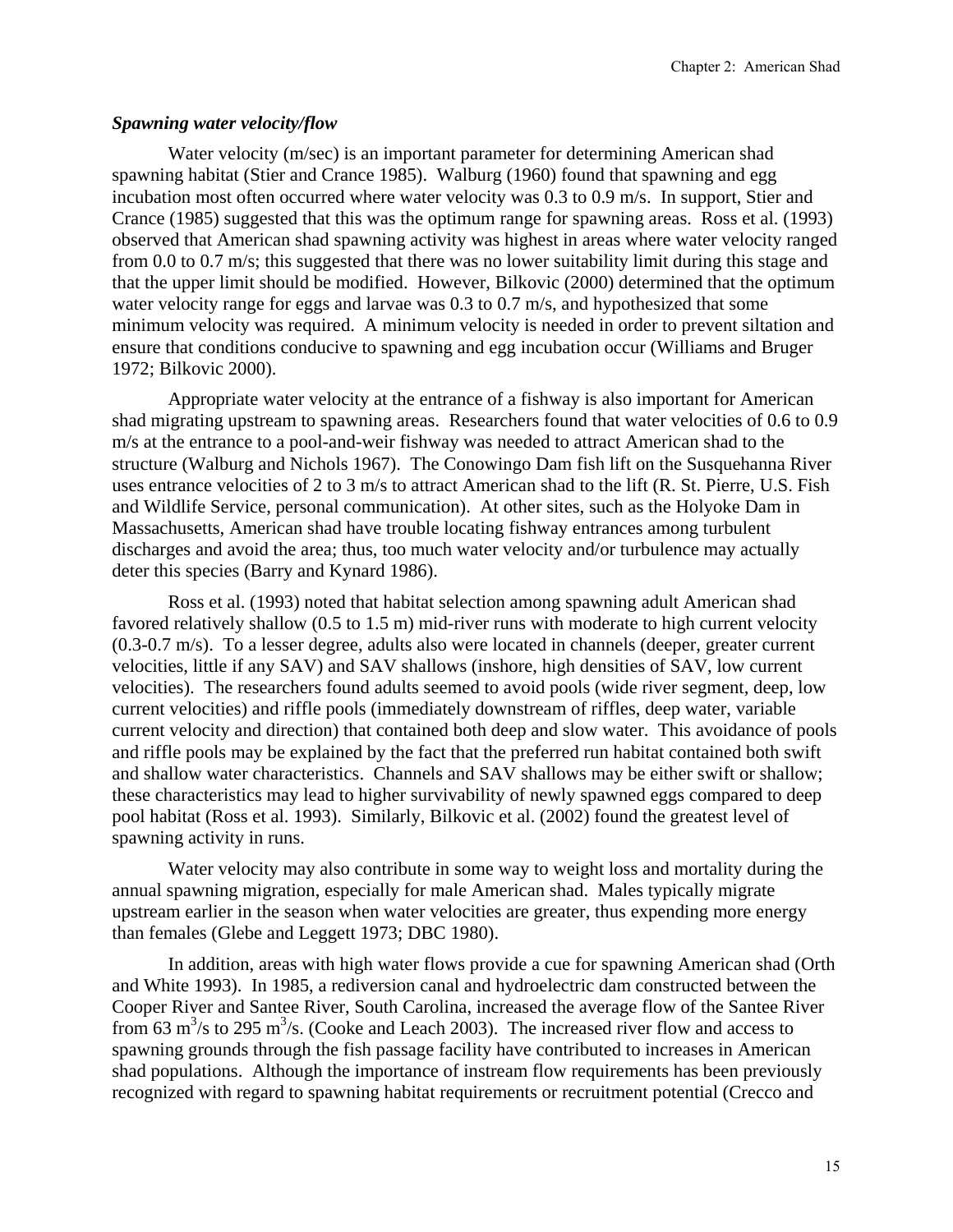## *Spawning water velocity/flow*

Water velocity (m/sec) is an important parameter for determining American shad spawning habitat (Stier and Crance 1985). Walburg (1960) found that spawning and egg incubation most often occurred where water velocity was 0.3 to 0.9 m/s. In support, Stier and Crance (1985) suggested that this was the optimum range for spawning areas. Ross et al. (1993) observed that American shad spawning activity was highest in areas where water velocity ranged from 0.0 to 0.7 m/s; this suggested that there was no lower suitability limit during this stage and that the upper limit should be modified. However, Bilkovic (2000) determined that the optimum water velocity range for eggs and larvae was 0.3 to 0.7 m/s, and hypothesized that some minimum velocity was required. A minimum velocity is needed in order to prevent siltation and ensure that conditions conducive to spawning and egg incubation occur (Williams and Bruger 1972; Bilkovic 2000).

Appropriate water velocity at the entrance of a fishway is also important for American shad migrating upstream to spawning areas. Researchers found that water velocities of 0.6 to 0.9 m/s at the entrance to a pool-and-weir fishway was needed to attract American shad to the structure (Walburg and Nichols 1967). The Conowingo Dam fish lift on the Susquehanna River uses entrance velocities of 2 to 3 m/s to attract American shad to the lift (R. St. Pierre, U.S. Fish and Wildlife Service, personal communication). At other sites, such as the Holyoke Dam in Massachusetts, American shad have trouble locating fishway entrances among turbulent discharges and avoid the area; thus, too much water velocity and/or turbulence may actually deter this species (Barry and Kynard 1986).

Ross et al. (1993) noted that habitat selection among spawning adult American shad favored relatively shallow (0.5 to 1.5 m) mid-river runs with moderate to high current velocity (0.3-0.7 m/s). To a lesser degree, adults also were located in channels (deeper, greater current velocities, little if any SAV) and SAV shallows (inshore, high densities of SAV, low current velocities). The researchers found adults seemed to avoid pools (wide river segment, deep, low current velocities) and riffle pools (immediately downstream of riffles, deep water, variable current velocity and direction) that contained both deep and slow water. This avoidance of pools and riffle pools may be explained by the fact that the preferred run habitat contained both swift and shallow water characteristics. Channels and SAV shallows may be either swift or shallow; these characteristics may lead to higher survivability of newly spawned eggs compared to deep pool habitat (Ross et al. 1993). Similarly, Bilkovic et al. (2002) found the greatest level of spawning activity in runs.

Water velocity may also contribute in some way to weight loss and mortality during the annual spawning migration, especially for male American shad. Males typically migrate upstream earlier in the season when water velocities are greater, thus expending more energy than females (Glebe and Leggett 1973; DBC 1980).

In addition, areas with high water flows provide a cue for spawning American shad (Orth and White 1993). In 1985, a rediversion canal and hydroelectric dam constructed between the Cooper River and Santee River, South Carolina, increased the average flow of the Santee River from 63 m<sup>3</sup>/s to 295 m<sup>3</sup>/s. (Cooke and Leach 2003). The increased river flow and access to spawning grounds through the fish passage facility have contributed to increases in American shad populations. Although the importance of instream flow requirements has been previously recognized with regard to spawning habitat requirements or recruitment potential (Crecco and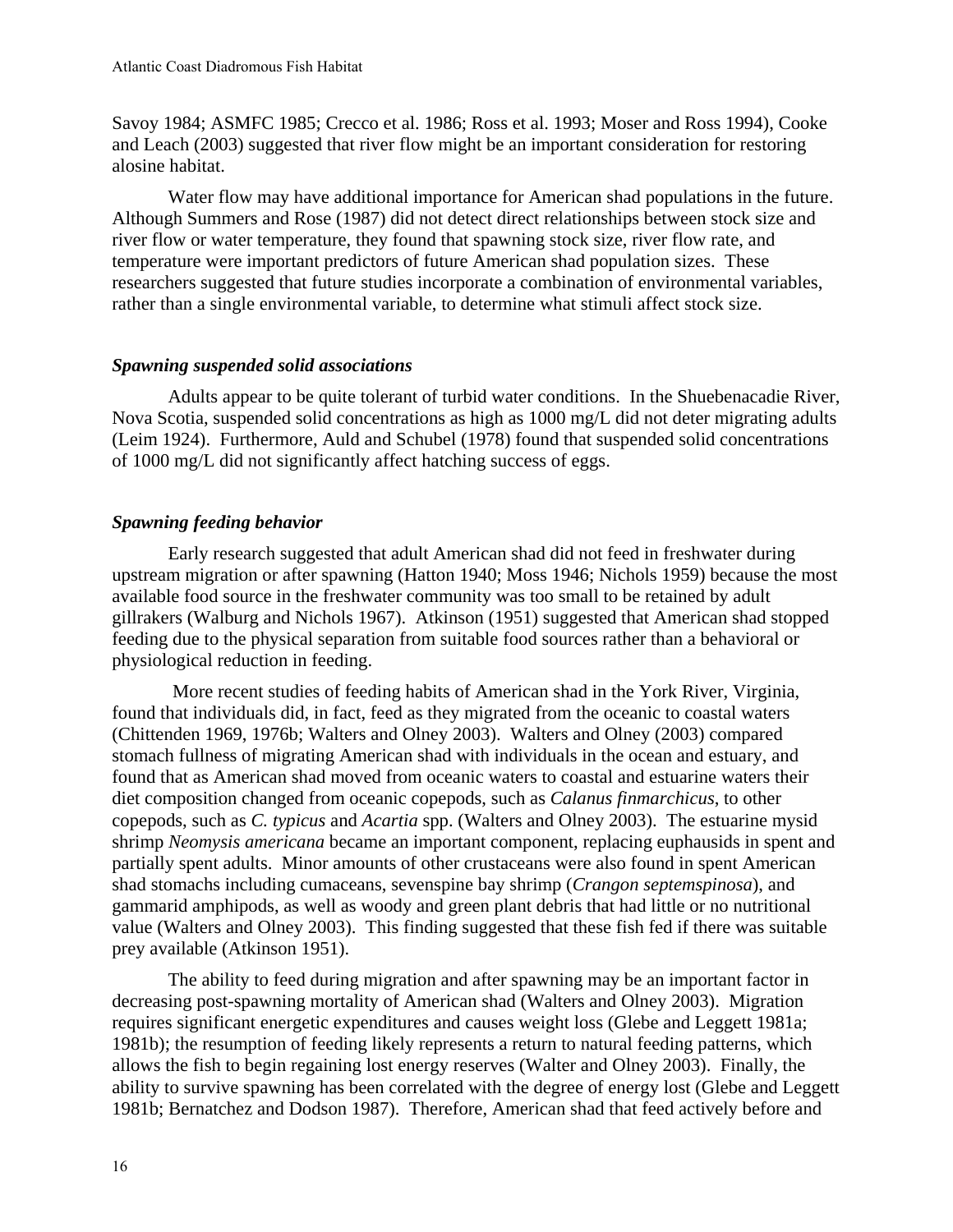Savoy 1984; ASMFC 1985; Crecco et al. 1986; Ross et al. 1993; Moser and Ross 1994), Cooke and Leach (2003) suggested that river flow might be an important consideration for restoring alosine habitat.

Water flow may have additional importance for American shad populations in the future. Although Summers and Rose (1987) did not detect direct relationships between stock size and river flow or water temperature, they found that spawning stock size, river flow rate, and temperature were important predictors of future American shad population sizes. These researchers suggested that future studies incorporate a combination of environmental variables, rather than a single environmental variable, to determine what stimuli affect stock size.

## *Spawning suspended solid associations*

Adults appear to be quite tolerant of turbid water conditions. In the Shuebenacadie River, Nova Scotia, suspended solid concentrations as high as 1000 mg/L did not deter migrating adults (Leim 1924). Furthermore, Auld and Schubel (1978) found that suspended solid concentrations of 1000 mg/L did not significantly affect hatching success of eggs.

## *Spawning feeding behavior*

Early research suggested that adult American shad did not feed in freshwater during upstream migration or after spawning (Hatton 1940; Moss 1946; Nichols 1959) because the most available food source in the freshwater community was too small to be retained by adult gillrakers (Walburg and Nichols 1967). Atkinson (1951) suggested that American shad stopped feeding due to the physical separation from suitable food sources rather than a behavioral or physiological reduction in feeding.

 More recent studies of feeding habits of American shad in the York River, Virginia, found that individuals did, in fact, feed as they migrated from the oceanic to coastal waters (Chittenden 1969, 1976b; Walters and Olney 2003). Walters and Olney (2003) compared stomach fullness of migrating American shad with individuals in the ocean and estuary, and found that as American shad moved from oceanic waters to coastal and estuarine waters their diet composition changed from oceanic copepods, such as *Calanus finmarchicus*, to other copepods, such as *C. typicus* and *Acartia* spp. (Walters and Olney 2003). The estuarine mysid shrimp *Neomysis americana* became an important component, replacing euphausids in spent and partially spent adults. Minor amounts of other crustaceans were also found in spent American shad stomachs including cumaceans, sevenspine bay shrimp (*Crangon septemspinosa*), and gammarid amphipods, as well as woody and green plant debris that had little or no nutritional value (Walters and Olney 2003). This finding suggested that these fish fed if there was suitable prey available (Atkinson 1951).

 The ability to feed during migration and after spawning may be an important factor in decreasing post-spawning mortality of American shad (Walters and Olney 2003). Migration requires significant energetic expenditures and causes weight loss (Glebe and Leggett 1981a; 1981b); the resumption of feeding likely represents a return to natural feeding patterns, which allows the fish to begin regaining lost energy reserves (Walter and Olney 2003). Finally, the ability to survive spawning has been correlated with the degree of energy lost (Glebe and Leggett 1981b; Bernatchez and Dodson 1987). Therefore, American shad that feed actively before and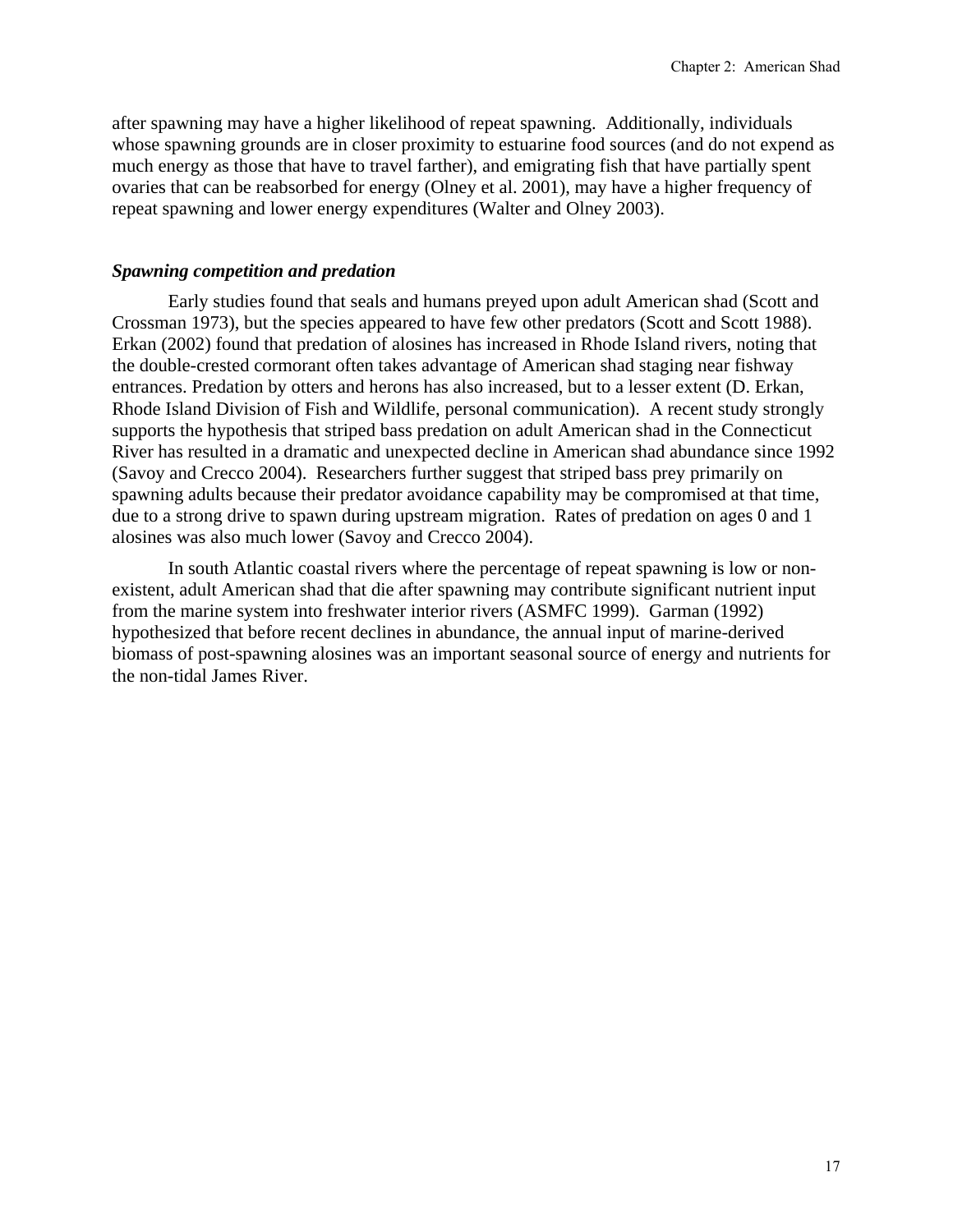after spawning may have a higher likelihood of repeat spawning. Additionally, individuals whose spawning grounds are in closer proximity to estuarine food sources (and do not expend as much energy as those that have to travel farther), and emigrating fish that have partially spent ovaries that can be reabsorbed for energy (Olney et al. 2001), may have a higher frequency of repeat spawning and lower energy expenditures (Walter and Olney 2003).

#### *Spawning competition and predation*

Early studies found that seals and humans preyed upon adult American shad (Scott and Crossman 1973), but the species appeared to have few other predators (Scott and Scott 1988). Erkan (2002) found that predation of alosines has increased in Rhode Island rivers, noting that the double-crested cormorant often takes advantage of American shad staging near fishway entrances. Predation by otters and herons has also increased, but to a lesser extent (D. Erkan, Rhode Island Division of Fish and Wildlife, personal communication). A recent study strongly supports the hypothesis that striped bass predation on adult American shad in the Connecticut River has resulted in a dramatic and unexpected decline in American shad abundance since 1992 (Savoy and Crecco 2004). Researchers further suggest that striped bass prey primarily on spawning adults because their predator avoidance capability may be compromised at that time, due to a strong drive to spawn during upstream migration. Rates of predation on ages 0 and 1 alosines was also much lower (Savoy and Crecco 2004).

In south Atlantic coastal rivers where the percentage of repeat spawning is low or nonexistent, adult American shad that die after spawning may contribute significant nutrient input from the marine system into freshwater interior rivers (ASMFC 1999). Garman (1992) hypothesized that before recent declines in abundance, the annual input of marine-derived biomass of post-spawning alosines was an important seasonal source of energy and nutrients for the non-tidal James River.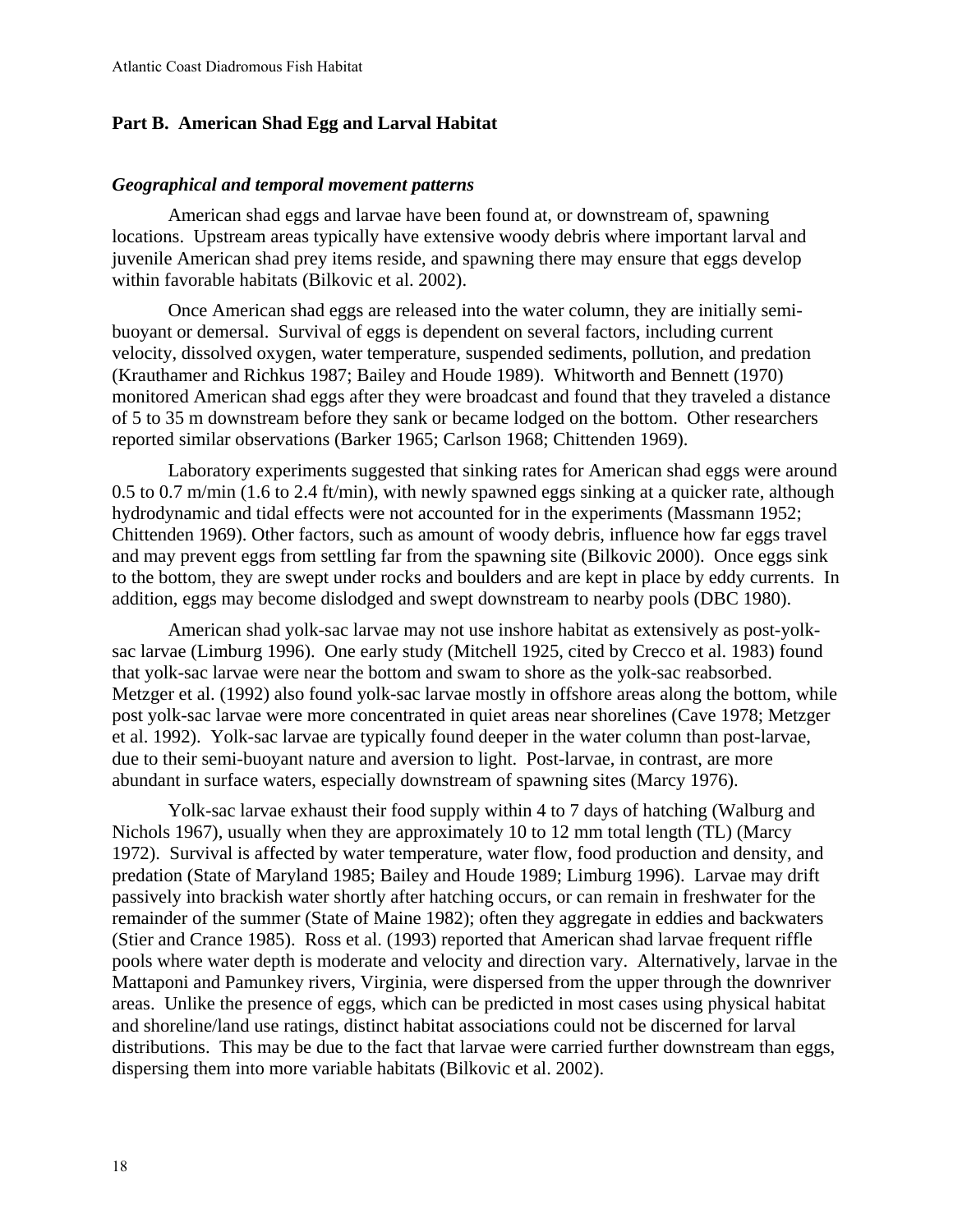# **Part B. American Shad Egg and Larval Habitat**

#### *Geographical and temporal movement patterns*

American shad eggs and larvae have been found at, or downstream of, spawning locations. Upstream areas typically have extensive woody debris where important larval and juvenile American shad prey items reside, and spawning there may ensure that eggs develop within favorable habitats (Bilkovic et al. 2002).

Once American shad eggs are released into the water column, they are initially semibuoyant or demersal. Survival of eggs is dependent on several factors, including current velocity, dissolved oxygen, water temperature, suspended sediments, pollution, and predation (Krauthamer and Richkus 1987; Bailey and Houde 1989). Whitworth and Bennett (1970) monitored American shad eggs after they were broadcast and found that they traveled a distance of 5 to 35 m downstream before they sank or became lodged on the bottom. Other researchers reported similar observations (Barker 1965; Carlson 1968; Chittenden 1969).

Laboratory experiments suggested that sinking rates for American shad eggs were around 0.5 to 0.7 m/min (1.6 to 2.4 ft/min), with newly spawned eggs sinking at a quicker rate, although hydrodynamic and tidal effects were not accounted for in the experiments (Massmann 1952; Chittenden 1969). Other factors, such as amount of woody debris, influence how far eggs travel and may prevent eggs from settling far from the spawning site (Bilkovic 2000). Once eggs sink to the bottom, they are swept under rocks and boulders and are kept in place by eddy currents. In addition, eggs may become dislodged and swept downstream to nearby pools (DBC 1980).

American shad yolk-sac larvae may not use inshore habitat as extensively as post-yolksac larvae (Limburg 1996). One early study (Mitchell 1925, cited by Crecco et al. 1983) found that yolk-sac larvae were near the bottom and swam to shore as the yolk-sac reabsorbed. Metzger et al. (1992) also found yolk-sac larvae mostly in offshore areas along the bottom, while post yolk-sac larvae were more concentrated in quiet areas near shorelines (Cave 1978; Metzger et al. 1992). Yolk-sac larvae are typically found deeper in the water column than post-larvae, due to their semi-buoyant nature and aversion to light. Post-larvae, in contrast, are more abundant in surface waters, especially downstream of spawning sites (Marcy 1976).

Yolk-sac larvae exhaust their food supply within 4 to 7 days of hatching (Walburg and Nichols 1967), usually when they are approximately 10 to 12 mm total length (TL) (Marcy 1972). Survival is affected by water temperature, water flow, food production and density, and predation (State of Maryland 1985; Bailey and Houde 1989; Limburg 1996). Larvae may drift passively into brackish water shortly after hatching occurs, or can remain in freshwater for the remainder of the summer (State of Maine 1982); often they aggregate in eddies and backwaters (Stier and Crance 1985). Ross et al. (1993) reported that American shad larvae frequent riffle pools where water depth is moderate and velocity and direction vary. Alternatively, larvae in the Mattaponi and Pamunkey rivers, Virginia, were dispersed from the upper through the downriver areas. Unlike the presence of eggs, which can be predicted in most cases using physical habitat and shoreline/land use ratings, distinct habitat associations could not be discerned for larval distributions. This may be due to the fact that larvae were carried further downstream than eggs, dispersing them into more variable habitats (Bilkovic et al. 2002).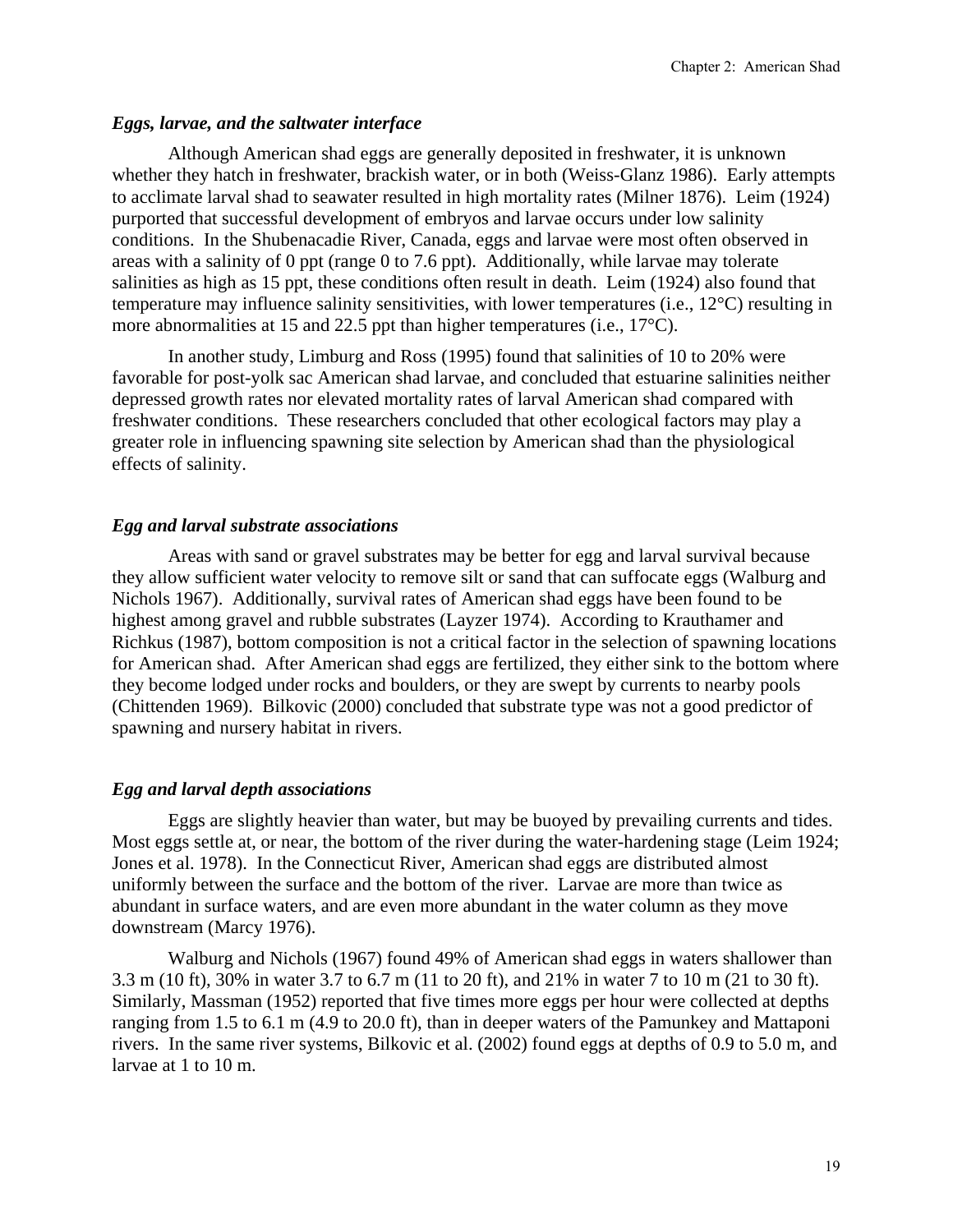# *Eggs, larvae, and the saltwater interface*

Although American shad eggs are generally deposited in freshwater, it is unknown whether they hatch in freshwater, brackish water, or in both (Weiss-Glanz 1986). Early attempts to acclimate larval shad to seawater resulted in high mortality rates (Milner 1876). Leim (1924) purported that successful development of embryos and larvae occurs under low salinity conditions. In the Shubenacadie River, Canada, eggs and larvae were most often observed in areas with a salinity of 0 ppt (range 0 to 7.6 ppt). Additionally, while larvae may tolerate salinities as high as 15 ppt, these conditions often result in death. Leim (1924) also found that temperature may influence salinity sensitivities, with lower temperatures (i.e., 12°C) resulting in more abnormalities at 15 and 22.5 ppt than higher temperatures (i.e., 17°C).

In another study, Limburg and Ross (1995) found that salinities of 10 to 20% were favorable for post-yolk sac American shad larvae, and concluded that estuarine salinities neither depressed growth rates nor elevated mortality rates of larval American shad compared with freshwater conditions. These researchers concluded that other ecological factors may play a greater role in influencing spawning site selection by American shad than the physiological effects of salinity.

# *Egg and larval substrate associations*

Areas with sand or gravel substrates may be better for egg and larval survival because they allow sufficient water velocity to remove silt or sand that can suffocate eggs (Walburg and Nichols 1967). Additionally, survival rates of American shad eggs have been found to be highest among gravel and rubble substrates (Layzer 1974). According to Krauthamer and Richkus (1987), bottom composition is not a critical factor in the selection of spawning locations for American shad. After American shad eggs are fertilized, they either sink to the bottom where they become lodged under rocks and boulders, or they are swept by currents to nearby pools (Chittenden 1969). Bilkovic (2000) concluded that substrate type was not a good predictor of spawning and nursery habitat in rivers.

# *Egg and larval depth associations*

Eggs are slightly heavier than water, but may be buoyed by prevailing currents and tides. Most eggs settle at, or near, the bottom of the river during the water-hardening stage (Leim 1924; Jones et al. 1978). In the Connecticut River, American shad eggs are distributed almost uniformly between the surface and the bottom of the river. Larvae are more than twice as abundant in surface waters, and are even more abundant in the water column as they move downstream (Marcy 1976).

Walburg and Nichols (1967) found 49% of American shad eggs in waters shallower than 3.3 m (10 ft), 30% in water 3.7 to 6.7 m (11 to 20 ft), and 21% in water 7 to 10 m (21 to 30 ft). Similarly, Massman (1952) reported that five times more eggs per hour were collected at depths ranging from 1.5 to 6.1 m (4.9 to 20.0 ft), than in deeper waters of the Pamunkey and Mattaponi rivers. In the same river systems, Bilkovic et al. (2002) found eggs at depths of 0.9 to 5.0 m, and larvae at 1 to 10 m.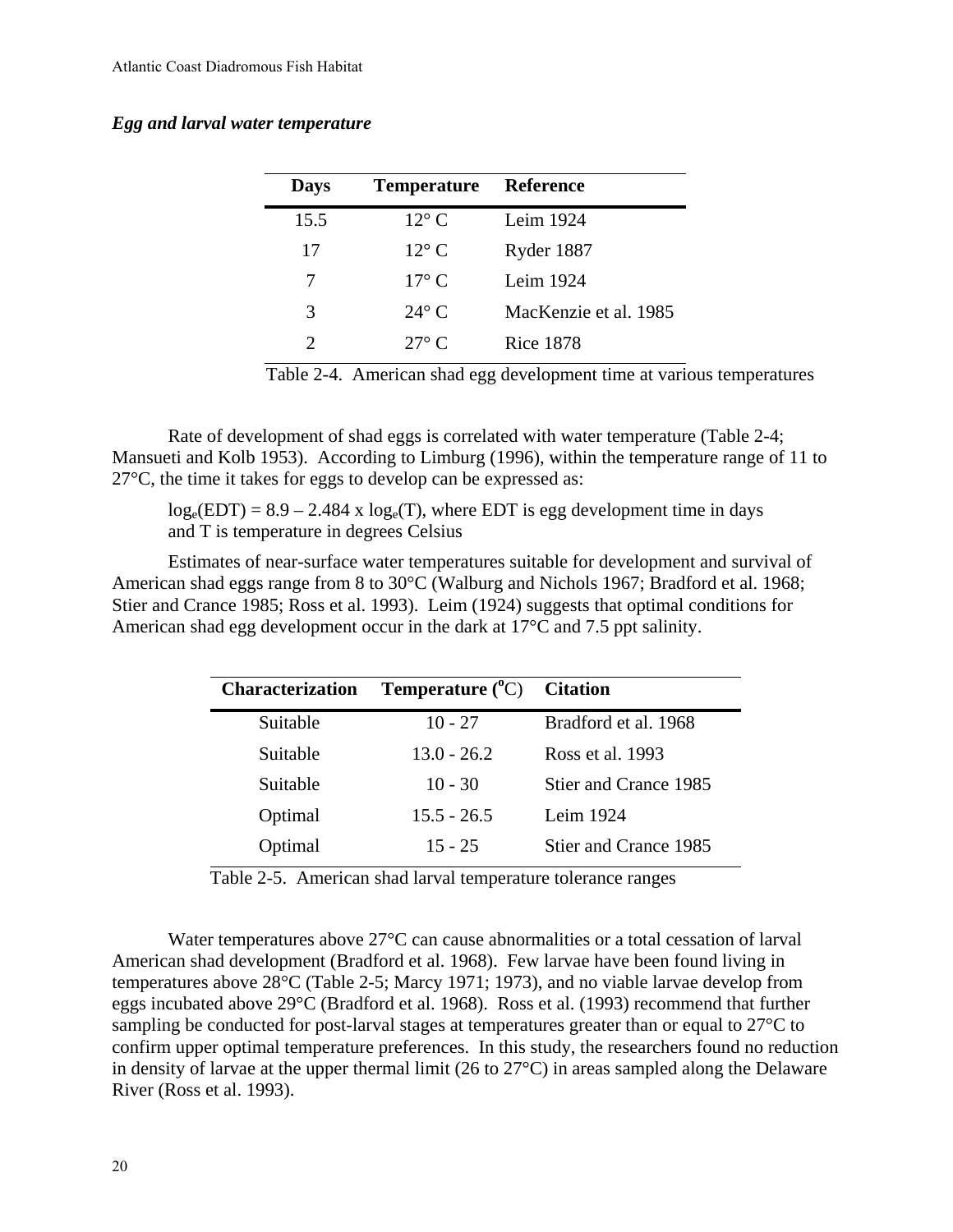## *Egg and larval water temperature*

| <b>Days</b>                 | <b>Temperature</b> | <b>Reference</b>      |
|-----------------------------|--------------------|-----------------------|
| 15.5                        | $12^{\circ}$ C     | Leim 1924             |
| 17                          | $12^{\circ}$ C     | Ryder 1887            |
| 7                           | $17^{\circ}$ C     | Leim $1924$           |
| 3                           | $24^{\circ}$ C     | MacKenzie et al. 1985 |
| $\mathcal{D}_{\mathcal{L}}$ | $27^\circ$ C       | Rice 1878             |

Table 2-4. American shad egg development time at various temperatures

Rate of development of shad eggs is correlated with water temperature (Table 2-4; Mansueti and Kolb 1953). According to Limburg (1996), within the temperature range of 11 to 27°C, the time it takes for eggs to develop can be expressed as:

 $log_e(EDT) = 8.9 - 2.484$  x  $log_e(T)$ , where EDT is egg development time in days and T is temperature in degrees Celsius

Estimates of near-surface water temperatures suitable for development and survival of American shad eggs range from 8 to 30°C (Walburg and Nichols 1967; Bradford et al. 1968; Stier and Crance 1985; Ross et al. 1993). Leim (1924) suggests that optimal conditions for American shad egg development occur in the dark at 17°C and 7.5 ppt salinity.

| <b>Temperature</b> $({}^{\circ}C)$ Citation |                       |
|---------------------------------------------|-----------------------|
| $10 - 27$                                   | Bradford et al. 1968  |
| $13.0 - 26.2$                               | Ross et al. 1993      |
| $10 - 30$                                   | Stier and Crance 1985 |
| $15.5 - 26.5$                               | Leim 1924             |
| $15 - 25$                                   | Stier and Crance 1985 |
|                                             |                       |

Table 2-5. American shad larval temperature tolerance ranges

Water temperatures above 27°C can cause abnormalities or a total cessation of larval American shad development (Bradford et al. 1968). Few larvae have been found living in temperatures above 28°C (Table 2-5; Marcy 1971; 1973), and no viable larvae develop from eggs incubated above 29°C (Bradford et al. 1968). Ross et al. (1993) recommend that further sampling be conducted for post-larval stages at temperatures greater than or equal to 27°C to confirm upper optimal temperature preferences. In this study, the researchers found no reduction in density of larvae at the upper thermal limit (26 to 27°C) in areas sampled along the Delaware River (Ross et al. 1993).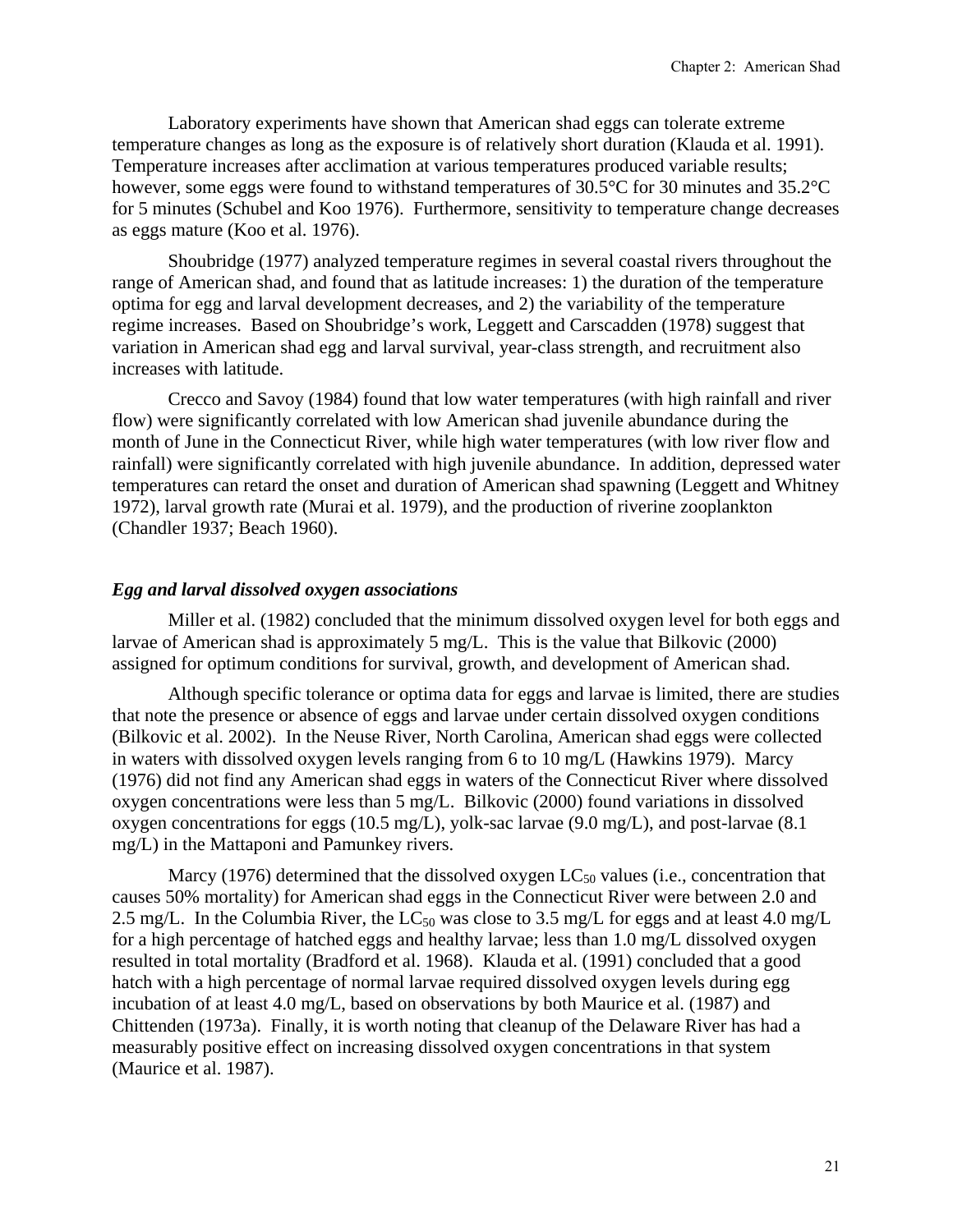Laboratory experiments have shown that American shad eggs can tolerate extreme temperature changes as long as the exposure is of relatively short duration (Klauda et al. 1991). Temperature increases after acclimation at various temperatures produced variable results; however, some eggs were found to withstand temperatures of 30.5°C for 30 minutes and 35.2°C for 5 minutes (Schubel and Koo 1976). Furthermore, sensitivity to temperature change decreases as eggs mature (Koo et al. 1976).

Shoubridge (1977) analyzed temperature regimes in several coastal rivers throughout the range of American shad, and found that as latitude increases: 1) the duration of the temperature optima for egg and larval development decreases, and 2) the variability of the temperature regime increases. Based on Shoubridge's work, Leggett and Carscadden (1978) suggest that variation in American shad egg and larval survival, year-class strength, and recruitment also increases with latitude.

Crecco and Savoy (1984) found that low water temperatures (with high rainfall and river flow) were significantly correlated with low American shad juvenile abundance during the month of June in the Connecticut River, while high water temperatures (with low river flow and rainfall) were significantly correlated with high juvenile abundance. In addition, depressed water temperatures can retard the onset and duration of American shad spawning (Leggett and Whitney 1972), larval growth rate (Murai et al. 1979), and the production of riverine zooplankton (Chandler 1937; Beach 1960).

#### *Egg and larval dissolved oxygen associations*

Miller et al. (1982) concluded that the minimum dissolved oxygen level for both eggs and larvae of American shad is approximately 5 mg/L. This is the value that Bilkovic (2000) assigned for optimum conditions for survival, growth, and development of American shad.

Although specific tolerance or optima data for eggs and larvae is limited, there are studies that note the presence or absence of eggs and larvae under certain dissolved oxygen conditions (Bilkovic et al. 2002). In the Neuse River, North Carolina, American shad eggs were collected in waters with dissolved oxygen levels ranging from 6 to 10 mg/L (Hawkins 1979). Marcy (1976) did not find any American shad eggs in waters of the Connecticut River where dissolved oxygen concentrations were less than 5 mg/L. Bilkovic (2000) found variations in dissolved oxygen concentrations for eggs (10.5 mg/L), yolk-sac larvae (9.0 mg/L), and post-larvae (8.1 mg/L) in the Mattaponi and Pamunkey rivers.

Marcy (1976) determined that the dissolved oxygen  $LC_{50}$  values (i.e., concentration that causes 50% mortality) for American shad eggs in the Connecticut River were between 2.0 and 2.5 mg/L. In the Columbia River, the LC<sub>50</sub> was close to 3.5 mg/L for eggs and at least 4.0 mg/L for a high percentage of hatched eggs and healthy larvae; less than 1.0 mg/L dissolved oxygen resulted in total mortality (Bradford et al. 1968). Klauda et al. (1991) concluded that a good hatch with a high percentage of normal larvae required dissolved oxygen levels during egg incubation of at least 4.0 mg/L, based on observations by both Maurice et al. (1987) and Chittenden (1973a). Finally, it is worth noting that cleanup of the Delaware River has had a measurably positive effect on increasing dissolved oxygen concentrations in that system (Maurice et al. 1987).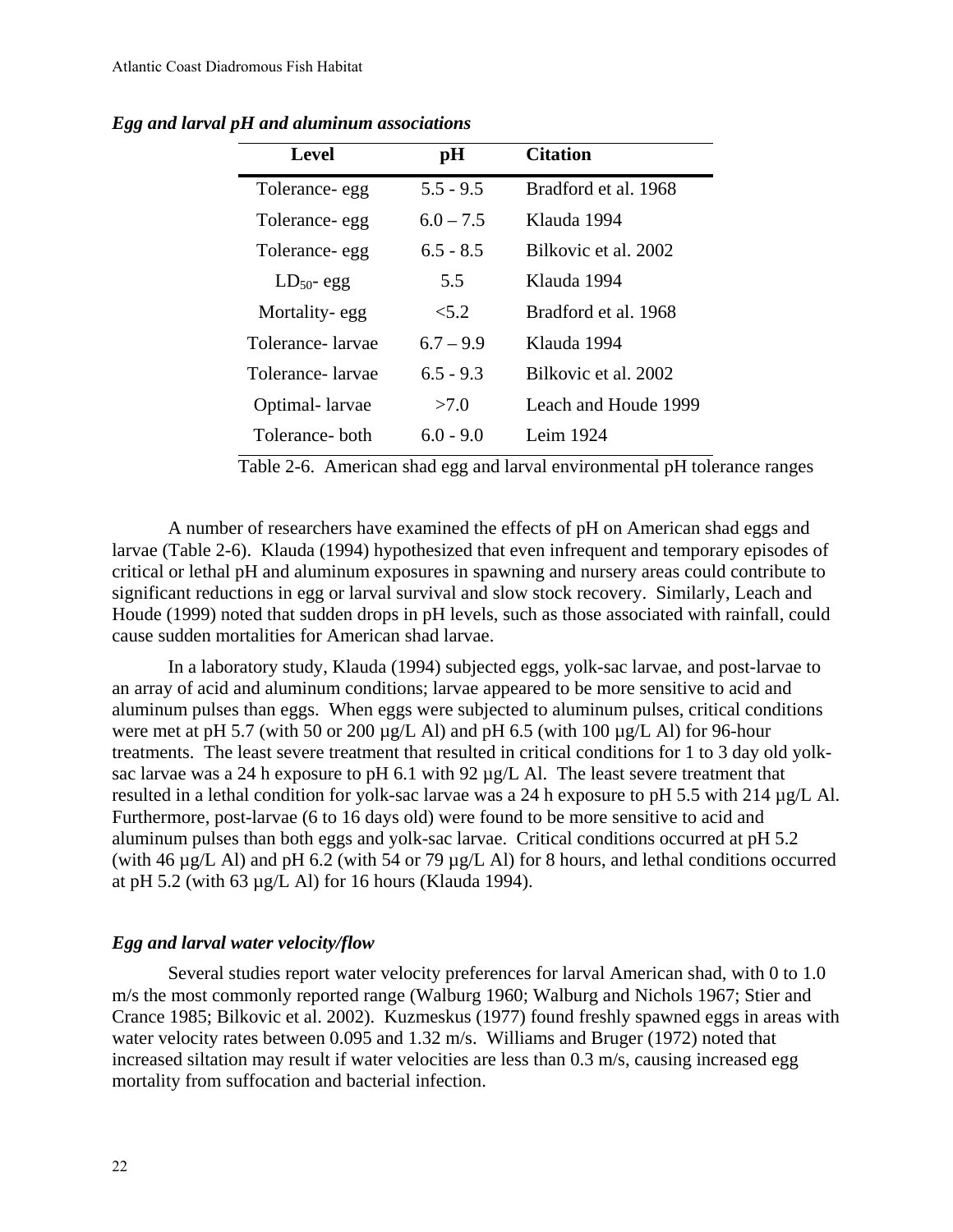| <b>Level</b>     | pH          | <b>Citation</b>      |
|------------------|-------------|----------------------|
| Tolerance-egg    | $5.5 - 9.5$ | Bradford et al. 1968 |
| Tolerance-egg    | $6.0 - 7.5$ | Klauda 1994          |
| Tolerance- egg   | $6.5 - 8.5$ | Bilkovic et al. 2002 |
| $LD_{50}$ - egg  | 5.5         | Klauda 1994          |
| Mortality-egg    | 5.2         | Bradford et al. 1968 |
| Tolerance-larvae | $6.7 - 9.9$ | Klauda 1994          |
| Tolerance-larvae | $6.5 - 9.3$ | Bilkovic et al. 2002 |
| Optimal-larvae   | >7.0        | Leach and Houde 1999 |
| Tolerance- both  | $6.0 - 9.0$ | Leim 1924            |

*Egg and larval pH and aluminum associations* 

Table 2-6. American shad egg and larval environmental pH tolerance ranges

A number of researchers have examined the effects of pH on American shad eggs and larvae (Table 2-6). Klauda (1994) hypothesized that even infrequent and temporary episodes of critical or lethal pH and aluminum exposures in spawning and nursery areas could contribute to significant reductions in egg or larval survival and slow stock recovery. Similarly, Leach and Houde (1999) noted that sudden drops in pH levels, such as those associated with rainfall, could cause sudden mortalities for American shad larvae.

In a laboratory study, Klauda (1994) subjected eggs, yolk-sac larvae, and post-larvae to an array of acid and aluminum conditions; larvae appeared to be more sensitive to acid and aluminum pulses than eggs. When eggs were subjected to aluminum pulses, critical conditions were met at pH 5.7 (with 50 or 200  $\mu$ g/L Al) and pH 6.5 (with 100  $\mu$ g/L Al) for 96-hour treatments. The least severe treatment that resulted in critical conditions for 1 to 3 day old yolksac larvae was a 24 h exposure to pH 6.1 with 92  $\mu$ g/L Al. The least severe treatment that resulted in a lethal condition for yolk-sac larvae was a 24 h exposure to pH 5.5 with 214 µg/L Al. Furthermore, post-larvae (6 to 16 days old) were found to be more sensitive to acid and aluminum pulses than both eggs and yolk-sac larvae. Critical conditions occurred at pH 5.2 (with 46 µg/L Al) and pH 6.2 (with 54 or 79 µg/L Al) for 8 hours, and lethal conditions occurred at pH 5.2 (with 63  $\mu$ g/L Al) for 16 hours (Klauda 1994).

#### *Egg and larval water velocity/flow*

Several studies report water velocity preferences for larval American shad, with 0 to 1.0 m/s the most commonly reported range (Walburg 1960; Walburg and Nichols 1967; Stier and Crance 1985; Bilkovic et al. 2002). Kuzmeskus (1977) found freshly spawned eggs in areas with water velocity rates between 0.095 and 1.32 m/s. Williams and Bruger (1972) noted that increased siltation may result if water velocities are less than 0.3 m/s, causing increased egg mortality from suffocation and bacterial infection.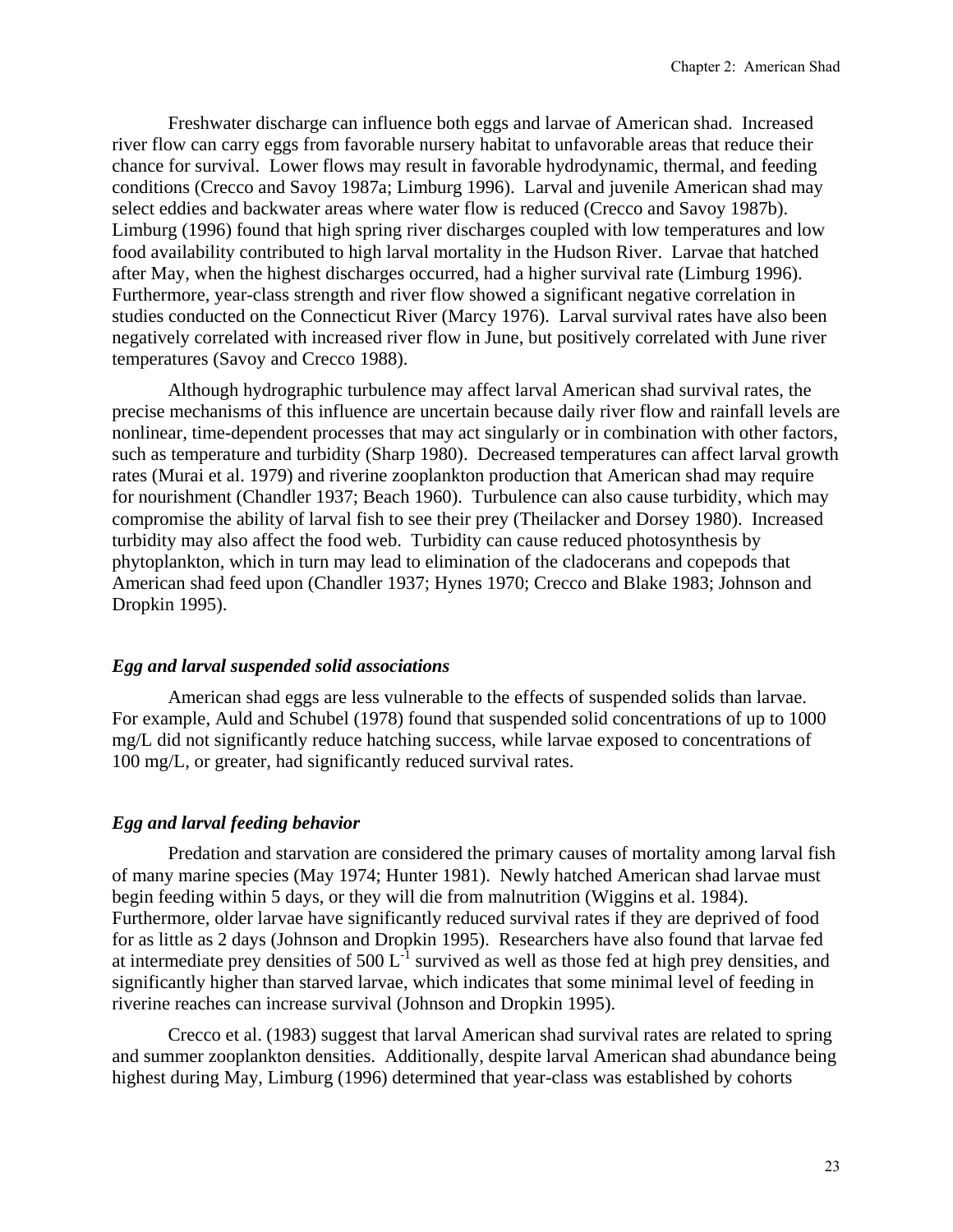Freshwater discharge can influence both eggs and larvae of American shad. Increased river flow can carry eggs from favorable nursery habitat to unfavorable areas that reduce their chance for survival. Lower flows may result in favorable hydrodynamic, thermal, and feeding conditions (Crecco and Savoy 1987a; Limburg 1996). Larval and juvenile American shad may select eddies and backwater areas where water flow is reduced (Crecco and Savoy 1987b). Limburg (1996) found that high spring river discharges coupled with low temperatures and low food availability contributed to high larval mortality in the Hudson River. Larvae that hatched after May, when the highest discharges occurred, had a higher survival rate (Limburg 1996). Furthermore, year-class strength and river flow showed a significant negative correlation in studies conducted on the Connecticut River (Marcy 1976). Larval survival rates have also been negatively correlated with increased river flow in June, but positively correlated with June river temperatures (Savoy and Crecco 1988).

Although hydrographic turbulence may affect larval American shad survival rates, the precise mechanisms of this influence are uncertain because daily river flow and rainfall levels are nonlinear, time-dependent processes that may act singularly or in combination with other factors, such as temperature and turbidity (Sharp 1980). Decreased temperatures can affect larval growth rates (Murai et al. 1979) and riverine zooplankton production that American shad may require for nourishment (Chandler 1937; Beach 1960). Turbulence can also cause turbidity, which may compromise the ability of larval fish to see their prey (Theilacker and Dorsey 1980). Increased turbidity may also affect the food web. Turbidity can cause reduced photosynthesis by phytoplankton, which in turn may lead to elimination of the cladocerans and copepods that American shad feed upon (Chandler 1937; Hynes 1970; Crecco and Blake 1983; Johnson and Dropkin 1995).

#### *Egg and larval suspended solid associations*

American shad eggs are less vulnerable to the effects of suspended solids than larvae. For example, Auld and Schubel (1978) found that suspended solid concentrations of up to 1000 mg/L did not significantly reduce hatching success, while larvae exposed to concentrations of 100 mg/L, or greater, had significantly reduced survival rates.

#### *Egg and larval feeding behavior*

Predation and starvation are considered the primary causes of mortality among larval fish of many marine species (May 1974; Hunter 1981). Newly hatched American shad larvae must begin feeding within 5 days, or they will die from malnutrition (Wiggins et al. 1984). Furthermore, older larvae have significantly reduced survival rates if they are deprived of food for as little as 2 days (Johnson and Dropkin 1995). Researchers have also found that larvae fed at intermediate prey densities of  $500 \, \text{L}^{\text{-1}}$  survived as well as those fed at high prey densities, and significantly higher than starved larvae, which indicates that some minimal level of feeding in riverine reaches can increase survival (Johnson and Dropkin 1995).

Crecco et al. (1983) suggest that larval American shad survival rates are related to spring and summer zooplankton densities. Additionally, despite larval American shad abundance being highest during May, Limburg (1996) determined that year-class was established by cohorts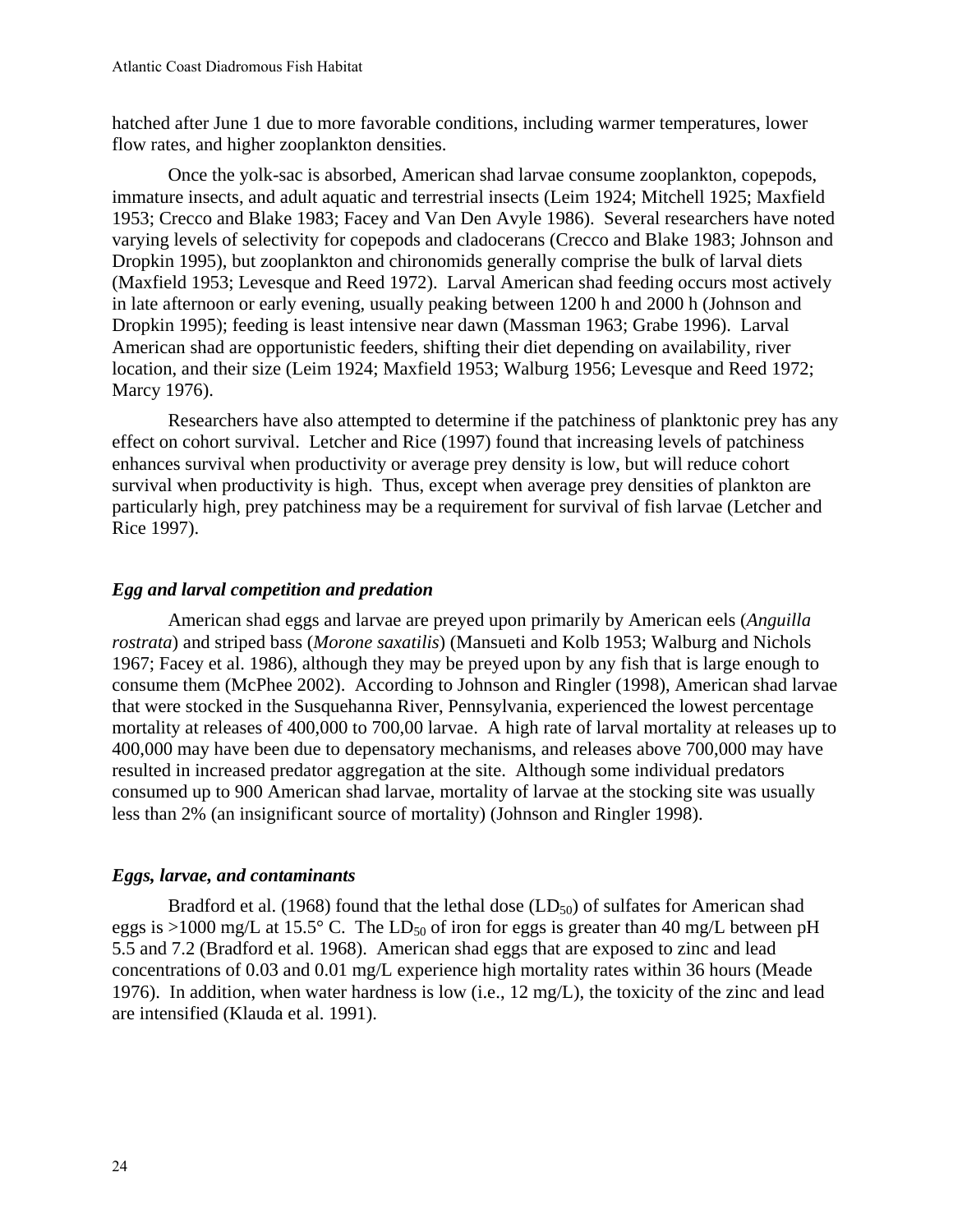hatched after June 1 due to more favorable conditions, including warmer temperatures, lower flow rates, and higher zooplankton densities.

Once the yolk-sac is absorbed, American shad larvae consume zooplankton, copepods, immature insects, and adult aquatic and terrestrial insects (Leim 1924; Mitchell 1925; Maxfield 1953; Crecco and Blake 1983; Facey and Van Den Avyle 1986). Several researchers have noted varying levels of selectivity for copepods and cladocerans (Crecco and Blake 1983; Johnson and Dropkin 1995), but zooplankton and chironomids generally comprise the bulk of larval diets (Maxfield 1953; Levesque and Reed 1972). Larval American shad feeding occurs most actively in late afternoon or early evening, usually peaking between 1200 h and 2000 h (Johnson and Dropkin 1995); feeding is least intensive near dawn (Massman 1963; Grabe 1996). Larval American shad are opportunistic feeders, shifting their diet depending on availability, river location, and their size (Leim 1924; Maxfield 1953; Walburg 1956; Levesque and Reed 1972; Marcy 1976).

Researchers have also attempted to determine if the patchiness of planktonic prey has any effect on cohort survival. Letcher and Rice (1997) found that increasing levels of patchiness enhances survival when productivity or average prey density is low, but will reduce cohort survival when productivity is high. Thus, except when average prey densities of plankton are particularly high, prey patchiness may be a requirement for survival of fish larvae (Letcher and Rice 1997).

## *Egg and larval competition and predation*

American shad eggs and larvae are preyed upon primarily by American eels (*Anguilla rostrata*) and striped bass (*Morone saxatilis*) (Mansueti and Kolb 1953; Walburg and Nichols 1967; Facey et al. 1986), although they may be preyed upon by any fish that is large enough to consume them (McPhee 2002). According to Johnson and Ringler (1998), American shad larvae that were stocked in the Susquehanna River, Pennsylvania, experienced the lowest percentage mortality at releases of 400,000 to 700,00 larvae. A high rate of larval mortality at releases up to 400,000 may have been due to depensatory mechanisms, and releases above 700,000 may have resulted in increased predator aggregation at the site. Although some individual predators consumed up to 900 American shad larvae, mortality of larvae at the stocking site was usually less than 2% (an insignificant source of mortality) (Johnson and Ringler 1998).

#### *Eggs, larvae, and contaminants*

Bradford et al. (1968) found that the lethal dose  $(LD_{50})$  of sulfates for American shad eggs is >1000 mg/L at 15.5° C. The LD<sub>50</sub> of iron for eggs is greater than 40 mg/L between pH 5.5 and 7.2 (Bradford et al. 1968). American shad eggs that are exposed to zinc and lead concentrations of 0.03 and 0.01 mg/L experience high mortality rates within 36 hours (Meade 1976). In addition, when water hardness is low (i.e., 12 mg/L), the toxicity of the zinc and lead are intensified (Klauda et al. 1991).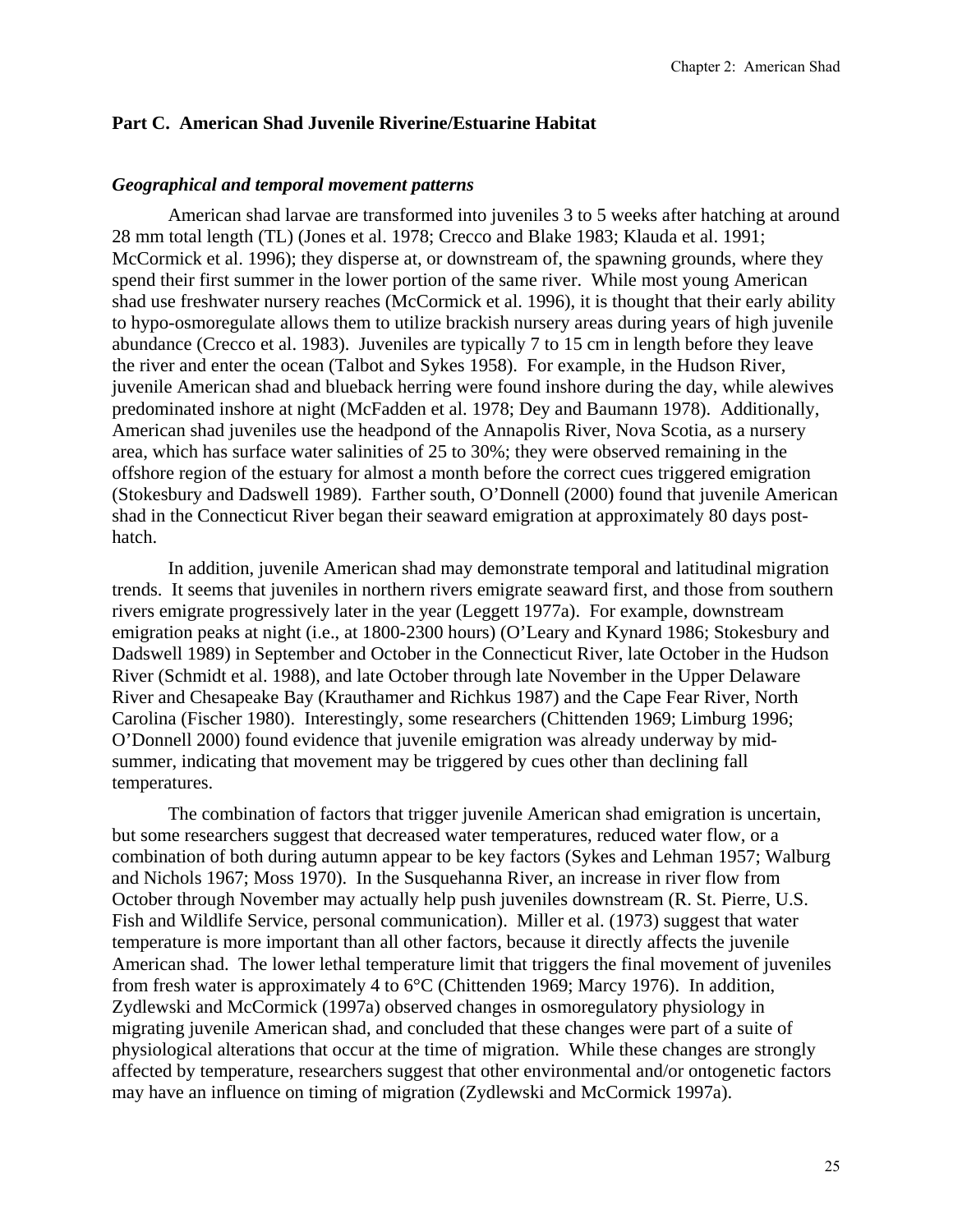### **Part C. American Shad Juvenile Riverine/Estuarine Habitat**

#### *Geographical and temporal movement patterns*

American shad larvae are transformed into juveniles 3 to 5 weeks after hatching at around 28 mm total length (TL) (Jones et al. 1978; Crecco and Blake 1983; Klauda et al. 1991; McCormick et al. 1996); they disperse at, or downstream of, the spawning grounds, where they spend their first summer in the lower portion of the same river. While most young American shad use freshwater nursery reaches (McCormick et al. 1996), it is thought that their early ability to hypo-osmoregulate allows them to utilize brackish nursery areas during years of high juvenile abundance (Crecco et al. 1983). Juveniles are typically 7 to 15 cm in length before they leave the river and enter the ocean (Talbot and Sykes 1958). For example, in the Hudson River, juvenile American shad and blueback herring were found inshore during the day, while alewives predominated inshore at night (McFadden et al. 1978; Dey and Baumann 1978). Additionally, American shad juveniles use the headpond of the Annapolis River, Nova Scotia, as a nursery area, which has surface water salinities of 25 to 30%; they were observed remaining in the offshore region of the estuary for almost a month before the correct cues triggered emigration (Stokesbury and Dadswell 1989). Farther south, O'Donnell (2000) found that juvenile American shad in the Connecticut River began their seaward emigration at approximately 80 days posthatch.

In addition, juvenile American shad may demonstrate temporal and latitudinal migration trends. It seems that juveniles in northern rivers emigrate seaward first, and those from southern rivers emigrate progressively later in the year (Leggett 1977a). For example, downstream emigration peaks at night (i.e., at 1800-2300 hours) (O'Leary and Kynard 1986; Stokesbury and Dadswell 1989) in September and October in the Connecticut River, late October in the Hudson River (Schmidt et al. 1988), and late October through late November in the Upper Delaware River and Chesapeake Bay (Krauthamer and Richkus 1987) and the Cape Fear River, North Carolina (Fischer 1980). Interestingly, some researchers (Chittenden 1969; Limburg 1996; O'Donnell 2000) found evidence that juvenile emigration was already underway by midsummer, indicating that movement may be triggered by cues other than declining fall temperatures.

The combination of factors that trigger juvenile American shad emigration is uncertain, but some researchers suggest that decreased water temperatures, reduced water flow, or a combination of both during autumn appear to be key factors (Sykes and Lehman 1957; Walburg and Nichols 1967; Moss 1970). In the Susquehanna River, an increase in river flow from October through November may actually help push juveniles downstream (R. St. Pierre, U.S. Fish and Wildlife Service, personal communication). Miller et al. (1973) suggest that water temperature is more important than all other factors, because it directly affects the juvenile American shad. The lower lethal temperature limit that triggers the final movement of juveniles from fresh water is approximately 4 to 6°C (Chittenden 1969; Marcy 1976). In addition, Zydlewski and McCormick (1997a) observed changes in osmoregulatory physiology in migrating juvenile American shad, and concluded that these changes were part of a suite of physiological alterations that occur at the time of migration. While these changes are strongly affected by temperature, researchers suggest that other environmental and/or ontogenetic factors may have an influence on timing of migration (Zydlewski and McCormick 1997a).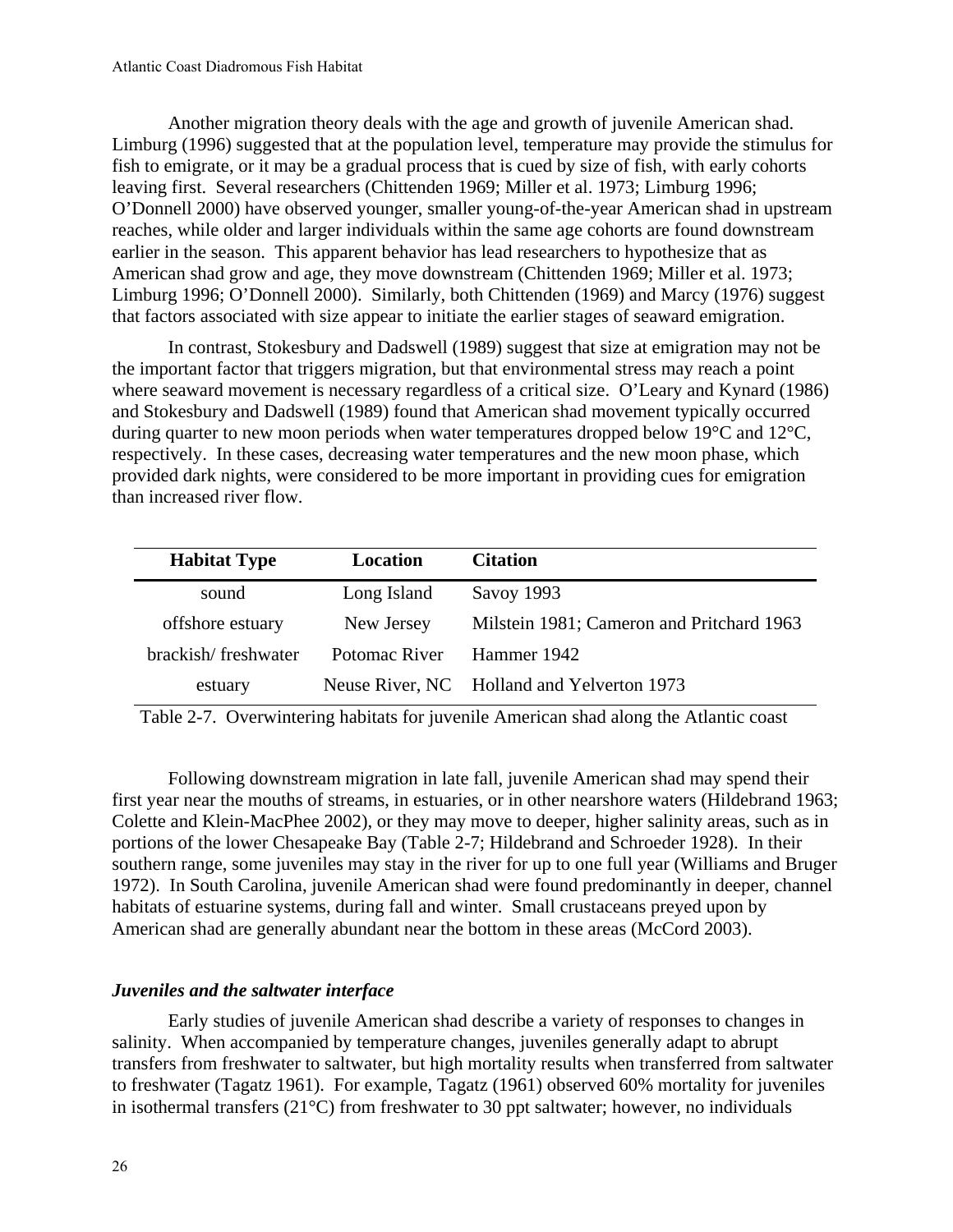Another migration theory deals with the age and growth of juvenile American shad. Limburg (1996) suggested that at the population level, temperature may provide the stimulus for fish to emigrate, or it may be a gradual process that is cued by size of fish, with early cohorts leaving first. Several researchers (Chittenden 1969; Miller et al. 1973; Limburg 1996; O'Donnell 2000) have observed younger, smaller young-of-the-year American shad in upstream reaches, while older and larger individuals within the same age cohorts are found downstream earlier in the season. This apparent behavior has lead researchers to hypothesize that as American shad grow and age, they move downstream (Chittenden 1969; Miller et al. 1973; Limburg 1996; O'Donnell 2000). Similarly, both Chittenden (1969) and Marcy (1976) suggest that factors associated with size appear to initiate the earlier stages of seaward emigration.

In contrast, Stokesbury and Dadswell (1989) suggest that size at emigration may not be the important factor that triggers migration, but that environmental stress may reach a point where seaward movement is necessary regardless of a critical size. O'Leary and Kynard (1986) and Stokesbury and Dadswell (1989) found that American shad movement typically occurred during quarter to new moon periods when water temperatures dropped below 19°C and 12°C, respectively. In these cases, decreasing water temperatures and the new moon phase, which provided dark nights, were considered to be more important in providing cues for emigration than increased river flow.

| <b>Habitat Type</b> | Location      | <b>Citation</b>                            |
|---------------------|---------------|--------------------------------------------|
| sound               | Long Island   | Savoy 1993                                 |
| offshore estuary    | New Jersey    | Milstein 1981; Cameron and Pritchard 1963  |
| brackish/freshwater | Potomac River | Hammer 1942                                |
| estuary             |               | Neuse River, NC Holland and Yelverton 1973 |

Table 2-7. Overwintering habitats for juvenile American shad along the Atlantic coast

Following downstream migration in late fall, juvenile American shad may spend their first year near the mouths of streams, in estuaries, or in other nearshore waters (Hildebrand 1963; Colette and Klein-MacPhee 2002), or they may move to deeper, higher salinity areas, such as in portions of the lower Chesapeake Bay (Table 2-7; Hildebrand and Schroeder 1928). In their southern range, some juveniles may stay in the river for up to one full year (Williams and Bruger 1972). In South Carolina, juvenile American shad were found predominantly in deeper, channel habitats of estuarine systems, during fall and winter. Small crustaceans preyed upon by American shad are generally abundant near the bottom in these areas (McCord 2003).

# *Juveniles and the saltwater interface*

Early studies of juvenile American shad describe a variety of responses to changes in salinity. When accompanied by temperature changes, juveniles generally adapt to abrupt transfers from freshwater to saltwater, but high mortality results when transferred from saltwater to freshwater (Tagatz 1961). For example, Tagatz (1961) observed 60% mortality for juveniles in isothermal transfers  $(21^{\circ}C)$  from freshwater to 30 ppt saltwater; however, no individuals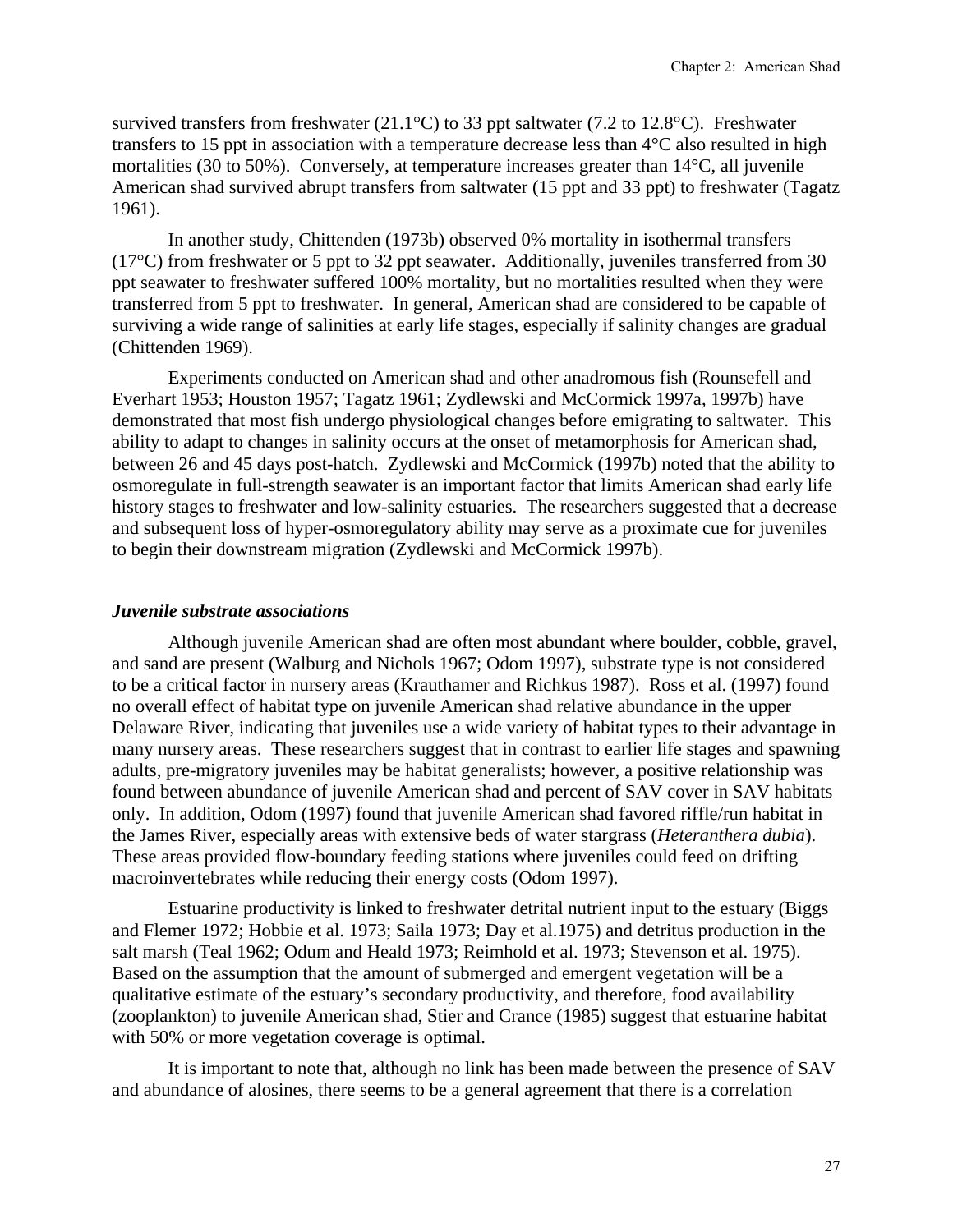survived transfers from freshwater (21.1°C) to 33 ppt saltwater (7.2 to 12.8°C). Freshwater transfers to 15 ppt in association with a temperature decrease less than 4°C also resulted in high mortalities (30 to 50%). Conversely, at temperature increases greater than 14°C, all juvenile American shad survived abrupt transfers from saltwater (15 ppt and 33 ppt) to freshwater (Tagatz 1961).

In another study, Chittenden (1973b) observed 0% mortality in isothermal transfers (17°C) from freshwater or 5 ppt to 32 ppt seawater. Additionally, juveniles transferred from 30 ppt seawater to freshwater suffered 100% mortality, but no mortalities resulted when they were transferred from 5 ppt to freshwater. In general, American shad are considered to be capable of surviving a wide range of salinities at early life stages, especially if salinity changes are gradual (Chittenden 1969).

Experiments conducted on American shad and other anadromous fish (Rounsefell and Everhart 1953; Houston 1957; Tagatz 1961; Zydlewski and McCormick 1997a, 1997b) have demonstrated that most fish undergo physiological changes before emigrating to saltwater. This ability to adapt to changes in salinity occurs at the onset of metamorphosis for American shad, between 26 and 45 days post-hatch. Zydlewski and McCormick (1997b) noted that the ability to osmoregulate in full-strength seawater is an important factor that limits American shad early life history stages to freshwater and low-salinity estuaries. The researchers suggested that a decrease and subsequent loss of hyper-osmoregulatory ability may serve as a proximate cue for juveniles to begin their downstream migration (Zydlewski and McCormick 1997b).

#### *Juvenile substrate associations*

Although juvenile American shad are often most abundant where boulder, cobble, gravel, and sand are present (Walburg and Nichols 1967; Odom 1997), substrate type is not considered to be a critical factor in nursery areas (Krauthamer and Richkus 1987). Ross et al. (1997) found no overall effect of habitat type on juvenile American shad relative abundance in the upper Delaware River, indicating that juveniles use a wide variety of habitat types to their advantage in many nursery areas. These researchers suggest that in contrast to earlier life stages and spawning adults, pre-migratory juveniles may be habitat generalists; however, a positive relationship was found between abundance of juvenile American shad and percent of SAV cover in SAV habitats only. In addition, Odom (1997) found that juvenile American shad favored riffle/run habitat in the James River, especially areas with extensive beds of water stargrass (*Heteranthera dubia*). These areas provided flow-boundary feeding stations where juveniles could feed on drifting macroinvertebrates while reducing their energy costs (Odom 1997).

Estuarine productivity is linked to freshwater detrital nutrient input to the estuary (Biggs and Flemer 1972; Hobbie et al. 1973; Saila 1973; Day et al.1975) and detritus production in the salt marsh (Teal 1962; Odum and Heald 1973; Reimhold et al. 1973; Stevenson et al. 1975). Based on the assumption that the amount of submerged and emergent vegetation will be a qualitative estimate of the estuary's secondary productivity, and therefore, food availability (zooplankton) to juvenile American shad, Stier and Crance (1985) suggest that estuarine habitat with 50% or more vegetation coverage is optimal.

It is important to note that, although no link has been made between the presence of SAV and abundance of alosines, there seems to be a general agreement that there is a correlation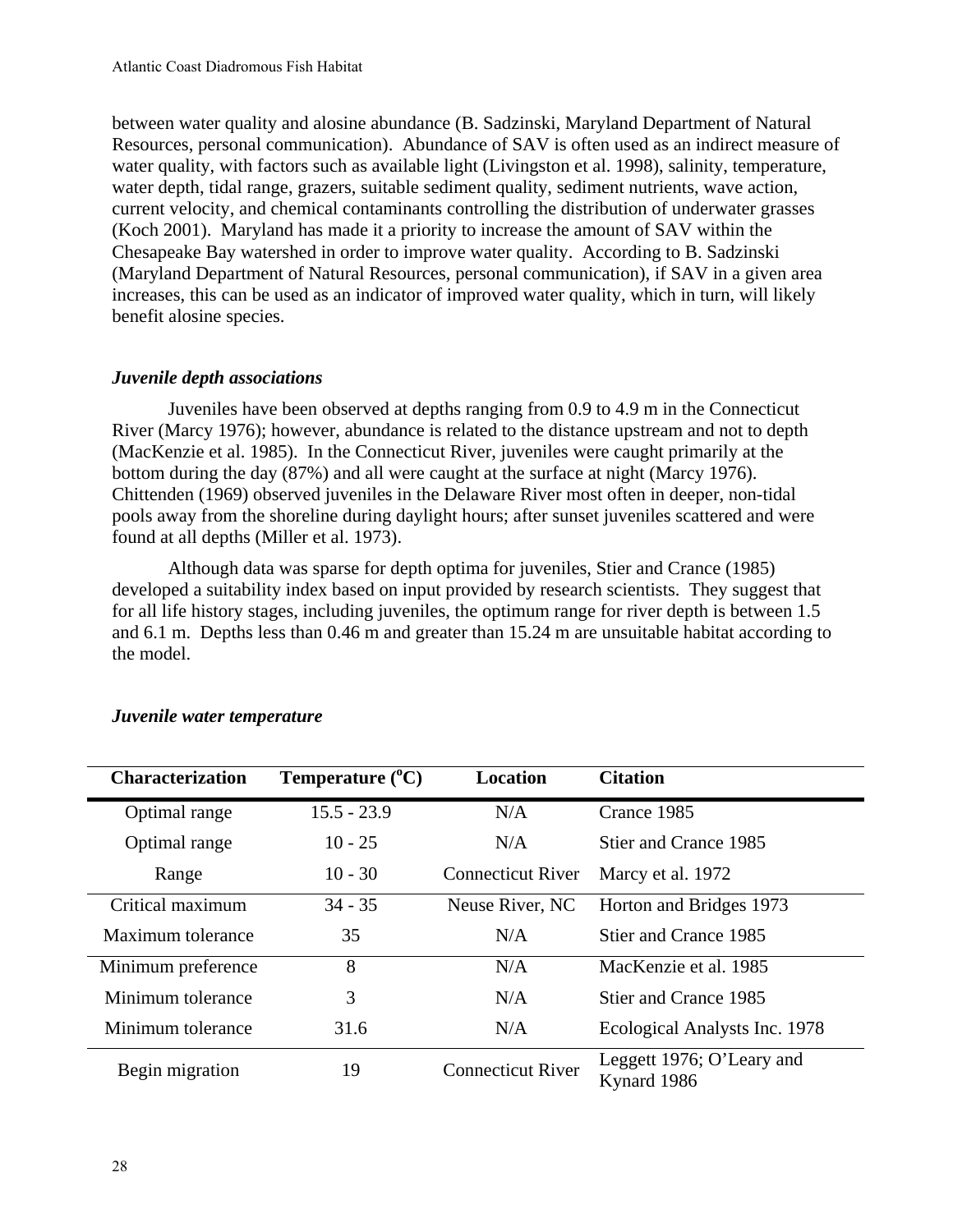between water quality and alosine abundance (B. Sadzinski, Maryland Department of Natural Resources, personal communication). Abundance of SAV is often used as an indirect measure of water quality, with factors such as available light (Livingston et al. 1998), salinity, temperature, water depth, tidal range, grazers, suitable sediment quality, sediment nutrients, wave action, current velocity, and chemical contaminants controlling the distribution of underwater grasses (Koch 2001). Maryland has made it a priority to increase the amount of SAV within the Chesapeake Bay watershed in order to improve water quality. According to B. Sadzinski (Maryland Department of Natural Resources, personal communication), if SAV in a given area increases, this can be used as an indicator of improved water quality, which in turn, will likely benefit alosine species.

## *Juvenile depth associations*

Juveniles have been observed at depths ranging from 0.9 to 4.9 m in the Connecticut River (Marcy 1976); however, abundance is related to the distance upstream and not to depth (MacKenzie et al. 1985). In the Connecticut River, juveniles were caught primarily at the bottom during the day (87%) and all were caught at the surface at night (Marcy 1976). Chittenden (1969) observed juveniles in the Delaware River most often in deeper, non-tidal pools away from the shoreline during daylight hours; after sunset juveniles scattered and were found at all depths (Miller et al. 1973).

Although data was sparse for depth optima for juveniles, Stier and Crance (1985) developed a suitability index based on input provided by research scientists. They suggest that for all life history stages, including juveniles, the optimum range for river depth is between 1.5 and 6.1 m. Depths less than 0.46 m and greater than 15.24 m are unsuitable habitat according to the model.

| <b>Characterization</b> | Temperature $(^{\circ}C)$ | <b>Location</b>          | <b>Citation</b>                          |
|-------------------------|---------------------------|--------------------------|------------------------------------------|
| Optimal range           | $15.5 - 23.9$             | N/A                      | Crance 1985                              |
| Optimal range           | $10 - 25$                 | N/A                      | Stier and Crance 1985                    |
| Range                   | $10 - 30$                 | <b>Connecticut River</b> | Marcy et al. 1972                        |
| Critical maximum        | $34 - 35$                 | Neuse River, NC          | Horton and Bridges 1973                  |
| Maximum tolerance       | 35                        | N/A                      | Stier and Crance 1985                    |
| Minimum preference      | 8                         | N/A                      | MacKenzie et al. 1985                    |
| Minimum tolerance       | 3                         | N/A                      | Stier and Crance 1985                    |
| Minimum tolerance       | 31.6                      | N/A                      | Ecological Analysts Inc. 1978            |
| Begin migration         | 19                        | <b>Connecticut River</b> | Leggett 1976; O'Leary and<br>Kynard 1986 |

# *Juvenile water temperature*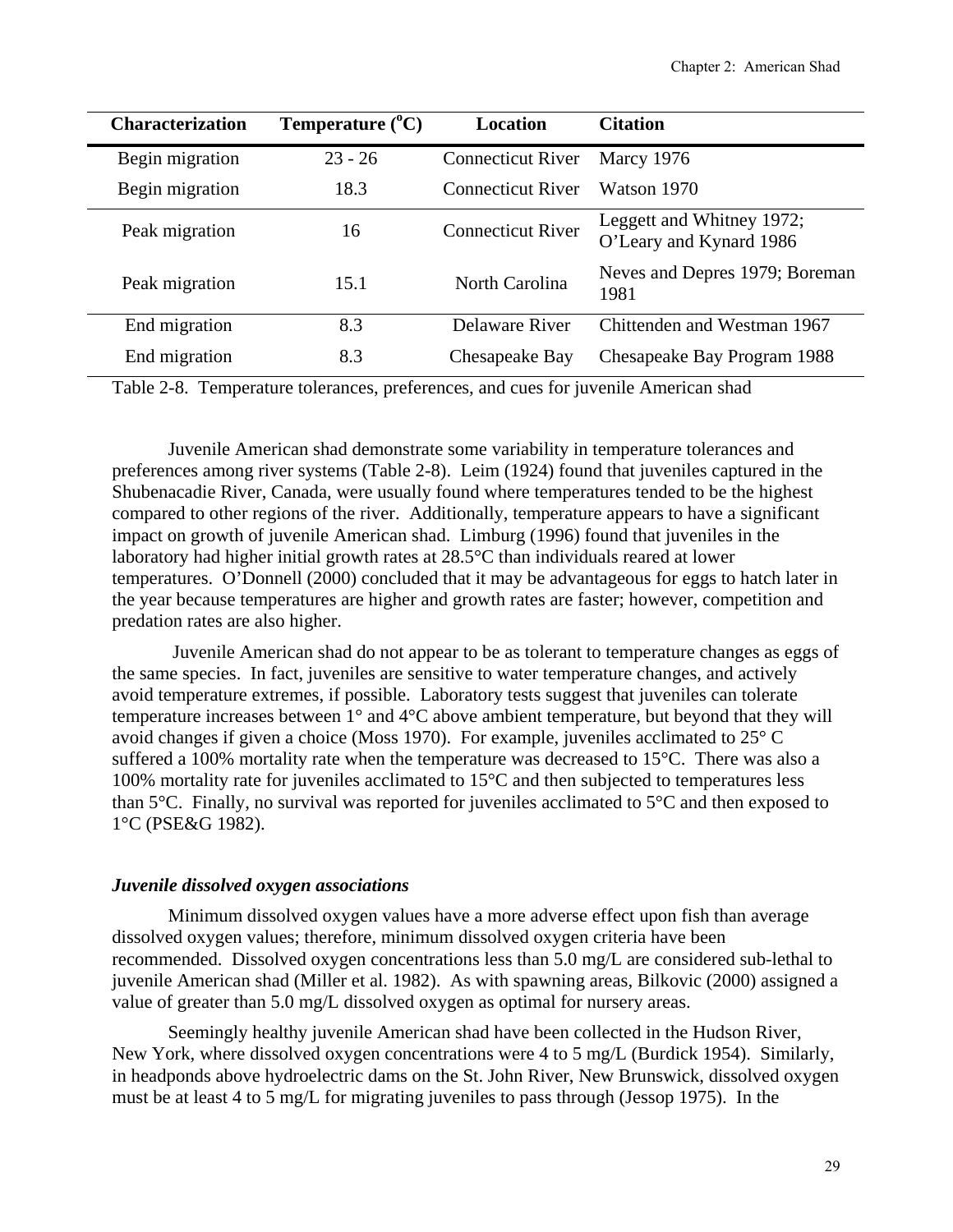| <b>Characterization</b> | Temperature $(^{\circ}C)$ | Location                 | <b>Citation</b>                                      |
|-------------------------|---------------------------|--------------------------|------------------------------------------------------|
| Begin migration         | $23 - 26$                 | <b>Connecticut River</b> | Marcy 1976                                           |
| Begin migration         | 18.3                      | <b>Connecticut River</b> | Watson 1970                                          |
| Peak migration          | 16                        | <b>Connecticut River</b> | Leggett and Whitney 1972;<br>O'Leary and Kynard 1986 |
| Peak migration          | 15.1                      | North Carolina           | Neves and Depres 1979; Boreman<br>1981               |
| End migration           | 8.3                       | Delaware River           | Chittenden and Westman 1967                          |
| End migration           | 8.3                       | Chesapeake Bay           | Chesapeake Bay Program 1988                          |

Table 2-8. Temperature tolerances, preferences, and cues for juvenile American shad

Juvenile American shad demonstrate some variability in temperature tolerances and preferences among river systems (Table 2-8). Leim (1924) found that juveniles captured in the Shubenacadie River, Canada, were usually found where temperatures tended to be the highest compared to other regions of the river. Additionally, temperature appears to have a significant impact on growth of juvenile American shad. Limburg (1996) found that juveniles in the laboratory had higher initial growth rates at 28.5°C than individuals reared at lower temperatures. O'Donnell (2000) concluded that it may be advantageous for eggs to hatch later in the year because temperatures are higher and growth rates are faster; however, competition and predation rates are also higher.

 Juvenile American shad do not appear to be as tolerant to temperature changes as eggs of the same species. In fact, juveniles are sensitive to water temperature changes, and actively avoid temperature extremes, if possible. Laboratory tests suggest that juveniles can tolerate temperature increases between 1° and 4°C above ambient temperature, but beyond that they will avoid changes if given a choice (Moss 1970). For example, juveniles acclimated to 25° C suffered a 100% mortality rate when the temperature was decreased to 15°C. There was also a 100% mortality rate for juveniles acclimated to 15°C and then subjected to temperatures less than 5°C. Finally, no survival was reported for juveniles acclimated to 5°C and then exposed to 1°C (PSE&G 1982).

#### *Juvenile dissolved oxygen associations*

Minimum dissolved oxygen values have a more adverse effect upon fish than average dissolved oxygen values; therefore, minimum dissolved oxygen criteria have been recommended. Dissolved oxygen concentrations less than 5.0 mg/L are considered sub-lethal to juvenile American shad (Miller et al. 1982). As with spawning areas, Bilkovic (2000) assigned a value of greater than 5.0 mg/L dissolved oxygen as optimal for nursery areas.

Seemingly healthy juvenile American shad have been collected in the Hudson River, New York, where dissolved oxygen concentrations were 4 to 5 mg/L (Burdick 1954). Similarly, in headponds above hydroelectric dams on the St. John River, New Brunswick, dissolved oxygen must be at least 4 to 5 mg/L for migrating juveniles to pass through (Jessop 1975). In the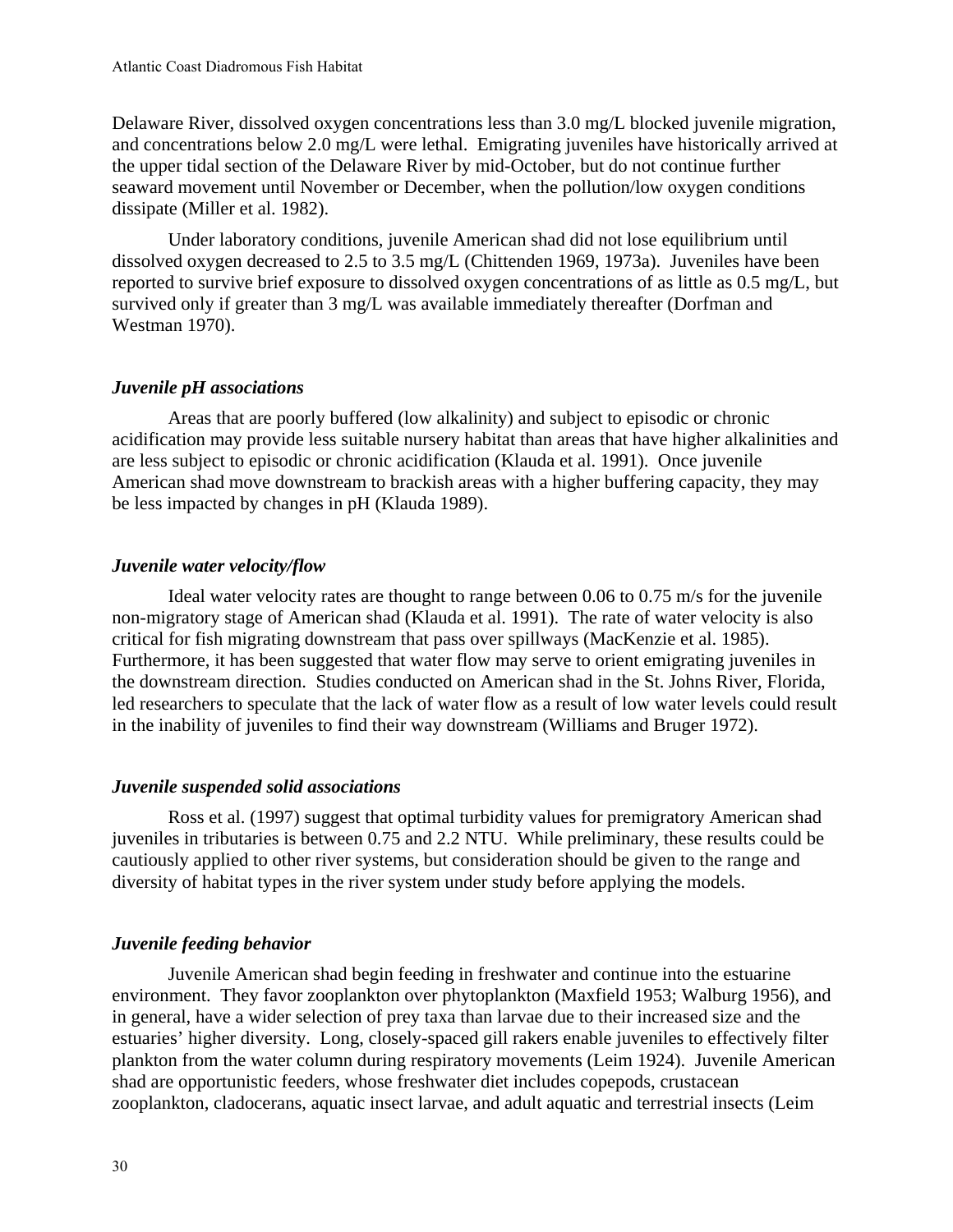Delaware River, dissolved oxygen concentrations less than 3.0 mg/L blocked juvenile migration, and concentrations below 2.0 mg/L were lethal. Emigrating juveniles have historically arrived at the upper tidal section of the Delaware River by mid-October, but do not continue further seaward movement until November or December, when the pollution/low oxygen conditions dissipate (Miller et al. 1982).

Under laboratory conditions, juvenile American shad did not lose equilibrium until dissolved oxygen decreased to 2.5 to 3.5 mg/L (Chittenden 1969, 1973a). Juveniles have been reported to survive brief exposure to dissolved oxygen concentrations of as little as 0.5 mg/L, but survived only if greater than 3 mg/L was available immediately thereafter (Dorfman and Westman 1970).

# *Juvenile pH associations*

Areas that are poorly buffered (low alkalinity) and subject to episodic or chronic acidification may provide less suitable nursery habitat than areas that have higher alkalinities and are less subject to episodic or chronic acidification (Klauda et al. 1991). Once juvenile American shad move downstream to brackish areas with a higher buffering capacity, they may be less impacted by changes in pH (Klauda 1989).

# *Juvenile water velocity/flow*

Ideal water velocity rates are thought to range between 0.06 to 0.75 m/s for the juvenile non-migratory stage of American shad (Klauda et al. 1991). The rate of water velocity is also critical for fish migrating downstream that pass over spillways (MacKenzie et al. 1985). Furthermore, it has been suggested that water flow may serve to orient emigrating juveniles in the downstream direction. Studies conducted on American shad in the St. Johns River, Florida, led researchers to speculate that the lack of water flow as a result of low water levels could result in the inability of juveniles to find their way downstream (Williams and Bruger 1972).

# *Juvenile suspended solid associations*

Ross et al. (1997) suggest that optimal turbidity values for premigratory American shad juveniles in tributaries is between 0.75 and 2.2 NTU. While preliminary, these results could be cautiously applied to other river systems, but consideration should be given to the range and diversity of habitat types in the river system under study before applying the models.

# *Juvenile feeding behavior*

Juvenile American shad begin feeding in freshwater and continue into the estuarine environment. They favor zooplankton over phytoplankton (Maxfield 1953; Walburg 1956), and in general, have a wider selection of prey taxa than larvae due to their increased size and the estuaries' higher diversity. Long, closely-spaced gill rakers enable juveniles to effectively filter plankton from the water column during respiratory movements (Leim 1924). Juvenile American shad are opportunistic feeders, whose freshwater diet includes copepods, crustacean zooplankton, cladocerans, aquatic insect larvae, and adult aquatic and terrestrial insects (Leim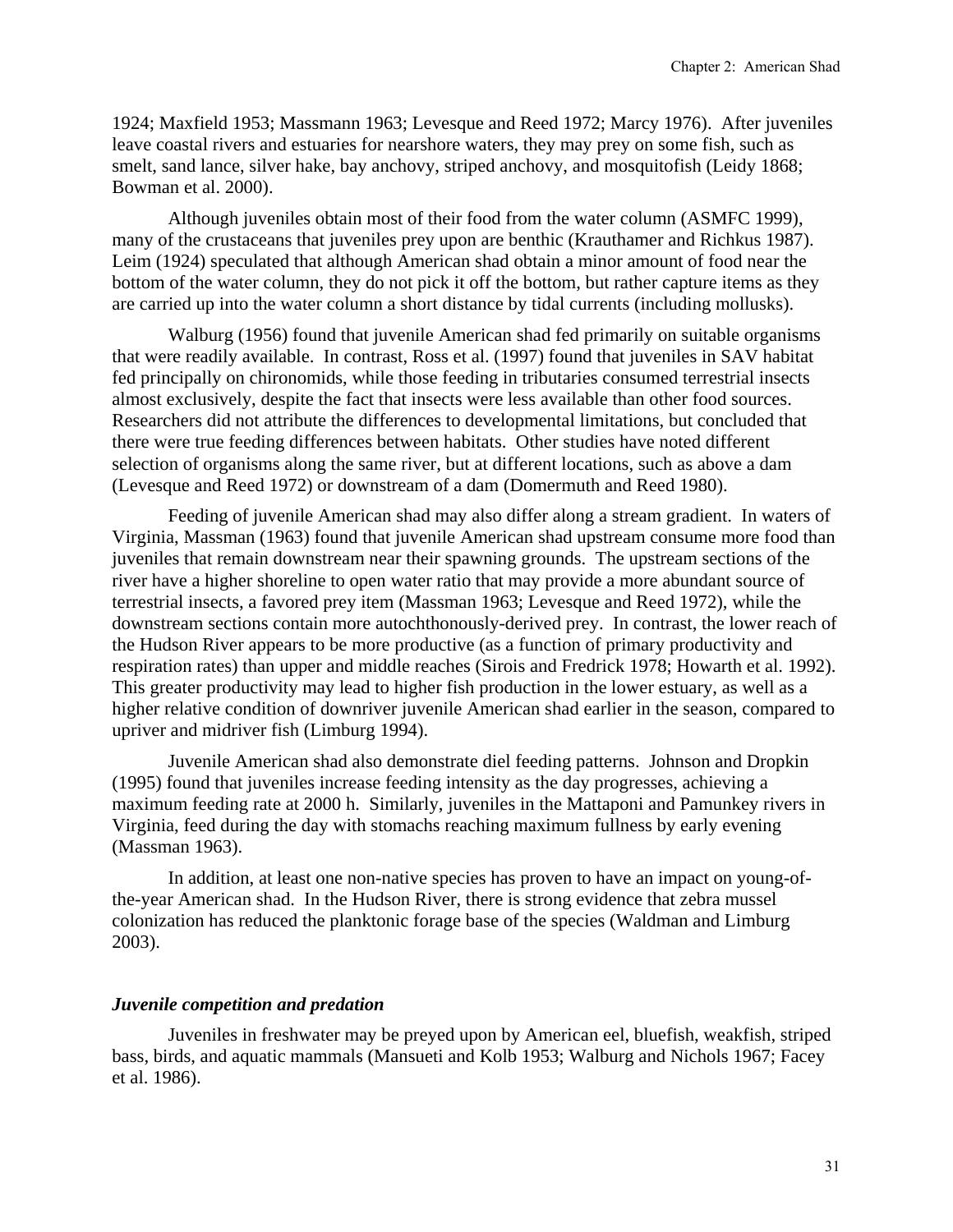1924; Maxfield 1953; Massmann 1963; Levesque and Reed 1972; Marcy 1976). After juveniles leave coastal rivers and estuaries for nearshore waters, they may prey on some fish, such as smelt, sand lance, silver hake, bay anchovy, striped anchovy, and mosquitofish (Leidy 1868; Bowman et al. 2000).

Although juveniles obtain most of their food from the water column (ASMFC 1999), many of the crustaceans that juveniles prey upon are benthic (Krauthamer and Richkus 1987). Leim (1924) speculated that although American shad obtain a minor amount of food near the bottom of the water column, they do not pick it off the bottom, but rather capture items as they are carried up into the water column a short distance by tidal currents (including mollusks).

Walburg (1956) found that juvenile American shad fed primarily on suitable organisms that were readily available. In contrast, Ross et al. (1997) found that juveniles in SAV habitat fed principally on chironomids, while those feeding in tributaries consumed terrestrial insects almost exclusively, despite the fact that insects were less available than other food sources. Researchers did not attribute the differences to developmental limitations, but concluded that there were true feeding differences between habitats. Other studies have noted different selection of organisms along the same river, but at different locations, such as above a dam (Levesque and Reed 1972) or downstream of a dam (Domermuth and Reed 1980).

Feeding of juvenile American shad may also differ along a stream gradient. In waters of Virginia, Massman (1963) found that juvenile American shad upstream consume more food than juveniles that remain downstream near their spawning grounds. The upstream sections of the river have a higher shoreline to open water ratio that may provide a more abundant source of terrestrial insects, a favored prey item (Massman 1963; Levesque and Reed 1972), while the downstream sections contain more autochthonously-derived prey. In contrast, the lower reach of the Hudson River appears to be more productive (as a function of primary productivity and respiration rates) than upper and middle reaches (Sirois and Fredrick 1978; Howarth et al. 1992). This greater productivity may lead to higher fish production in the lower estuary, as well as a higher relative condition of downriver juvenile American shad earlier in the season, compared to upriver and midriver fish (Limburg 1994).

Juvenile American shad also demonstrate diel feeding patterns. Johnson and Dropkin (1995) found that juveniles increase feeding intensity as the day progresses, achieving a maximum feeding rate at 2000 h. Similarly, juveniles in the Mattaponi and Pamunkey rivers in Virginia, feed during the day with stomachs reaching maximum fullness by early evening (Massman 1963).

In addition, at least one non-native species has proven to have an impact on young-ofthe-year American shad. In the Hudson River, there is strong evidence that zebra mussel colonization has reduced the planktonic forage base of the species (Waldman and Limburg 2003).

#### *Juvenile competition and predation*

Juveniles in freshwater may be preyed upon by American eel, bluefish, weakfish, striped bass, birds, and aquatic mammals (Mansueti and Kolb 1953; Walburg and Nichols 1967; Facey et al. 1986).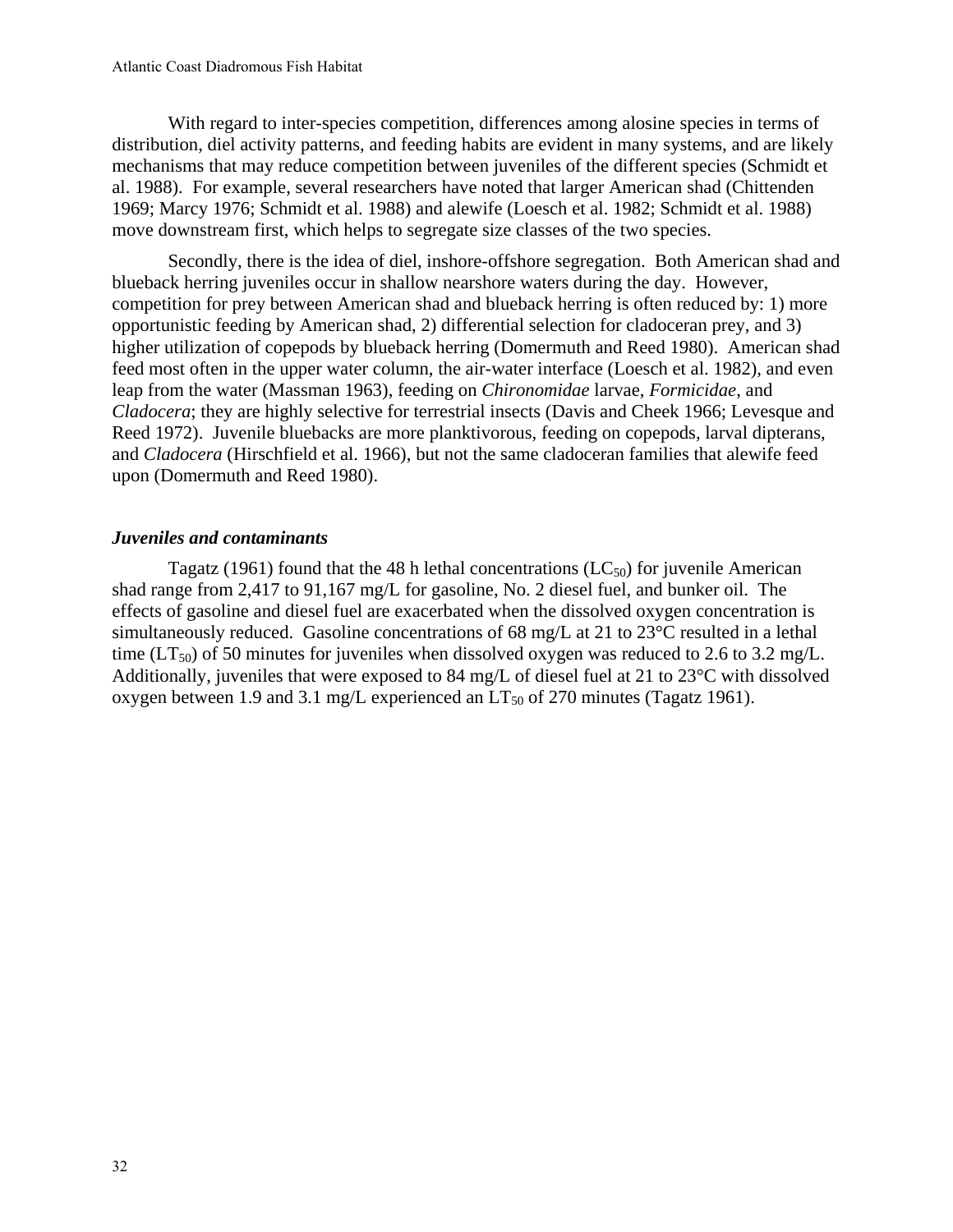With regard to inter-species competition, differences among alosine species in terms of distribution, diel activity patterns, and feeding habits are evident in many systems, and are likely mechanisms that may reduce competition between juveniles of the different species (Schmidt et al. 1988). For example, several researchers have noted that larger American shad (Chittenden 1969; Marcy 1976; Schmidt et al. 1988) and alewife (Loesch et al. 1982; Schmidt et al. 1988) move downstream first, which helps to segregate size classes of the two species.

Secondly, there is the idea of diel, inshore-offshore segregation. Both American shad and blueback herring juveniles occur in shallow nearshore waters during the day. However, competition for prey between American shad and blueback herring is often reduced by: 1) more opportunistic feeding by American shad, 2) differential selection for cladoceran prey, and 3) higher utilization of copepods by blueback herring (Domermuth and Reed 1980). American shad feed most often in the upper water column, the air-water interface (Loesch et al. 1982), and even leap from the water (Massman 1963), feeding on *Chironomidae* larvae, *Formicidae*, and *Cladocera*; they are highly selective for terrestrial insects (Davis and Cheek 1966; Levesque and Reed 1972). Juvenile bluebacks are more planktivorous, feeding on copepods, larval dipterans, and *Cladocera* (Hirschfield et al. 1966), but not the same cladoceran families that alewife feed upon (Domermuth and Reed 1980).

# *Juveniles and contaminants*

Tagatz (1961) found that the 48 h lethal concentrations ( $LC_{50}$ ) for juvenile American shad range from 2,417 to 91,167 mg/L for gasoline, No. 2 diesel fuel, and bunker oil. The effects of gasoline and diesel fuel are exacerbated when the dissolved oxygen concentration is simultaneously reduced. Gasoline concentrations of 68 mg/L at 21 to 23°C resulted in a lethal time (LT<sub>50</sub>) of 50 minutes for juveniles when dissolved oxygen was reduced to 2.6 to 3.2 mg/L. Additionally, juveniles that were exposed to 84 mg/L of diesel fuel at 21 to 23°C with dissolved oxygen between 1.9 and 3.1 mg/L experienced an  $LT_{50}$  of 270 minutes (Tagatz 1961).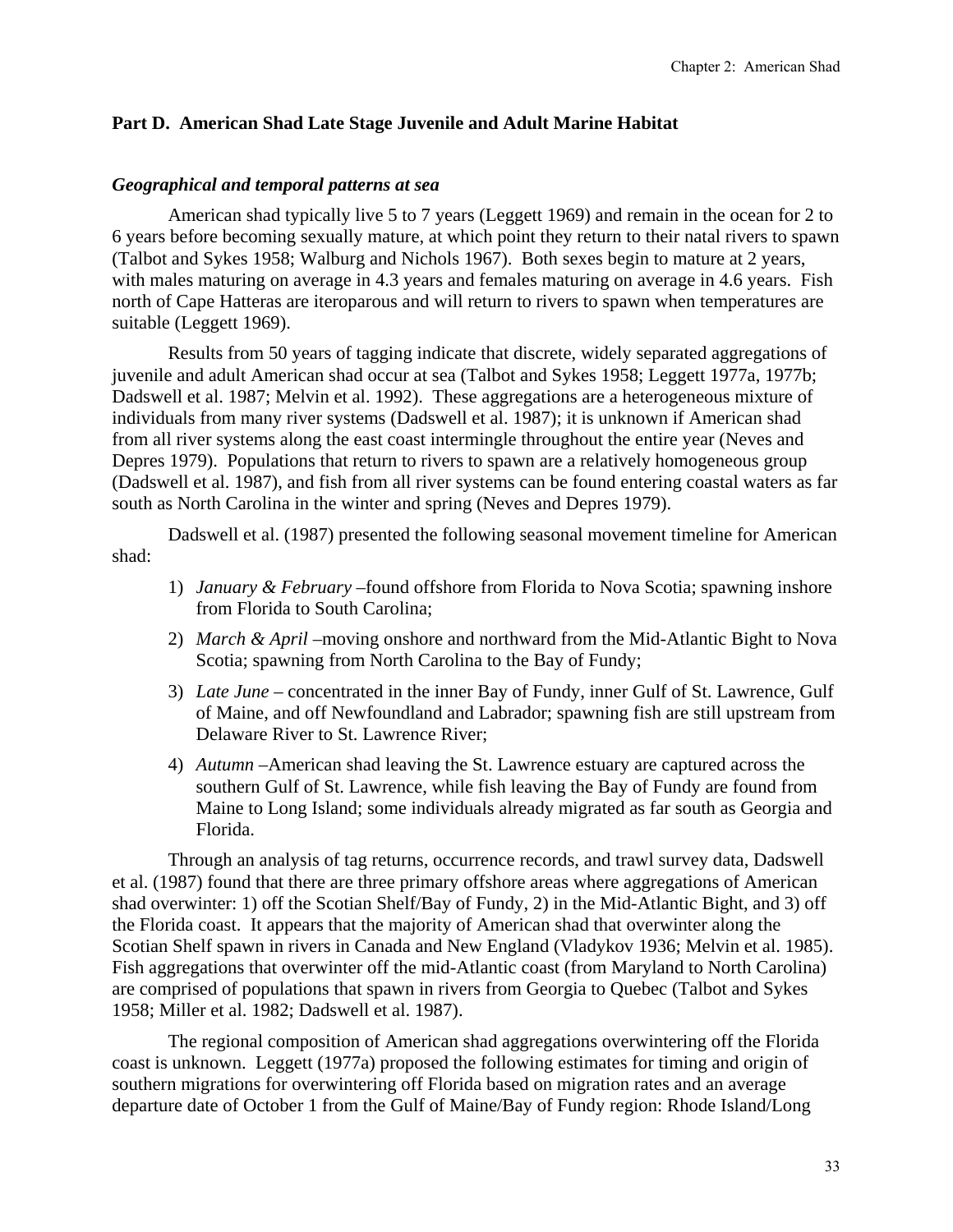# **Part D. American Shad Late Stage Juvenile and Adult Marine Habitat**

## *Geographical and temporal patterns at sea*

American shad typically live 5 to 7 years (Leggett 1969) and remain in the ocean for 2 to 6 years before becoming sexually mature, at which point they return to their natal rivers to spawn (Talbot and Sykes 1958; Walburg and Nichols 1967). Both sexes begin to mature at 2 years, with males maturing on average in 4.3 years and females maturing on average in 4.6 years. Fish north of Cape Hatteras are iteroparous and will return to rivers to spawn when temperatures are suitable (Leggett 1969).

Results from 50 years of tagging indicate that discrete, widely separated aggregations of juvenile and adult American shad occur at sea (Talbot and Sykes 1958; Leggett 1977a, 1977b; Dadswell et al. 1987; Melvin et al. 1992). These aggregations are a heterogeneous mixture of individuals from many river systems (Dadswell et al. 1987); it is unknown if American shad from all river systems along the east coast intermingle throughout the entire year (Neves and Depres 1979). Populations that return to rivers to spawn are a relatively homogeneous group (Dadswell et al. 1987), and fish from all river systems can be found entering coastal waters as far south as North Carolina in the winter and spring (Neves and Depres 1979).

Dadswell et al. (1987) presented the following seasonal movement timeline for American shad:

- 1) *January & February* –found offshore from Florida to Nova Scotia; spawning inshore from Florida to South Carolina;
- 2) *March & April* –moving onshore and northward from the Mid-Atlantic Bight to Nova Scotia; spawning from North Carolina to the Bay of Fundy;
- 3) *Late June* concentrated in the inner Bay of Fundy, inner Gulf of St. Lawrence, Gulf of Maine, and off Newfoundland and Labrador; spawning fish are still upstream from Delaware River to St. Lawrence River;
- 4) *Autumn* –American shad leaving the St. Lawrence estuary are captured across the southern Gulf of St. Lawrence, while fish leaving the Bay of Fundy are found from Maine to Long Island; some individuals already migrated as far south as Georgia and Florida.

Through an analysis of tag returns, occurrence records, and trawl survey data, Dadswell et al. (1987) found that there are three primary offshore areas where aggregations of American shad overwinter: 1) off the Scotian Shelf/Bay of Fundy, 2) in the Mid-Atlantic Bight, and 3) off the Florida coast. It appears that the majority of American shad that overwinter along the Scotian Shelf spawn in rivers in Canada and New England (Vladykov 1936; Melvin et al. 1985). Fish aggregations that overwinter off the mid-Atlantic coast (from Maryland to North Carolina) are comprised of populations that spawn in rivers from Georgia to Quebec (Talbot and Sykes 1958; Miller et al. 1982; Dadswell et al. 1987).

The regional composition of American shad aggregations overwintering off the Florida coast is unknown. Leggett (1977a) proposed the following estimates for timing and origin of southern migrations for overwintering off Florida based on migration rates and an average departure date of October 1 from the Gulf of Maine/Bay of Fundy region: Rhode Island/Long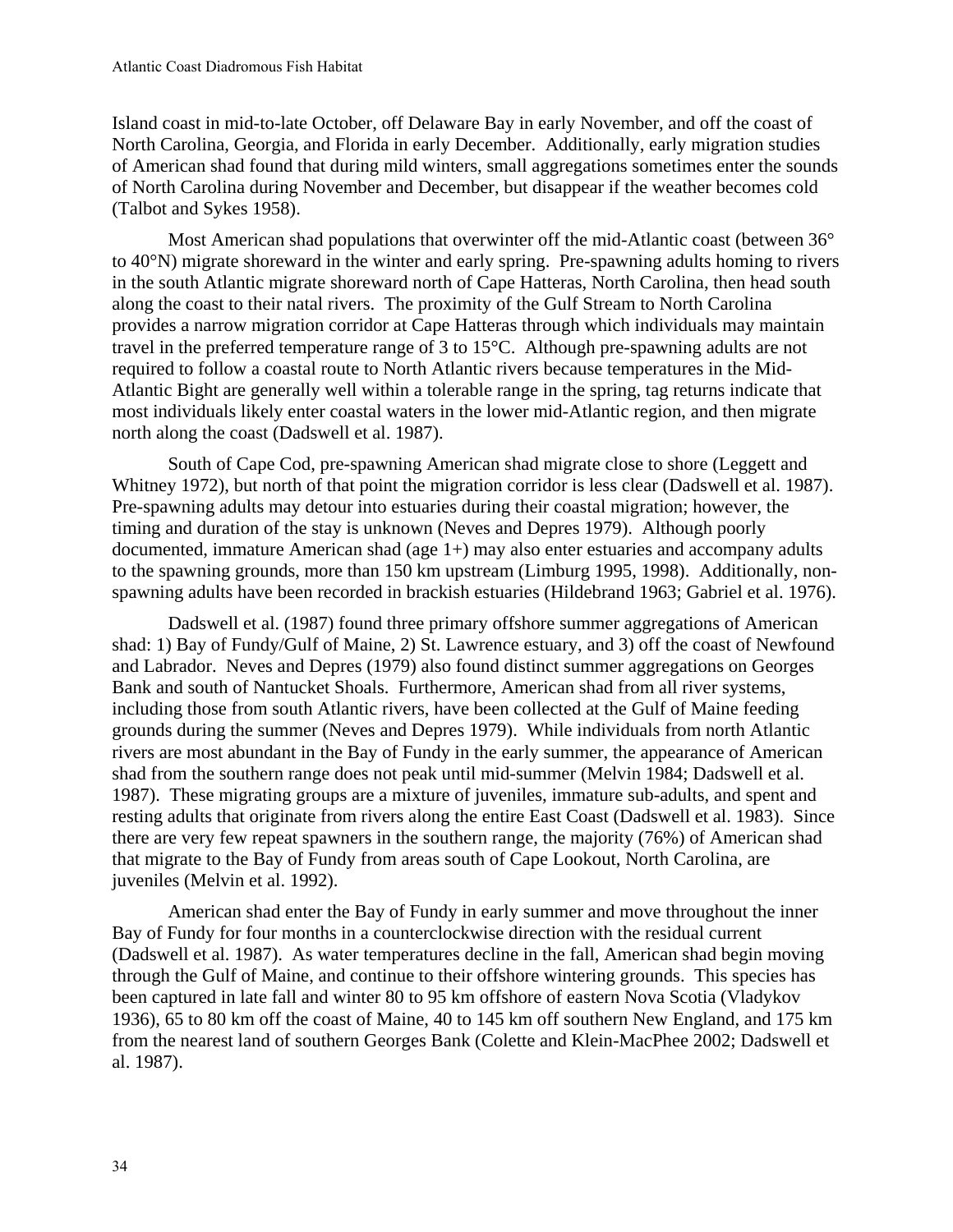Island coast in mid-to-late October, off Delaware Bay in early November, and off the coast of North Carolina, Georgia, and Florida in early December. Additionally, early migration studies of American shad found that during mild winters, small aggregations sometimes enter the sounds of North Carolina during November and December, but disappear if the weather becomes cold (Talbot and Sykes 1958).

Most American shad populations that overwinter off the mid-Atlantic coast (between 36° to 40°N) migrate shoreward in the winter and early spring. Pre-spawning adults homing to rivers in the south Atlantic migrate shoreward north of Cape Hatteras, North Carolina, then head south along the coast to their natal rivers. The proximity of the Gulf Stream to North Carolina provides a narrow migration corridor at Cape Hatteras through which individuals may maintain travel in the preferred temperature range of 3 to 15°C. Although pre-spawning adults are not required to follow a coastal route to North Atlantic rivers because temperatures in the Mid-Atlantic Bight are generally well within a tolerable range in the spring, tag returns indicate that most individuals likely enter coastal waters in the lower mid-Atlantic region, and then migrate north along the coast (Dadswell et al. 1987).

South of Cape Cod, pre-spawning American shad migrate close to shore (Leggett and Whitney 1972), but north of that point the migration corridor is less clear (Dadswell et al. 1987). Pre-spawning adults may detour into estuaries during their coastal migration; however, the timing and duration of the stay is unknown (Neves and Depres 1979). Although poorly documented, immature American shad (age 1+) may also enter estuaries and accompany adults to the spawning grounds, more than 150 km upstream (Limburg 1995, 1998). Additionally, nonspawning adults have been recorded in brackish estuaries (Hildebrand 1963; Gabriel et al. 1976).

Dadswell et al. (1987) found three primary offshore summer aggregations of American shad: 1) Bay of Fundy/Gulf of Maine, 2) St. Lawrence estuary, and 3) off the coast of Newfound and Labrador. Neves and Depres (1979) also found distinct summer aggregations on Georges Bank and south of Nantucket Shoals. Furthermore, American shad from all river systems, including those from south Atlantic rivers, have been collected at the Gulf of Maine feeding grounds during the summer (Neves and Depres 1979). While individuals from north Atlantic rivers are most abundant in the Bay of Fundy in the early summer, the appearance of American shad from the southern range does not peak until mid-summer (Melvin 1984; Dadswell et al. 1987). These migrating groups are a mixture of juveniles, immature sub-adults, and spent and resting adults that originate from rivers along the entire East Coast (Dadswell et al. 1983). Since there are very few repeat spawners in the southern range, the majority (76%) of American shad that migrate to the Bay of Fundy from areas south of Cape Lookout, North Carolina, are juveniles (Melvin et al. 1992).

American shad enter the Bay of Fundy in early summer and move throughout the inner Bay of Fundy for four months in a counterclockwise direction with the residual current (Dadswell et al. 1987). As water temperatures decline in the fall, American shad begin moving through the Gulf of Maine, and continue to their offshore wintering grounds. This species has been captured in late fall and winter 80 to 95 km offshore of eastern Nova Scotia (Vladykov 1936), 65 to 80 km off the coast of Maine, 40 to 145 km off southern New England, and 175 km from the nearest land of southern Georges Bank (Colette and Klein-MacPhee 2002; Dadswell et al. 1987).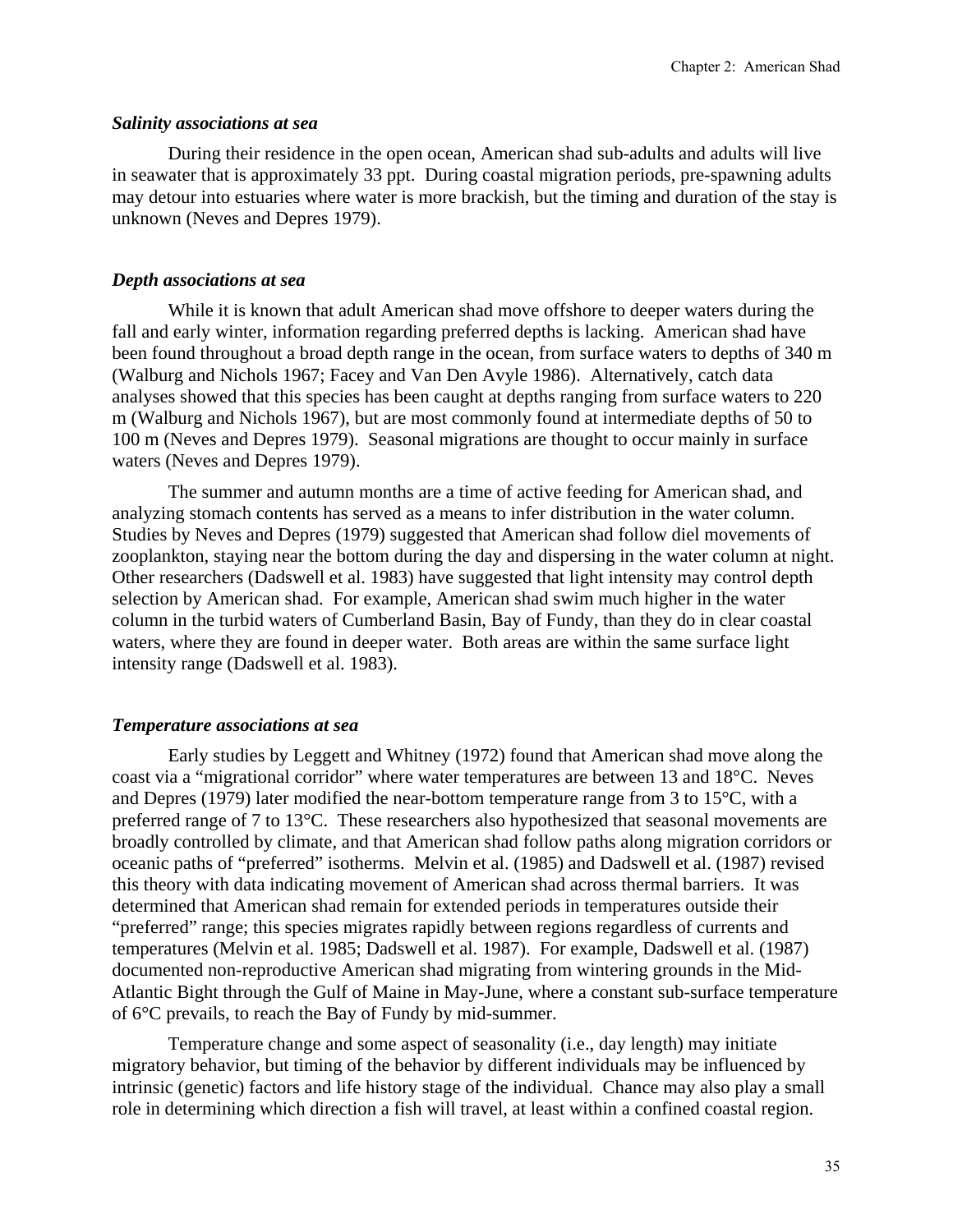## *Salinity associations at sea*

During their residence in the open ocean, American shad sub-adults and adults will live in seawater that is approximately 33 ppt. During coastal migration periods, pre-spawning adults may detour into estuaries where water is more brackish, but the timing and duration of the stay is unknown (Neves and Depres 1979).

# *Depth associations at sea*

While it is known that adult American shad move offshore to deeper waters during the fall and early winter, information regarding preferred depths is lacking. American shad have been found throughout a broad depth range in the ocean, from surface waters to depths of 340 m (Walburg and Nichols 1967; Facey and Van Den Avyle 1986). Alternatively, catch data analyses showed that this species has been caught at depths ranging from surface waters to 220 m (Walburg and Nichols 1967), but are most commonly found at intermediate depths of 50 to 100 m (Neves and Depres 1979). Seasonal migrations are thought to occur mainly in surface waters (Neves and Depres 1979).

The summer and autumn months are a time of active feeding for American shad, and analyzing stomach contents has served as a means to infer distribution in the water column. Studies by Neves and Depres (1979) suggested that American shad follow diel movements of zooplankton, staying near the bottom during the day and dispersing in the water column at night. Other researchers (Dadswell et al. 1983) have suggested that light intensity may control depth selection by American shad. For example, American shad swim much higher in the water column in the turbid waters of Cumberland Basin, Bay of Fundy, than they do in clear coastal waters, where they are found in deeper water. Both areas are within the same surface light intensity range (Dadswell et al. 1983).

## *Temperature associations at sea*

Early studies by Leggett and Whitney (1972) found that American shad move along the coast via a "migrational corridor" where water temperatures are between 13 and 18°C. Neves and Depres (1979) later modified the near-bottom temperature range from 3 to 15°C, with a preferred range of 7 to 13°C. These researchers also hypothesized that seasonal movements are broadly controlled by climate, and that American shad follow paths along migration corridors or oceanic paths of "preferred" isotherms. Melvin et al. (1985) and Dadswell et al. (1987) revised this theory with data indicating movement of American shad across thermal barriers. It was determined that American shad remain for extended periods in temperatures outside their "preferred" range; this species migrates rapidly between regions regardless of currents and temperatures (Melvin et al. 1985; Dadswell et al. 1987). For example, Dadswell et al. (1987) documented non-reproductive American shad migrating from wintering grounds in the Mid-Atlantic Bight through the Gulf of Maine in May-June, where a constant sub-surface temperature of 6°C prevails, to reach the Bay of Fundy by mid-summer.

Temperature change and some aspect of seasonality (i.e., day length) may initiate migratory behavior, but timing of the behavior by different individuals may be influenced by intrinsic (genetic) factors and life history stage of the individual. Chance may also play a small role in determining which direction a fish will travel, at least within a confined coastal region.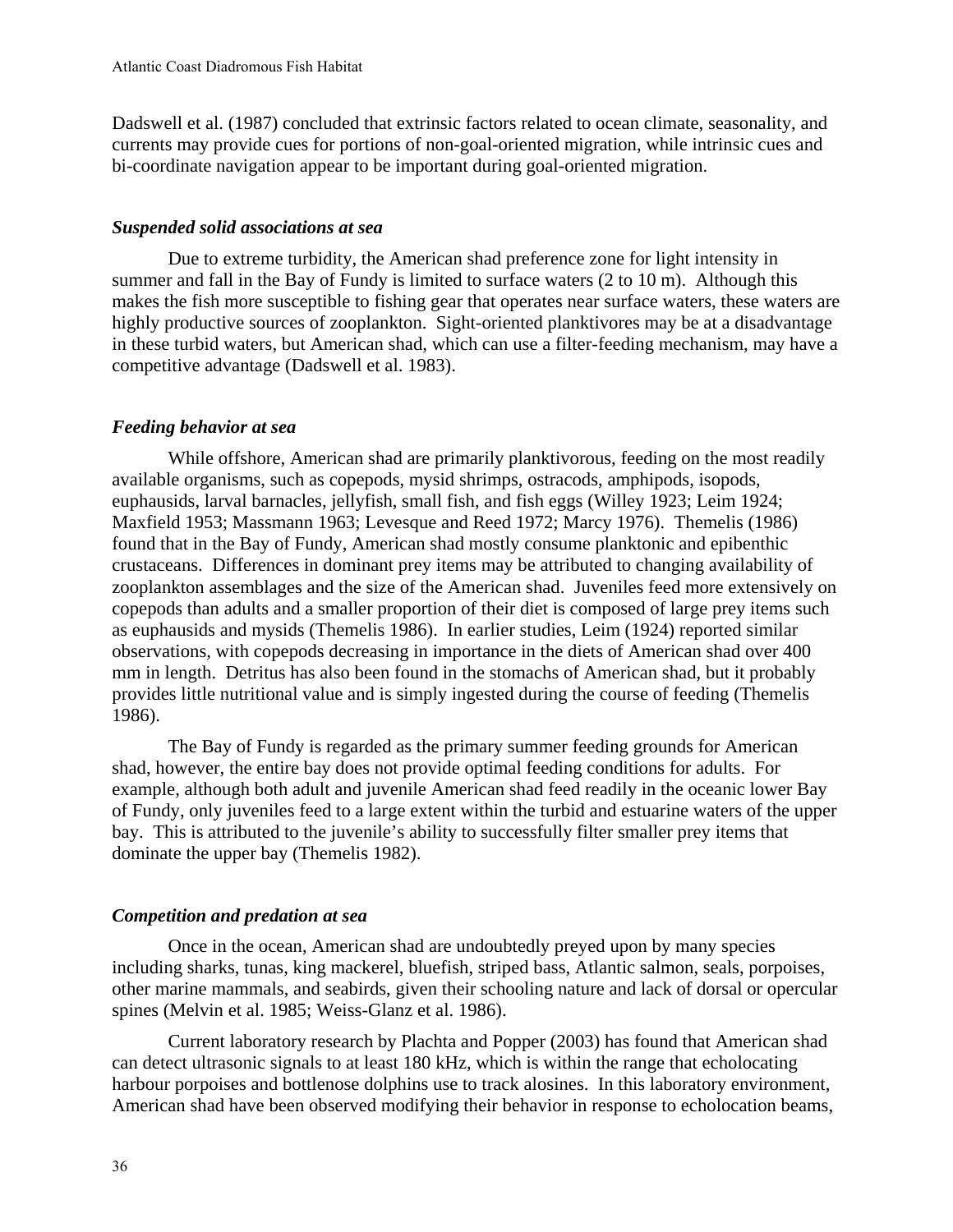Dadswell et al. (1987) concluded that extrinsic factors related to ocean climate, seasonality, and currents may provide cues for portions of non-goal-oriented migration, while intrinsic cues and bi-coordinate navigation appear to be important during goal-oriented migration.

#### *Suspended solid associations at sea*

Due to extreme turbidity, the American shad preference zone for light intensity in summer and fall in the Bay of Fundy is limited to surface waters (2 to 10 m). Although this makes the fish more susceptible to fishing gear that operates near surface waters, these waters are highly productive sources of zooplankton. Sight-oriented planktivores may be at a disadvantage in these turbid waters, but American shad, which can use a filter-feeding mechanism, may have a competitive advantage (Dadswell et al. 1983).

#### *Feeding behavior at sea*

While offshore, American shad are primarily planktivorous, feeding on the most readily available organisms, such as copepods, mysid shrimps, ostracods, amphipods, isopods, euphausids, larval barnacles, jellyfish, small fish, and fish eggs (Willey 1923; Leim 1924; Maxfield 1953; Massmann 1963; Levesque and Reed 1972; Marcy 1976). Themelis (1986) found that in the Bay of Fundy, American shad mostly consume planktonic and epibenthic crustaceans. Differences in dominant prey items may be attributed to changing availability of zooplankton assemblages and the size of the American shad. Juveniles feed more extensively on copepods than adults and a smaller proportion of their diet is composed of large prey items such as euphausids and mysids (Themelis 1986). In earlier studies, Leim (1924) reported similar observations, with copepods decreasing in importance in the diets of American shad over 400 mm in length. Detritus has also been found in the stomachs of American shad, but it probably provides little nutritional value and is simply ingested during the course of feeding (Themelis 1986).

The Bay of Fundy is regarded as the primary summer feeding grounds for American shad, however, the entire bay does not provide optimal feeding conditions for adults. For example, although both adult and juvenile American shad feed readily in the oceanic lower Bay of Fundy, only juveniles feed to a large extent within the turbid and estuarine waters of the upper bay. This is attributed to the juvenile's ability to successfully filter smaller prey items that dominate the upper bay (Themelis 1982).

#### *Competition and predation at sea*

Once in the ocean, American shad are undoubtedly preyed upon by many species including sharks, tunas, king mackerel, bluefish, striped bass, Atlantic salmon, seals, porpoises, other marine mammals, and seabirds, given their schooling nature and lack of dorsal or opercular spines (Melvin et al. 1985; Weiss-Glanz et al. 1986).

Current laboratory research by Plachta and Popper (2003) has found that American shad can detect ultrasonic signals to at least 180 kHz, which is within the range that echolocating harbour porpoises and bottlenose dolphins use to track alosines. In this laboratory environment, American shad have been observed modifying their behavior in response to echolocation beams,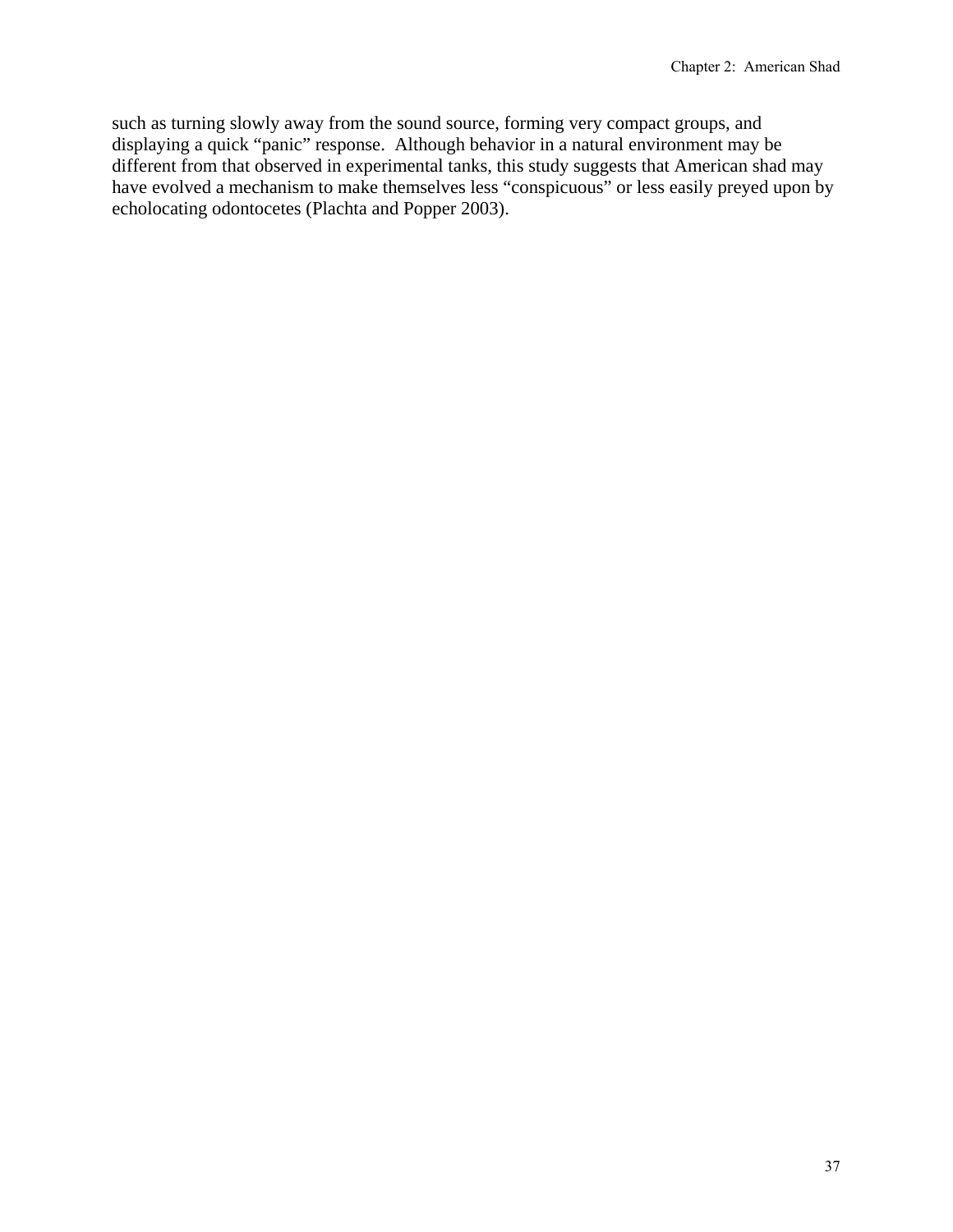such as turning slowly away from the sound source, forming very compact groups, and displaying a quick "panic" response. Although behavior in a natural environment may be different from that observed in experimental tanks, this study suggests that American shad may have evolved a mechanism to make themselves less "conspicuous" or less easily preyed upon by echolocating odontocetes (Plachta and Popper 2003).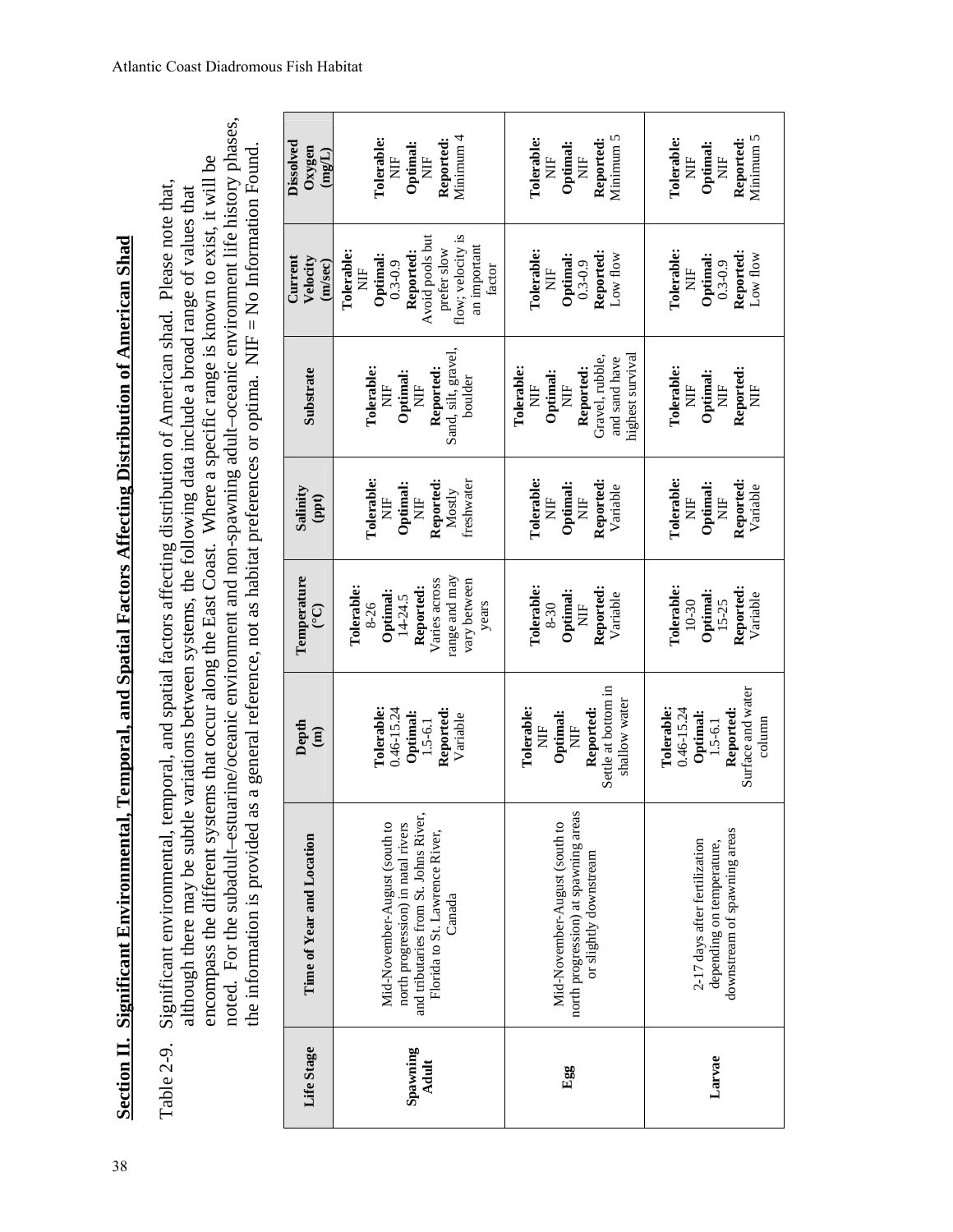| i                                                                |  |
|------------------------------------------------------------------|--|
|                                                                  |  |
| י                                                                |  |
|                                                                  |  |
|                                                                  |  |
|                                                                  |  |
| j                                                                |  |
| י                                                                |  |
|                                                                  |  |
|                                                                  |  |
|                                                                  |  |
| j                                                                |  |
|                                                                  |  |
|                                                                  |  |
|                                                                  |  |
|                                                                  |  |
|                                                                  |  |
| ₹<br>ı                                                           |  |
|                                                                  |  |
|                                                                  |  |
|                                                                  |  |
|                                                                  |  |
| I<br>֕                                                           |  |
|                                                                  |  |
|                                                                  |  |
| י                                                                |  |
| ֚<br>֚<br>Ę<br>١                                                 |  |
| י                                                                |  |
|                                                                  |  |
| í<br>I                                                           |  |
| l                                                                |  |
|                                                                  |  |
| ֖֖֖֖֖֧ׅ֖֧֖֧ׅ֧֧֚֚֚֚֚֚֚֚֚֚֚֚֚֚֚֚֚֚֚֚֚֚֚֚֚֚֚֚֚֚֚֚֚֬֝֝֓֞֝֝֬֝֓֞֝<br>l |  |
| ľ                                                                |  |
| l                                                                |  |

noted. For the subadult–estuarine/oceanic environment and non-spawning adult–oceanic environment life history phases, noted. For the subadult-estuarine/oceanic environment and non-spawning adult-oceanic environment life history phases, the information is provided as a general reference, not as habitat preferences or optima. NIF = No Information Found. the information is provided as a general reference, not as habitat preferences or optima. NIF = No Information Found. encompass the different systems that occur along the East Coast. Where a specific range is known to exist, it will be encompass the different systems that occur along the East Coast. Where a specific range is known to exist, it will be Table 2-9. Significant environmental, temporal, and spatial factors affecting distribution of American shad. Please note that, Significant environmental, temporal, and spatial factors affecting distribution of American shad. Please note that, although there may be subtle variations between systems, the following data include a broad range of values that although there may be subtle variations between systems, the following data include a broad range of values that Table 2-9.

| Life Stage                                  | Spawning<br>Adult                                                                                                                                        | Egg                                                                                                               | Larvae                                                                                              |
|---------------------------------------------|----------------------------------------------------------------------------------------------------------------------------------------------------------|-------------------------------------------------------------------------------------------------------------------|-----------------------------------------------------------------------------------------------------|
| Time of Year and Location                   | and tributaries from St. Johns River,<br>Mid-November-August (south to<br>north progression) in natal rivers<br>Florida to St. Lawrence River,<br>Canada | north progression) at spawning areas<br>Mid-November-August (south to<br>or slightly downstream                   | downstream of spawning areas<br>2-17 days after fertilization<br>depending on temperature,          |
| Depth<br>$\mathbf{m}$                       | Tolerable:<br>$0.46 - 15.24$<br>Reported:<br>Optimal:<br>Variable<br>$1.5 - 6.1$                                                                         | Settle at bottom in<br>shallow water<br>Tolerable:<br>Reported:<br>Optimal:<br>Ë<br>$\frac{1}{2}$                 | Surface and water<br>Tolerable:<br>$0.46 - 15.24$<br>Reported:<br>Optimal:<br>column<br>$1.5 - 6.1$ |
| Temperature<br><u>୍</u>                     | range and may<br>Varies across<br>vary between<br>Reported:<br>Tolerable:<br>Optimal:<br>$14-24.5$<br>8-26<br>years                                      | Tolerable:<br>Reported:<br>Optimal:<br>Variable<br>Ë<br>$8 - 30$                                                  | <b>Tolerable:</b><br>Reported:<br>Optimal:<br>Variable<br>$15 - 25$<br>$10 - 30$                    |
| Salinity<br>(ppt)                           | <b>Tolerable:</b><br>Reported:<br>freshwater<br>Optimal:<br>Mostly<br>E<br>Z<br>Ž                                                                        | <b>Tolerable:</b><br>Reported:<br>Optimal:<br>Variable<br>Ë<br>Ë                                                  | <b>Tolerable:</b><br>Reported:<br>Optimal:<br>Variable<br>Ë<br>E<br>Z                               |
| Substrate                                   | Sand, silt, gravel,<br>Reported:<br>Tolerable:<br>Optimal:<br>boulder<br>Ë<br>ž                                                                          | highest survival<br>Gravel, rubble,<br>and sand have<br>Reported:<br>Tolerable:<br>Optimal:<br>$\frac{1}{2}$<br>Ë | Tolerable:<br>Reported:<br>Optimal:<br>Ë<br>Ë<br>i<br>Z                                             |
| Velocity<br>Current<br>(m/sec)              | flow; velocity is<br>Avoid pools but<br>an important<br>prefer slow<br>Reported:<br>Tolerable:<br>Optimal:<br>$0.3 - 0.9$<br>factor<br>Ë                 | <b>Tolerable:</b><br>Reported:<br>Optimal:<br>Low flow<br>$0.3 - 0.9$<br>Ë                                        | <b>Tolerable:</b><br>Reported:<br>Optimal:<br>$_{\rm Low}$ flow<br>$0.3 - 0.9$<br>$\overline{E}$    |
| Dissolved<br>$0xy$ gen<br>$(\mathrm{mgfL})$ | Minimum 4<br>Tolerable:<br>Reported:<br>Optimal:<br>Ë<br>Ë                                                                                               | Minimum 5<br>Reported:<br>Tolerable:<br>Optimal:<br>Ë<br>Ë                                                        | Minimum 5<br>Tolerable:<br>Reported:<br>Optimal:<br>Ë<br>$\frac{1}{2}$                              |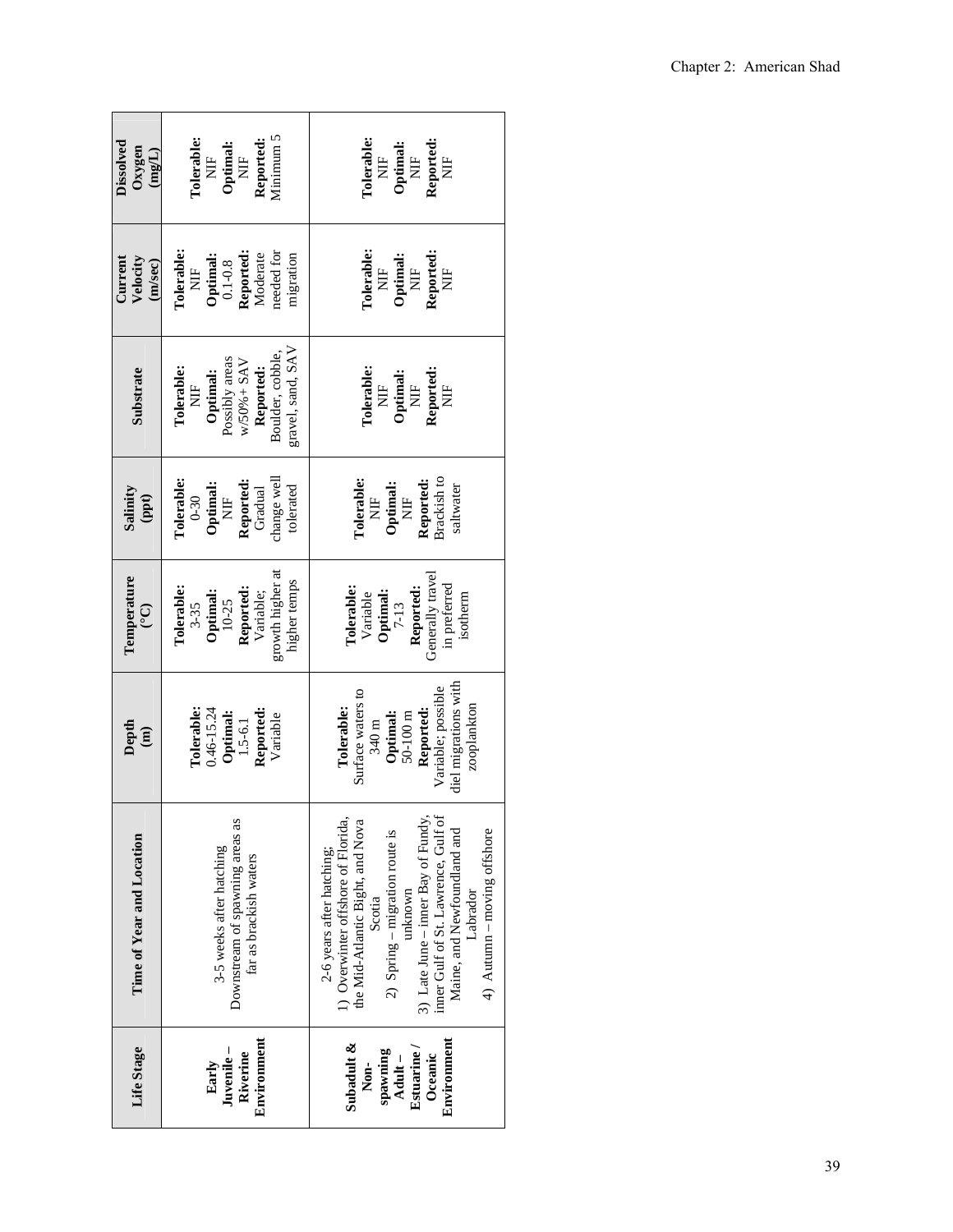| Dissolved<br>Oxygen<br>$(mgL)$ | Vinimum 5<br>Tolerable:<br>Reported:<br>$\begin{array}{ll} \textbf{Optimal:} \\ \textbf{NIF} \end{array}$<br>$\frac{1}{2}$                            | <b>Tolerable:</b><br>Reported:<br>NIF<br>$\begin{array}{ll} \textbf{Optimal:} \\ \textbf{NIF} \end{array}$<br>$\frac{1}{2}$                                                                                                                                                                                         |
|--------------------------------|-------------------------------------------------------------------------------------------------------------------------------------------------------|---------------------------------------------------------------------------------------------------------------------------------------------------------------------------------------------------------------------------------------------------------------------------------------------------------------------|
| Current<br>Velocity<br>(m/sec) | <b>Tolerable:</b><br>needed for<br>Reported:<br>Moderate<br>Optimal:<br>$0.1 - 0.8$<br>migration<br>$\Xi$                                             | <b>Tolerable:</b><br>Reported:<br>NIF<br>NIF<br>Optimal:<br>NIF                                                                                                                                                                                                                                                     |
| Substrate                      | gravel, sand, SAV<br>Boulder, cobble<br>Possibly areas<br>$W/50% + SAY$<br>Reported:<br>Tolerable:<br>Optimal:<br>Ì                                   | <b>Tolerable:</b><br>Reported:<br>NIF<br>$\frac{\rm NIF}{\rm NIF}$                                                                                                                                                                                                                                                  |
| Salinity<br>(ppt)              | hange well<br><b>Tolerable:</b><br>Reported:<br>$\begin{array}{ll} \textbf{Optimal:} \\ \textbf{NIF} \end{array}$<br>tolerated<br>Gradual<br>$0 - 30$ | Brackish to<br><b>Tolerable:</b><br>Reported:<br>$\begin{minipage}{.4\linewidth} \noindent \color{blue} {\bf \emph{Optimal:}} \color{blue} \\ \text{NIF} \end{minipage}$<br>saltwater<br>$\mathbb{H}$                                                                                                               |
| Temperature<br>$\widetilde{C}$ | growth higher at<br>higher temps<br><b>Tolerable:</b><br>Reported:<br>Variable;<br>Optimal:<br>$10-25$<br>$3 - 35$                                    | Generally travel<br>in preferred<br>Reported:<br>Tolerable:<br>Optimal:<br>$7-13$<br>Variable<br>isotherm                                                                                                                                                                                                           |
| Depth<br>$\hat{a}$             | <b>Tolerable:</b><br>$0.46 - 15.24$<br>Reported:<br>Optimal:<br>Variable<br>$1.5 - 6.1$                                                               | diel migrations with<br>Variable; possible<br>Surface waters to<br>zooplankton<br>Reported:<br>Tolerable:<br>$50 - 100$ m<br>Optimal:<br>$340\,\mathrm{m}$                                                                                                                                                          |
| Time of Year and Location      | Downstream of spawning areas as<br>3-5 weeks after hatching<br>far as brackish waters                                                                 | 3) Late June – inner Bay of Fundy,<br>1) Overwinter offshore of Florida,<br>inner Gulf of St. Lawrence, Gulf of<br>the Mid-Atlantic Bight, and Nova<br>Maine, and Newfoundland and<br>$4$ ) Autumn – moving offshore<br>2) Spring – migration route is<br>2-6 years after hatching;<br>mknown<br>Labrador<br>Scotia |
| Life Stage                     | Environment<br>Juvenile –<br>Riverine<br>Early                                                                                                        | Environment<br>Subadult &<br><b>Estuarine</b><br>spawning<br>Oceanic<br>Adult-<br>Non-                                                                                                                                                                                                                              |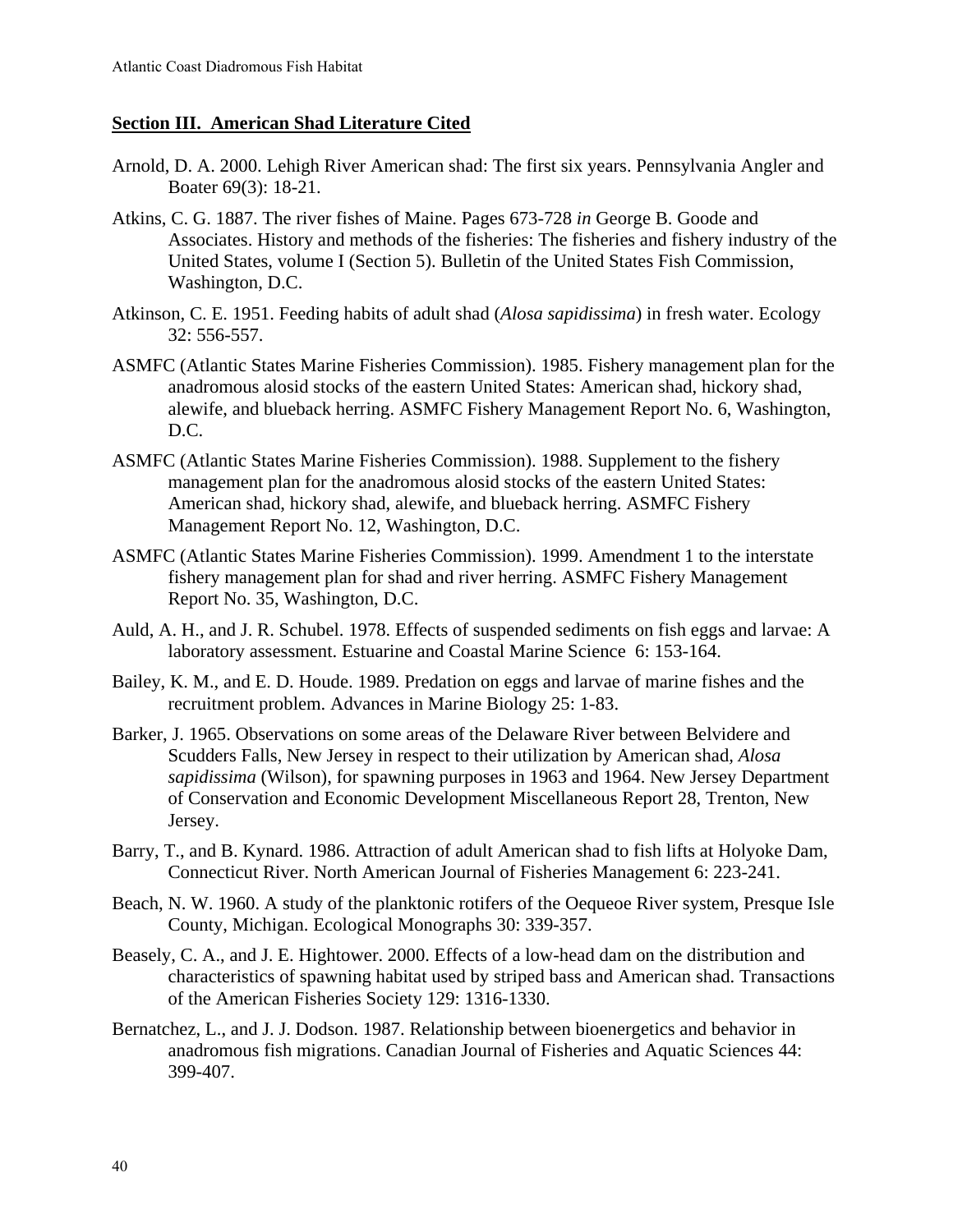# **Section III. American Shad Literature Cited**

- Arnold, D. A. 2000. Lehigh River American shad: The first six years. Pennsylvania Angler and Boater 69(3): 18-21.
- Atkins, C. G. 1887. The river fishes of Maine. Pages 673-728 *in* George B. Goode and Associates. History and methods of the fisheries: The fisheries and fishery industry of the United States, volume I (Section 5). Bulletin of the United States Fish Commission, Washington, D.C.
- Atkinson, C. E. 1951. Feeding habits of adult shad (*Alosa sapidissima*) in fresh water. Ecology 32: 556-557.
- ASMFC (Atlantic States Marine Fisheries Commission). 1985. Fishery management plan for the anadromous alosid stocks of the eastern United States: American shad, hickory shad, alewife, and blueback herring. ASMFC Fishery Management Report No. 6, Washington, D.C.
- ASMFC (Atlantic States Marine Fisheries Commission). 1988. Supplement to the fishery management plan for the anadromous alosid stocks of the eastern United States: American shad, hickory shad, alewife, and blueback herring. ASMFC Fishery Management Report No. 12, Washington, D.C.
- ASMFC (Atlantic States Marine Fisheries Commission). 1999. Amendment 1 to the interstate fishery management plan for shad and river herring. ASMFC Fishery Management Report No. 35, Washington, D.C.
- Auld, A. H., and J. R. Schubel. 1978. Effects of suspended sediments on fish eggs and larvae: A laboratory assessment. Estuarine and Coastal Marine Science 6: 153-164.
- Bailey, K. M., and E. D. Houde. 1989. Predation on eggs and larvae of marine fishes and the recruitment problem. Advances in Marine Biology 25: 1-83.
- Barker, J. 1965. Observations on some areas of the Delaware River between Belvidere and Scudders Falls, New Jersey in respect to their utilization by American shad*, Alosa sapidissima* (Wilson), for spawning purposes in 1963 and 1964. New Jersey Department of Conservation and Economic Development Miscellaneous Report 28, Trenton, New Jersey.
- Barry, T., and B. Kynard. 1986. Attraction of adult American shad to fish lifts at Holyoke Dam, Connecticut River. North American Journal of Fisheries Management 6: 223-241.
- Beach, N. W. 1960. A study of the planktonic rotifers of the Oequeoe River system, Presque Isle County, Michigan. Ecological Monographs 30: 339-357.
- Beasely, C. A., and J. E. Hightower. 2000. Effects of a low-head dam on the distribution and characteristics of spawning habitat used by striped bass and American shad. Transactions of the American Fisheries Society 129: 1316-1330.
- Bernatchez, L., and J. J. Dodson. 1987. Relationship between bioenergetics and behavior in anadromous fish migrations. Canadian Journal of Fisheries and Aquatic Sciences 44: 399-407.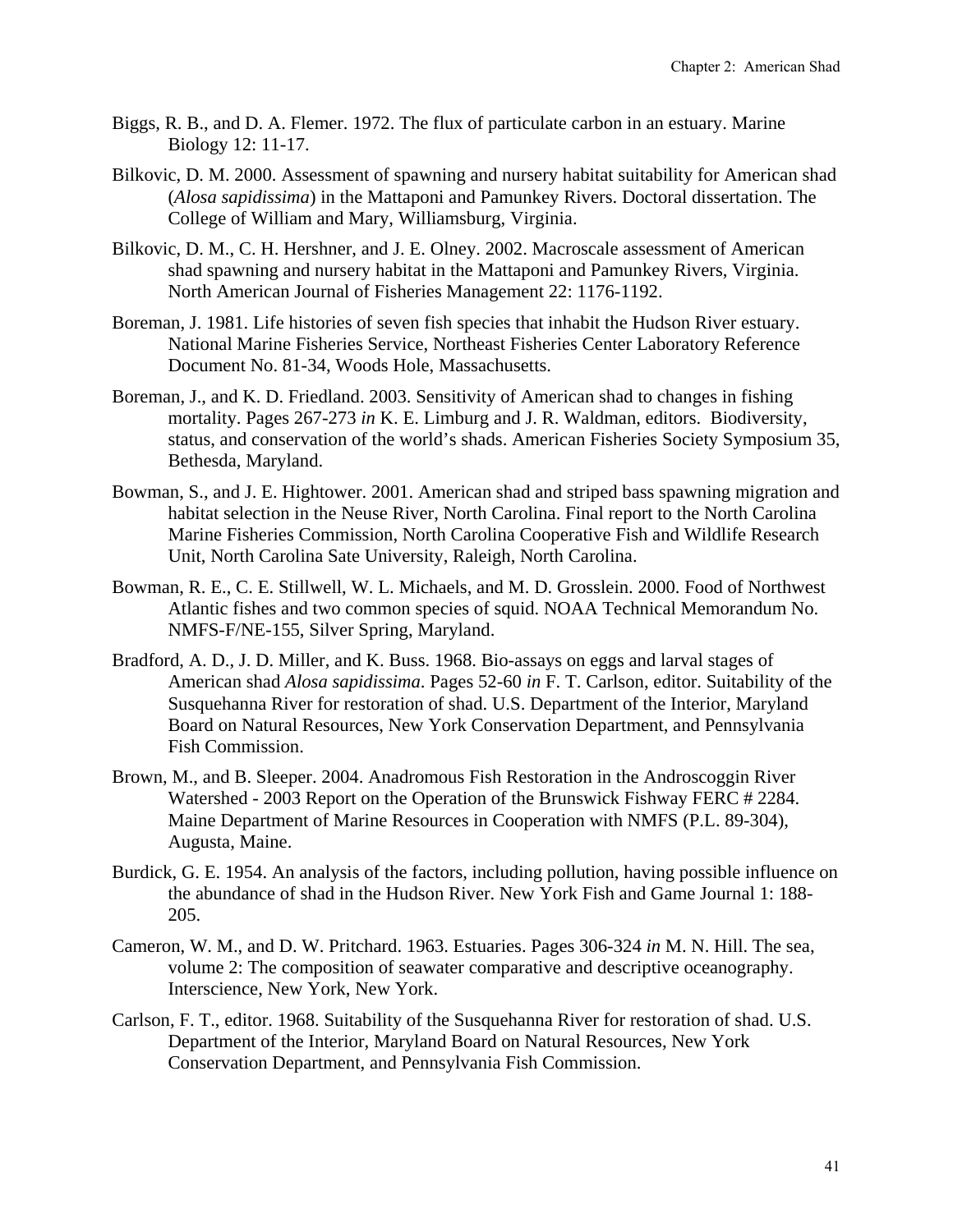- Biggs, R. B., and D. A. Flemer. 1972. The flux of particulate carbon in an estuary. Marine Biology 12: 11-17.
- Bilkovic, D. M. 2000. Assessment of spawning and nursery habitat suitability for American shad (*Alosa sapidissima*) in the Mattaponi and Pamunkey Rivers. Doctoral dissertation. The College of William and Mary, Williamsburg, Virginia.
- Bilkovic, D. M., C. H. Hershner, and J. E. Olney. 2002. Macroscale assessment of American shad spawning and nursery habitat in the Mattaponi and Pamunkey Rivers, Virginia. North American Journal of Fisheries Management 22: 1176-1192.
- Boreman, J. 1981. Life histories of seven fish species that inhabit the Hudson River estuary. National Marine Fisheries Service, Northeast Fisheries Center Laboratory Reference Document No. 81-34, Woods Hole, Massachusetts.
- Boreman, J., and K. D. Friedland. 2003. Sensitivity of American shad to changes in fishing mortality. Pages 267-273 *in* K. E. Limburg and J. R. Waldman, editors. Biodiversity, status, and conservation of the world's shads. American Fisheries Society Symposium 35, Bethesda, Maryland.
- Bowman, S., and J. E. Hightower. 2001. American shad and striped bass spawning migration and habitat selection in the Neuse River, North Carolina. Final report to the North Carolina Marine Fisheries Commission, North Carolina Cooperative Fish and Wildlife Research Unit, North Carolina Sate University, Raleigh, North Carolina.
- Bowman, R. E., C. E. Stillwell, W. L. Michaels, and M. D. Grosslein. 2000. Food of Northwest Atlantic fishes and two common species of squid. NOAA Technical Memorandum No. NMFS-F/NE-155, Silver Spring, Maryland.
- Bradford, A. D., J. D. Miller, and K. Buss. 1968. Bio-assays on eggs and larval stages of American shad *Alosa sapidissima*. Pages 52-60 *in* F. T. Carlson, editor. Suitability of the Susquehanna River for restoration of shad. U.S. Department of the Interior, Maryland Board on Natural Resources, New York Conservation Department, and Pennsylvania Fish Commission.
- Brown, M., and B. Sleeper. 2004. Anadromous Fish Restoration in the Androscoggin River Watershed - 2003 Report on the Operation of the Brunswick Fishway FERC # 2284. Maine Department of Marine Resources in Cooperation with NMFS (P.L. 89-304), Augusta, Maine.
- Burdick, G. E. 1954. An analysis of the factors, including pollution, having possible influence on the abundance of shad in the Hudson River. New York Fish and Game Journal 1: 188- 205.
- Cameron, W. M., and D. W. Pritchard. 1963. Estuaries. Pages 306-324 *in* M. N. Hill. The sea, volume 2: The composition of seawater comparative and descriptive oceanography. Interscience, New York, New York.
- Carlson, F. T., editor. 1968. Suitability of the Susquehanna River for restoration of shad. U.S. Department of the Interior, Maryland Board on Natural Resources, New York Conservation Department, and Pennsylvania Fish Commission.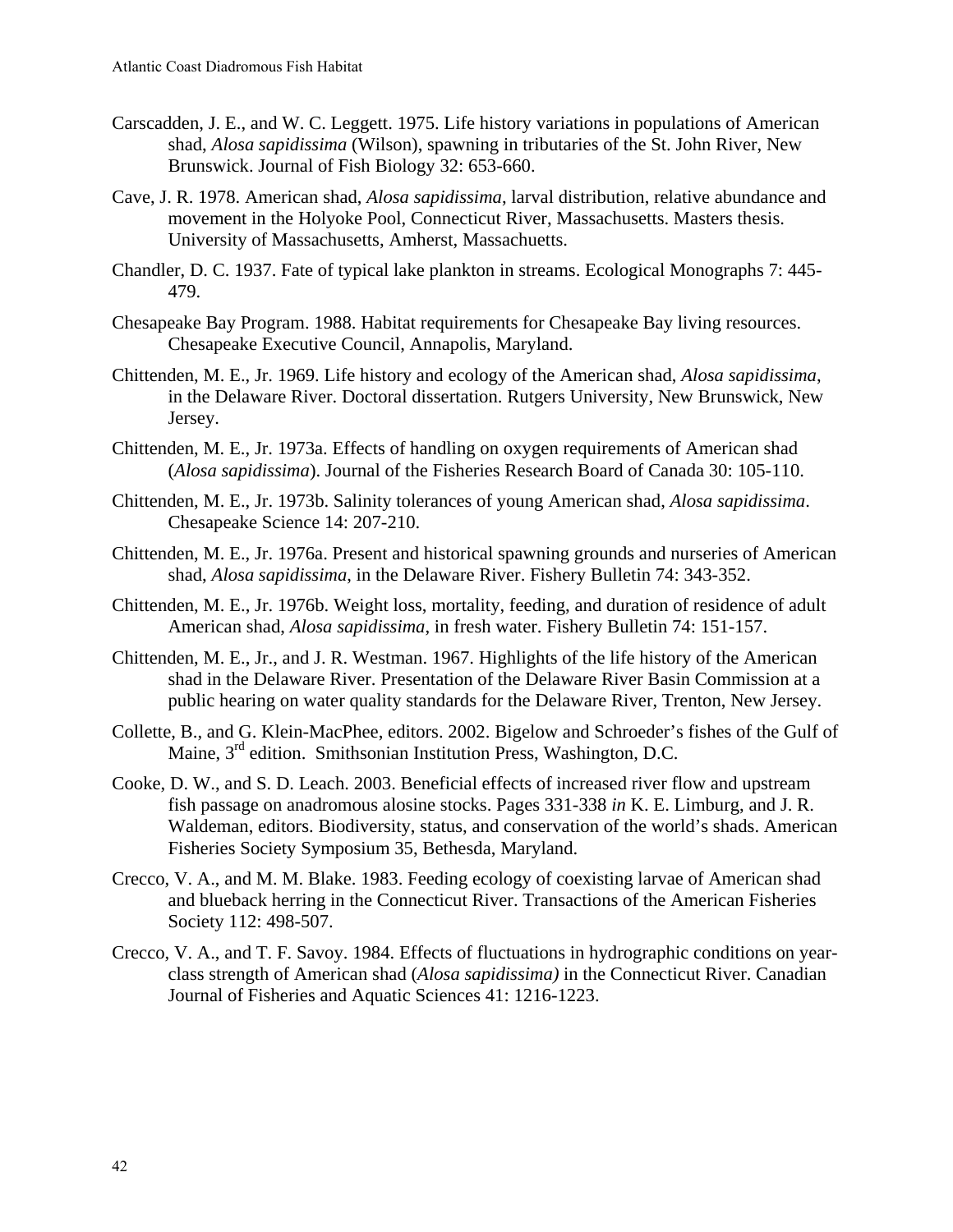- Carscadden, J. E., and W. C. Leggett. 1975. Life history variations in populations of American shad, *Alosa sapidissima* (Wilson), spawning in tributaries of the St. John River, New Brunswick. Journal of Fish Biology 32: 653-660.
- Cave, J. R. 1978. American shad, *Alosa sapidissima*, larval distribution, relative abundance and movement in the Holyoke Pool, Connecticut River, Massachusetts. Masters thesis. University of Massachusetts, Amherst, Massachuetts.
- Chandler, D. C. 1937. Fate of typical lake plankton in streams. Ecological Monographs 7: 445- 479.
- Chesapeake Bay Program. 1988. Habitat requirements for Chesapeake Bay living resources. Chesapeake Executive Council, Annapolis, Maryland.
- Chittenden, M. E., Jr. 1969. Life history and ecology of the American shad, *Alosa sapidissima*, in the Delaware River. Doctoral dissertation. Rutgers University, New Brunswick, New Jersey.
- Chittenden, M. E., Jr. 1973a. Effects of handling on oxygen requirements of American shad (*Alosa sapidissima*). Journal of the Fisheries Research Board of Canada 30: 105-110.
- Chittenden, M. E., Jr. 1973b. Salinity tolerances of young American shad, *Alosa sapidissima*. Chesapeake Science 14: 207-210.
- Chittenden, M. E., Jr. 1976a. Present and historical spawning grounds and nurseries of American shad, *Alosa sapidissima*, in the Delaware River. Fishery Bulletin 74: 343-352.
- Chittenden, M. E., Jr. 1976b. Weight loss, mortality, feeding, and duration of residence of adult American shad, *Alosa sapidissima*, in fresh water. Fishery Bulletin 74: 151-157.
- Chittenden, M. E., Jr., and J. R. Westman. 1967. Highlights of the life history of the American shad in the Delaware River. Presentation of the Delaware River Basin Commission at a public hearing on water quality standards for the Delaware River, Trenton, New Jersey.
- Collette, B., and G. Klein-MacPhee, editors. 2002. Bigelow and Schroeder's fishes of the Gulf of Maine, 3rd edition. Smithsonian Institution Press, Washington, D.C.
- Cooke, D. W., and S. D. Leach. 2003. Beneficial effects of increased river flow and upstream fish passage on anadromous alosine stocks. Pages 331-338 *in* K. E. Limburg, and J. R. Waldeman, editors. Biodiversity, status, and conservation of the world's shads. American Fisheries Society Symposium 35, Bethesda, Maryland.
- Crecco, V. A., and M. M. Blake. 1983. Feeding ecology of coexisting larvae of American shad and blueback herring in the Connecticut River. Transactions of the American Fisheries Society 112: 498-507.
- Crecco, V. A., and T. F. Savoy. 1984. Effects of fluctuations in hydrographic conditions on yearclass strength of American shad (*Alosa sapidissima)* in the Connecticut River. Canadian Journal of Fisheries and Aquatic Sciences 41: 1216-1223.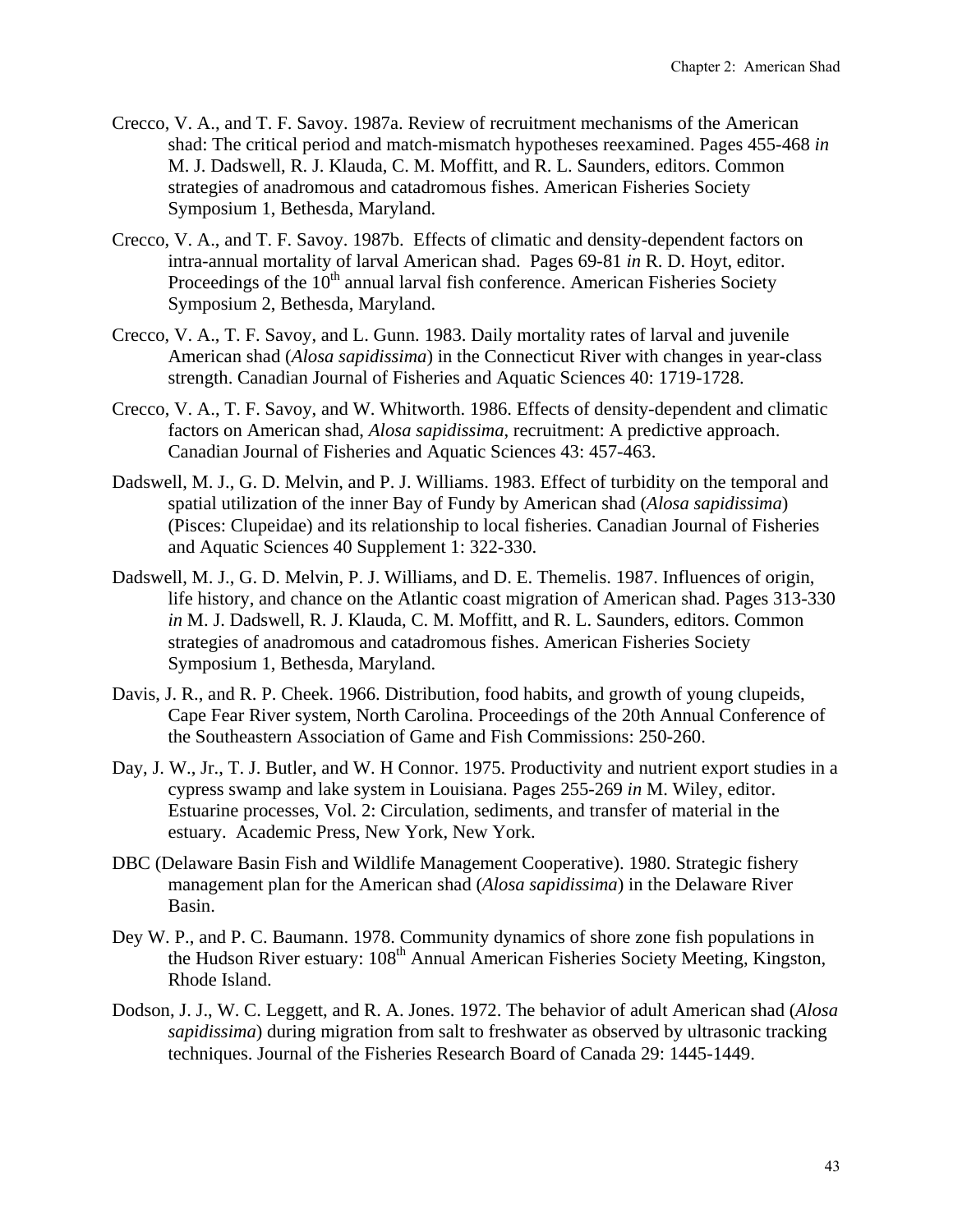- Crecco, V. A., and T. F. Savoy. 1987a. Review of recruitment mechanisms of the American shad: The critical period and match-mismatch hypotheses reexamined. Pages 455-468 *in*  M. J. Dadswell, R. J. Klauda, C. M. Moffitt, and R. L. Saunders, editors. Common strategies of anadromous and catadromous fishes. American Fisheries Society Symposium 1, Bethesda, Maryland.
- Crecco, V. A., and T. F. Savoy. 1987b. Effects of climatic and density-dependent factors on intra-annual mortality of larval American shad. Pages 69-81 *in* R. D. Hoyt, editor. Proceedings of the  $10<sup>th</sup>$  annual larval fish conference. American Fisheries Society Symposium 2, Bethesda, Maryland.
- Crecco, V. A., T. F. Savoy, and L. Gunn. 1983. Daily mortality rates of larval and juvenile American shad (*Alosa sapidissima*) in the Connecticut River with changes in year-class strength. Canadian Journal of Fisheries and Aquatic Sciences 40: 1719-1728.
- Crecco, V. A., T. F. Savoy, and W. Whitworth. 1986. Effects of density-dependent and climatic factors on American shad, *Alosa sapidissima*, recruitment: A predictive approach. Canadian Journal of Fisheries and Aquatic Sciences 43: 457-463.
- Dadswell, M. J., G. D. Melvin, and P. J. Williams. 1983. Effect of turbidity on the temporal and spatial utilization of the inner Bay of Fundy by American shad (*Alosa sapidissima*) (Pisces: Clupeidae) and its relationship to local fisheries. Canadian Journal of Fisheries and Aquatic Sciences 40 Supplement 1: 322-330.
- Dadswell, M. J., G. D. Melvin, P. J. Williams, and D. E. Themelis. 1987. Influences of origin, life history, and chance on the Atlantic coast migration of American shad. Pages 313-330 *in* M. J. Dadswell, R. J. Klauda, C. M. Moffitt, and R. L. Saunders, editors. Common strategies of anadromous and catadromous fishes. American Fisheries Society Symposium 1, Bethesda, Maryland.
- Davis, J. R., and R. P. Cheek. 1966. Distribution, food habits, and growth of young clupeids, Cape Fear River system, North Carolina. Proceedings of the 20th Annual Conference of the Southeastern Association of Game and Fish Commissions: 250-260.
- Day, J. W., Jr., T. J. Butler, and W. H Connor. 1975. Productivity and nutrient export studies in a cypress swamp and lake system in Louisiana. Pages 255-269 *in* M. Wiley, editor. Estuarine processes, Vol. 2: Circulation, sediments, and transfer of material in the estuary. Academic Press, New York, New York.
- DBC (Delaware Basin Fish and Wildlife Management Cooperative). 1980. Strategic fishery management plan for the American shad (*Alosa sapidissima*) in the Delaware River Basin.
- Dey W. P., and P. C. Baumann. 1978. Community dynamics of shore zone fish populations in the Hudson River estuary: 108<sup>th</sup> Annual American Fisheries Society Meeting, Kingston, Rhode Island.
- Dodson, J. J., W. C. Leggett, and R. A. Jones. 1972. The behavior of adult American shad (*Alosa sapidissima*) during migration from salt to freshwater as observed by ultrasonic tracking techniques. Journal of the Fisheries Research Board of Canada 29: 1445-1449.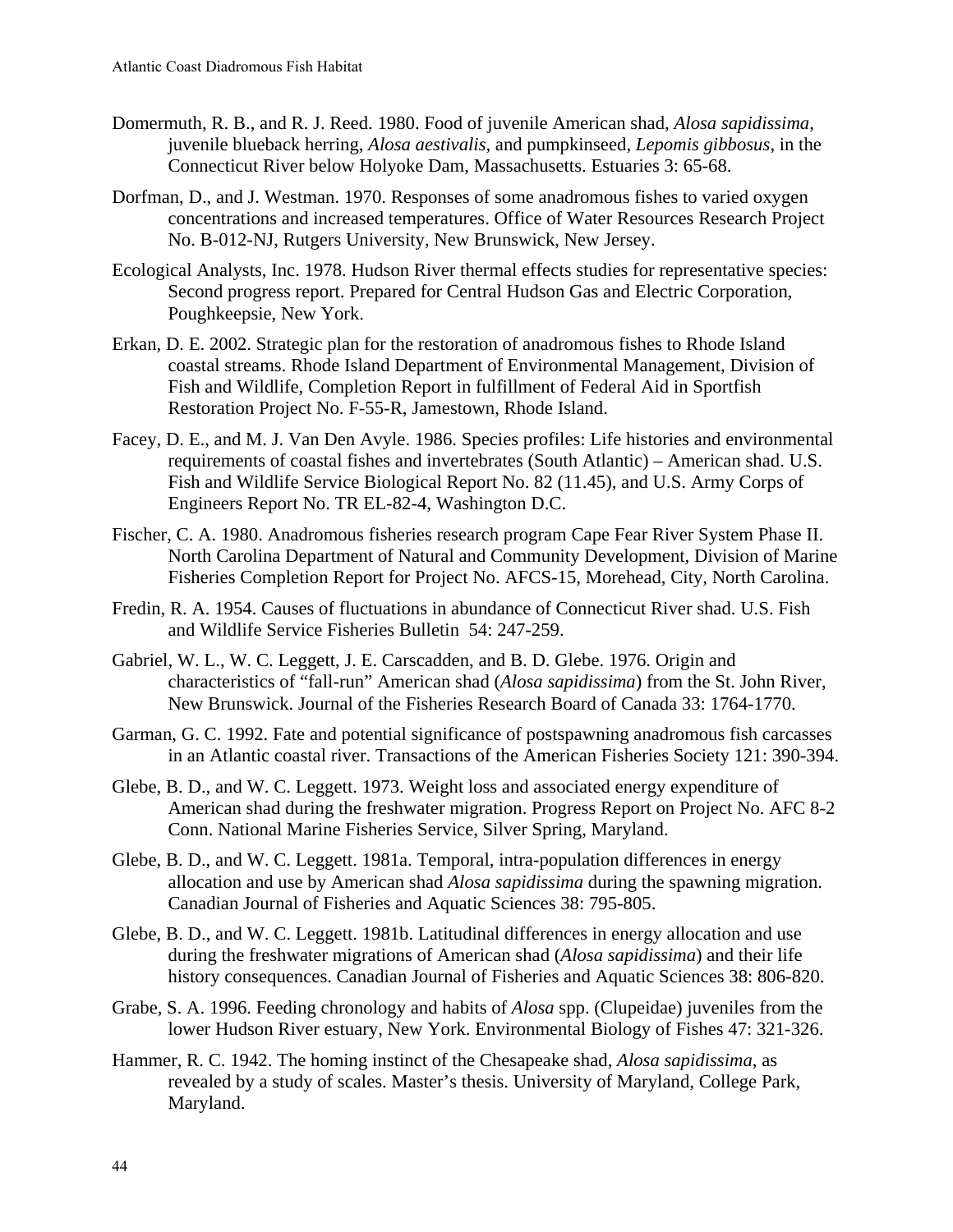- Domermuth, R. B., and R. J. Reed. 1980. Food of juvenile American shad, *Alosa sapidissima*, juvenile blueback herring, *Alosa aestivalis*, and pumpkinseed, *Lepomis gibbosus*, in the Connecticut River below Holyoke Dam, Massachusetts. Estuaries 3: 65-68.
- Dorfman, D., and J. Westman. 1970. Responses of some anadromous fishes to varied oxygen concentrations and increased temperatures. Office of Water Resources Research Project No. B-012-NJ, Rutgers University, New Brunswick, New Jersey.
- Ecological Analysts, Inc. 1978. Hudson River thermal effects studies for representative species: Second progress report. Prepared for Central Hudson Gas and Electric Corporation, Poughkeepsie, New York.
- Erkan, D. E. 2002. Strategic plan for the restoration of anadromous fishes to Rhode Island coastal streams. Rhode Island Department of Environmental Management, Division of Fish and Wildlife, Completion Report in fulfillment of Federal Aid in Sportfish Restoration Project No. F-55-R, Jamestown, Rhode Island.
- Facey, D. E., and M. J. Van Den Avyle. 1986. Species profiles: Life histories and environmental requirements of coastal fishes and invertebrates (South Atlantic) – American shad. U.S. Fish and Wildlife Service Biological Report No. 82 (11.45), and U.S. Army Corps of Engineers Report No. TR EL-82-4, Washington D.C.
- Fischer, C. A. 1980. Anadromous fisheries research program Cape Fear River System Phase II. North Carolina Department of Natural and Community Development, Division of Marine Fisheries Completion Report for Project No. AFCS-15, Morehead, City, North Carolina.
- Fredin, R. A. 1954. Causes of fluctuations in abundance of Connecticut River shad. U.S. Fish and Wildlife Service Fisheries Bulletin 54: 247-259.
- Gabriel, W. L., W. C. Leggett, J. E. Carscadden, and B. D. Glebe. 1976. Origin and characteristics of "fall-run" American shad (*Alosa sapidissima*) from the St. John River, New Brunswick. Journal of the Fisheries Research Board of Canada 33: 1764-1770.
- Garman, G. C. 1992. Fate and potential significance of postspawning anadromous fish carcasses in an Atlantic coastal river. Transactions of the American Fisheries Society 121: 390-394.
- Glebe, B. D., and W. C. Leggett. 1973. Weight loss and associated energy expenditure of American shad during the freshwater migration. Progress Report on Project No. AFC 8-2 Conn. National Marine Fisheries Service, Silver Spring, Maryland.
- Glebe, B. D., and W. C. Leggett. 1981a. Temporal, intra-population differences in energy allocation and use by American shad *Alosa sapidissima* during the spawning migration. Canadian Journal of Fisheries and Aquatic Sciences 38: 795-805.
- Glebe, B. D., and W. C. Leggett. 1981b. Latitudinal differences in energy allocation and use during the freshwater migrations of American shad (*Alosa sapidissima*) and their life history consequences. Canadian Journal of Fisheries and Aquatic Sciences 38: 806-820.
- Grabe, S. A. 1996. Feeding chronology and habits of *Alosa* spp. (Clupeidae) juveniles from the lower Hudson River estuary, New York. Environmental Biology of Fishes 47: 321-326.
- Hammer, R. C. 1942. The homing instinct of the Chesapeake shad, *Alosa sapidissima*, as revealed by a study of scales. Master's thesis. University of Maryland, College Park, Maryland.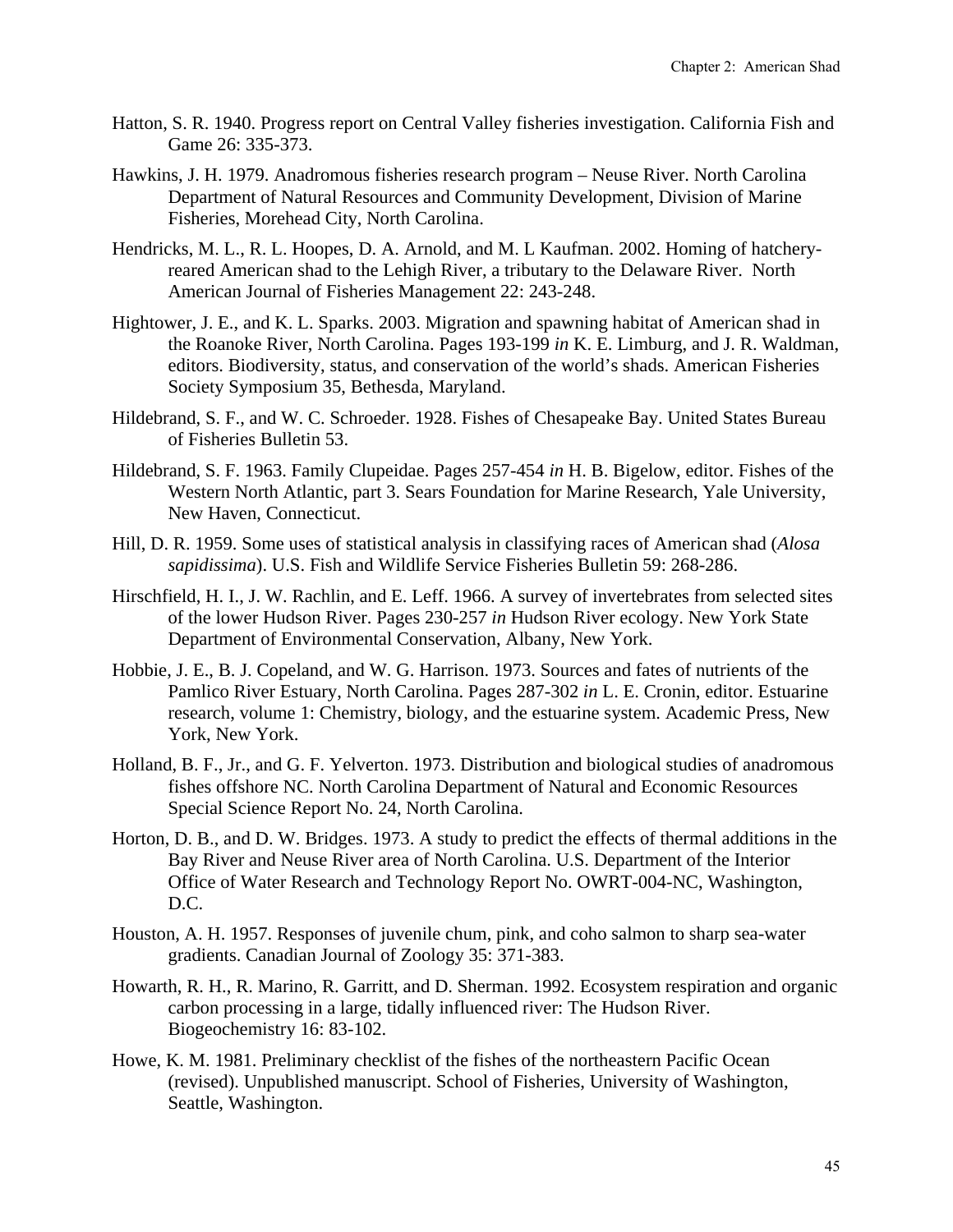- Hatton, S. R. 1940. Progress report on Central Valley fisheries investigation. California Fish and Game 26: 335-373.
- Hawkins, J. H. 1979. Anadromous fisheries research program Neuse River. North Carolina Department of Natural Resources and Community Development, Division of Marine Fisheries, Morehead City, North Carolina.
- Hendricks, M. L., R. L. Hoopes, D. A. Arnold, and M. L Kaufman. 2002. Homing of hatcheryreared American shad to the Lehigh River, a tributary to the Delaware River. North American Journal of Fisheries Management 22: 243-248.
- Hightower, J. E., and K. L. Sparks. 2003. Migration and spawning habitat of American shad in the Roanoke River, North Carolina. Pages 193-199 *in* K. E. Limburg, and J. R. Waldman, editors. Biodiversity, status, and conservation of the world's shads. American Fisheries Society Symposium 35, Bethesda, Maryland.
- Hildebrand, S. F., and W. C. Schroeder. 1928. Fishes of Chesapeake Bay. United States Bureau of Fisheries Bulletin 53.
- Hildebrand, S. F. 1963. Family Clupeidae. Pages 257-454 *in* H. B. Bigelow, editor. Fishes of the Western North Atlantic, part 3. Sears Foundation for Marine Research, Yale University, New Haven, Connecticut.
- Hill, D. R. 1959. Some uses of statistical analysis in classifying races of American shad (*Alosa sapidissima*). U.S. Fish and Wildlife Service Fisheries Bulletin 59: 268-286.
- Hirschfield, H. I., J. W. Rachlin, and E. Leff. 1966. A survey of invertebrates from selected sites of the lower Hudson River. Pages 230-257 *in* Hudson River ecology. New York State Department of Environmental Conservation, Albany, New York.
- Hobbie, J. E., B. J. Copeland, and W. G. Harrison. 1973. Sources and fates of nutrients of the Pamlico River Estuary, North Carolina. Pages 287-302 *in* L. E. Cronin, editor. Estuarine research, volume 1: Chemistry, biology, and the estuarine system. Academic Press, New York, New York.
- Holland, B. F., Jr., and G. F. Yelverton. 1973. Distribution and biological studies of anadromous fishes offshore NC. North Carolina Department of Natural and Economic Resources Special Science Report No. 24, North Carolina.
- Horton, D. B., and D. W. Bridges. 1973. A study to predict the effects of thermal additions in the Bay River and Neuse River area of North Carolina. U.S. Department of the Interior Office of Water Research and Technology Report No. OWRT-004-NC, Washington, D.C.
- Houston, A. H. 1957. Responses of juvenile chum, pink, and coho salmon to sharp sea-water gradients. Canadian Journal of Zoology 35: 371-383.
- Howarth, R. H., R. Marino, R. Garritt, and D. Sherman. 1992. Ecosystem respiration and organic carbon processing in a large, tidally influenced river: The Hudson River. Biogeochemistry 16: 83-102.
- Howe, K. M. 1981. Preliminary checklist of the fishes of the northeastern Pacific Ocean (revised). Unpublished manuscript. School of Fisheries, University of Washington, Seattle, Washington.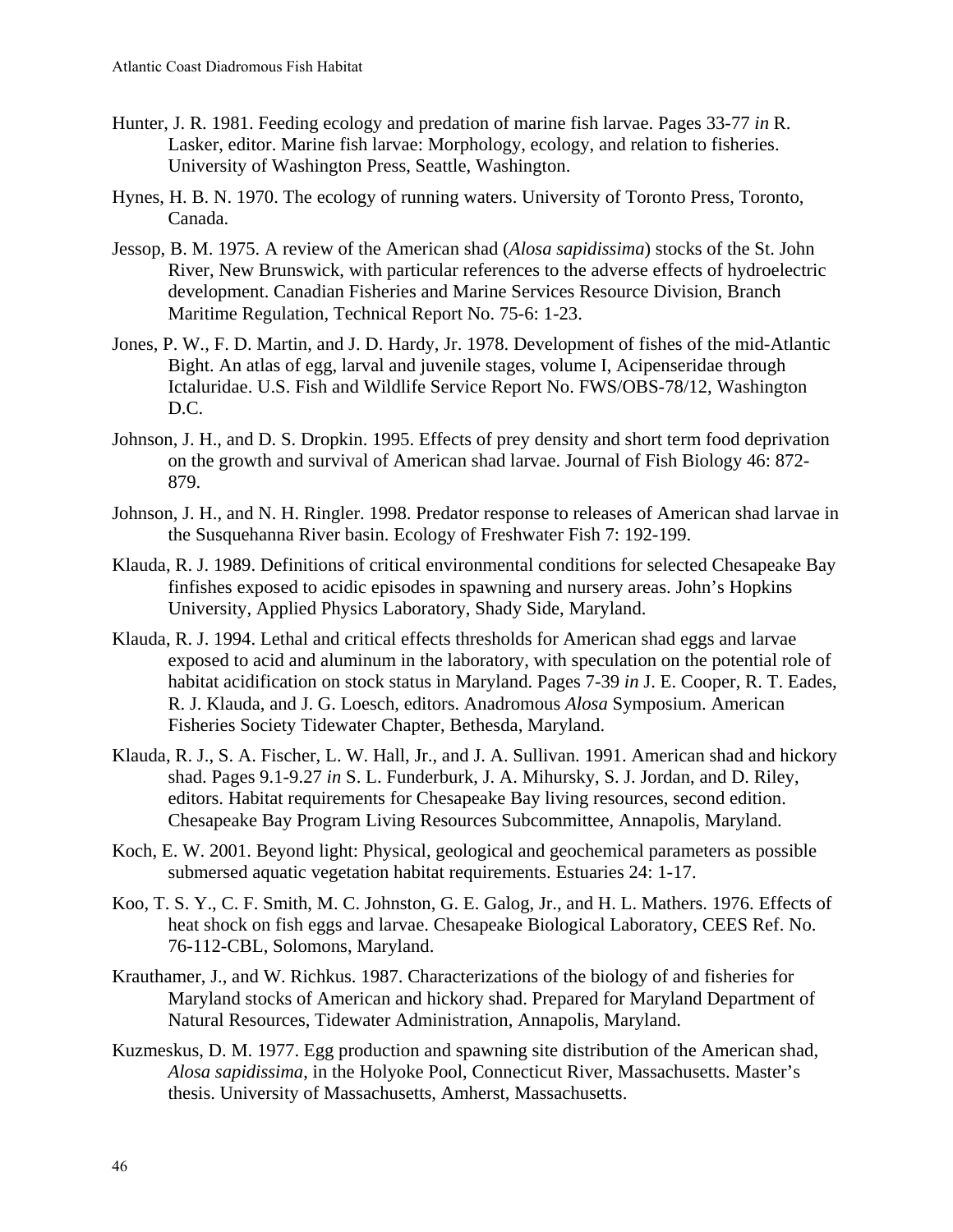- Hunter, J. R. 1981. Feeding ecology and predation of marine fish larvae. Pages 33-77 *in* R. Lasker, editor. Marine fish larvae: Morphology, ecology, and relation to fisheries. University of Washington Press, Seattle, Washington.
- Hynes, H. B. N. 1970. The ecology of running waters. University of Toronto Press, Toronto, Canada.
- Jessop, B. M. 1975. A review of the American shad (*Alosa sapidissima*) stocks of the St. John River, New Brunswick, with particular references to the adverse effects of hydroelectric development. Canadian Fisheries and Marine Services Resource Division, Branch Maritime Regulation, Technical Report No. 75-6: 1-23.
- Jones, P. W., F. D. Martin, and J. D. Hardy, Jr. 1978. Development of fishes of the mid-Atlantic Bight. An atlas of egg, larval and juvenile stages, volume I, Acipenseridae through Ictaluridae. U.S. Fish and Wildlife Service Report No. FWS/OBS-78/12, Washington D.C.
- Johnson, J. H., and D. S. Dropkin. 1995. Effects of prey density and short term food deprivation on the growth and survival of American shad larvae. Journal of Fish Biology 46: 872- 879.
- Johnson, J. H., and N. H. Ringler. 1998. Predator response to releases of American shad larvae in the Susquehanna River basin. Ecology of Freshwater Fish 7: 192-199.
- Klauda, R. J. 1989. Definitions of critical environmental conditions for selected Chesapeake Bay finfishes exposed to acidic episodes in spawning and nursery areas. John's Hopkins University, Applied Physics Laboratory, Shady Side, Maryland.
- Klauda, R. J. 1994. Lethal and critical effects thresholds for American shad eggs and larvae exposed to acid and aluminum in the laboratory, with speculation on the potential role of habitat acidification on stock status in Maryland. Pages 7-39 *in* J. E. Cooper, R. T. Eades, R. J. Klauda, and J. G. Loesch, editors. Anadromous *Alosa* Symposium. American Fisheries Society Tidewater Chapter, Bethesda, Maryland.
- Klauda, R. J., S. A. Fischer, L. W. Hall, Jr., and J. A. Sullivan. 1991. American shad and hickory shad. Pages 9.1-9.27 *in* S. L. Funderburk, J. A. Mihursky, S. J. Jordan, and D. Riley, editors. Habitat requirements for Chesapeake Bay living resources, second edition. Chesapeake Bay Program Living Resources Subcommittee, Annapolis, Maryland.
- Koch, E. W. 2001. Beyond light: Physical, geological and geochemical parameters as possible submersed aquatic vegetation habitat requirements. Estuaries 24: 1-17.
- Koo, T. S. Y., C. F. Smith, M. C. Johnston, G. E. Galog, Jr., and H. L. Mathers. 1976. Effects of heat shock on fish eggs and larvae. Chesapeake Biological Laboratory, CEES Ref. No. 76-112-CBL, Solomons, Maryland.
- Krauthamer, J., and W. Richkus. 1987. Characterizations of the biology of and fisheries for Maryland stocks of American and hickory shad. Prepared for Maryland Department of Natural Resources, Tidewater Administration, Annapolis, Maryland.
- Kuzmeskus, D. M. 1977. Egg production and spawning site distribution of the American shad, *Alosa sapidissima*, in the Holyoke Pool, Connecticut River, Massachusetts. Master's thesis. University of Massachusetts, Amherst, Massachusetts.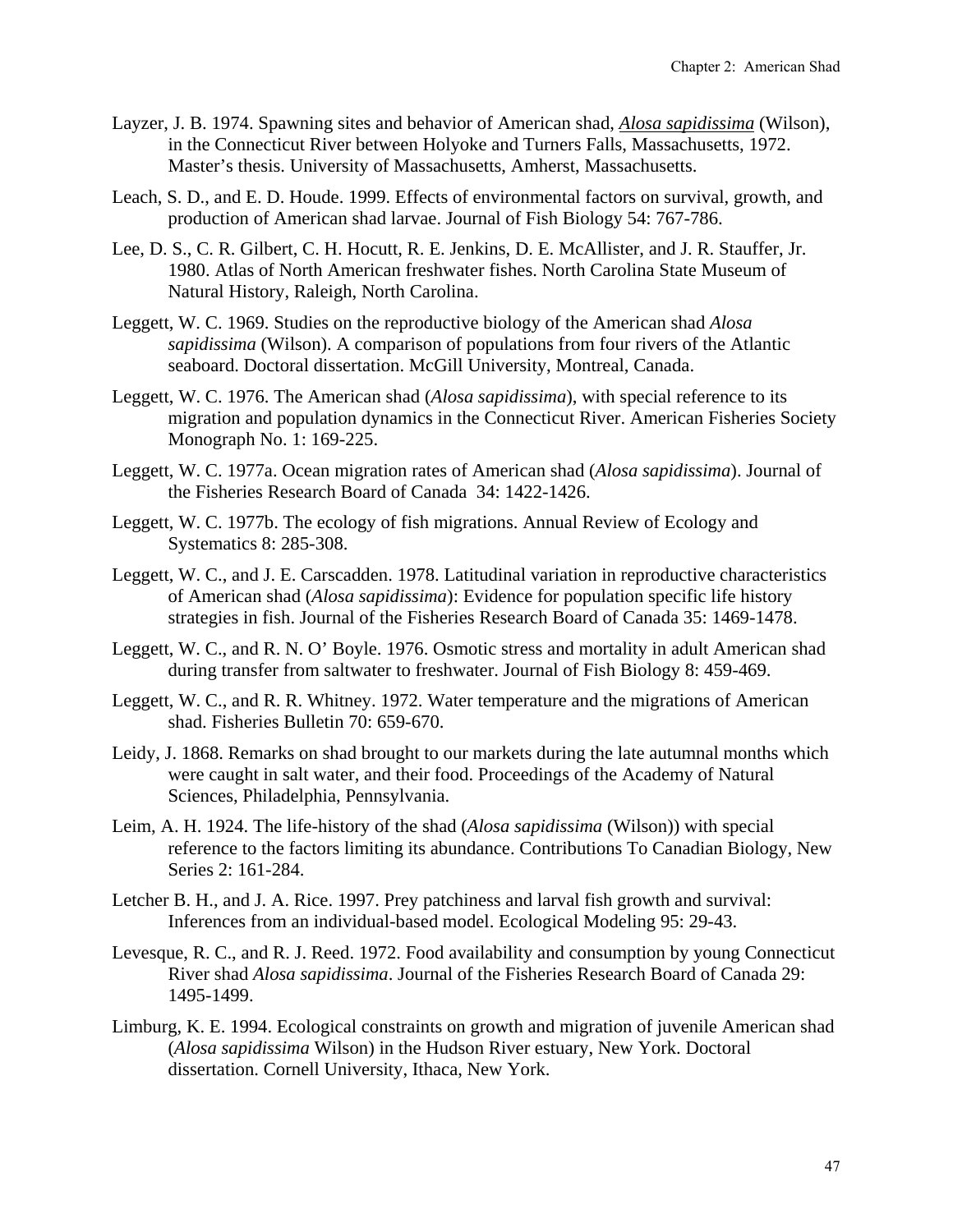- Layzer, J. B. 1974. Spawning sites and behavior of American shad, *Alosa sapidissima* (Wilson), in the Connecticut River between Holyoke and Turners Falls, Massachusetts, 1972. Master's thesis. University of Massachusetts, Amherst, Massachusetts.
- Leach, S. D., and E. D. Houde. 1999. Effects of environmental factors on survival, growth, and production of American shad larvae. Journal of Fish Biology 54: 767-786.
- Lee, D. S., C. R. Gilbert, C. H. Hocutt, R. E. Jenkins, D. E. McAllister, and J. R. Stauffer, Jr. 1980. Atlas of North American freshwater fishes. North Carolina State Museum of Natural History, Raleigh, North Carolina.
- Leggett, W. C. 1969. Studies on the reproductive biology of the American shad *Alosa sapidissima* (Wilson). A comparison of populations from four rivers of the Atlantic seaboard. Doctoral dissertation. McGill University, Montreal, Canada.
- Leggett, W. C. 1976. The American shad (*Alosa sapidissima*), with special reference to its migration and population dynamics in the Connecticut River. American Fisheries Society Monograph No. 1: 169-225.
- Leggett, W. C. 1977a. Ocean migration rates of American shad (*Alosa sapidissima*). Journal of the Fisheries Research Board of Canada 34: 1422-1426.
- Leggett, W. C. 1977b. The ecology of fish migrations. Annual Review of Ecology and Systematics 8: 285-308.
- Leggett, W. C., and J. E. Carscadden. 1978. Latitudinal variation in reproductive characteristics of American shad (*Alosa sapidissima*): Evidence for population specific life history strategies in fish. Journal of the Fisheries Research Board of Canada 35: 1469-1478.
- Leggett, W. C., and R. N. O' Boyle. 1976. Osmotic stress and mortality in adult American shad during transfer from saltwater to freshwater. Journal of Fish Biology 8: 459-469.
- Leggett, W. C., and R. R. Whitney. 1972. Water temperature and the migrations of American shad. Fisheries Bulletin 70: 659-670.
- Leidy, J. 1868. Remarks on shad brought to our markets during the late autumnal months which were caught in salt water, and their food. Proceedings of the Academy of Natural Sciences, Philadelphia, Pennsylvania.
- Leim, A. H. 1924. The life-history of the shad (*Alosa sapidissima* (Wilson)) with special reference to the factors limiting its abundance. Contributions To Canadian Biology, New Series 2: 161-284.
- Letcher B. H., and J. A. Rice. 1997. Prey patchiness and larval fish growth and survival: Inferences from an individual-based model. Ecological Modeling 95: 29-43.
- Levesque, R. C., and R. J. Reed. 1972. Food availability and consumption by young Connecticut River shad *Alosa sapidissima*. Journal of the Fisheries Research Board of Canada 29: 1495-1499.
- Limburg, K. E. 1994. Ecological constraints on growth and migration of juvenile American shad (*Alosa sapidissima* Wilson) in the Hudson River estuary, New York. Doctoral dissertation. Cornell University, Ithaca, New York.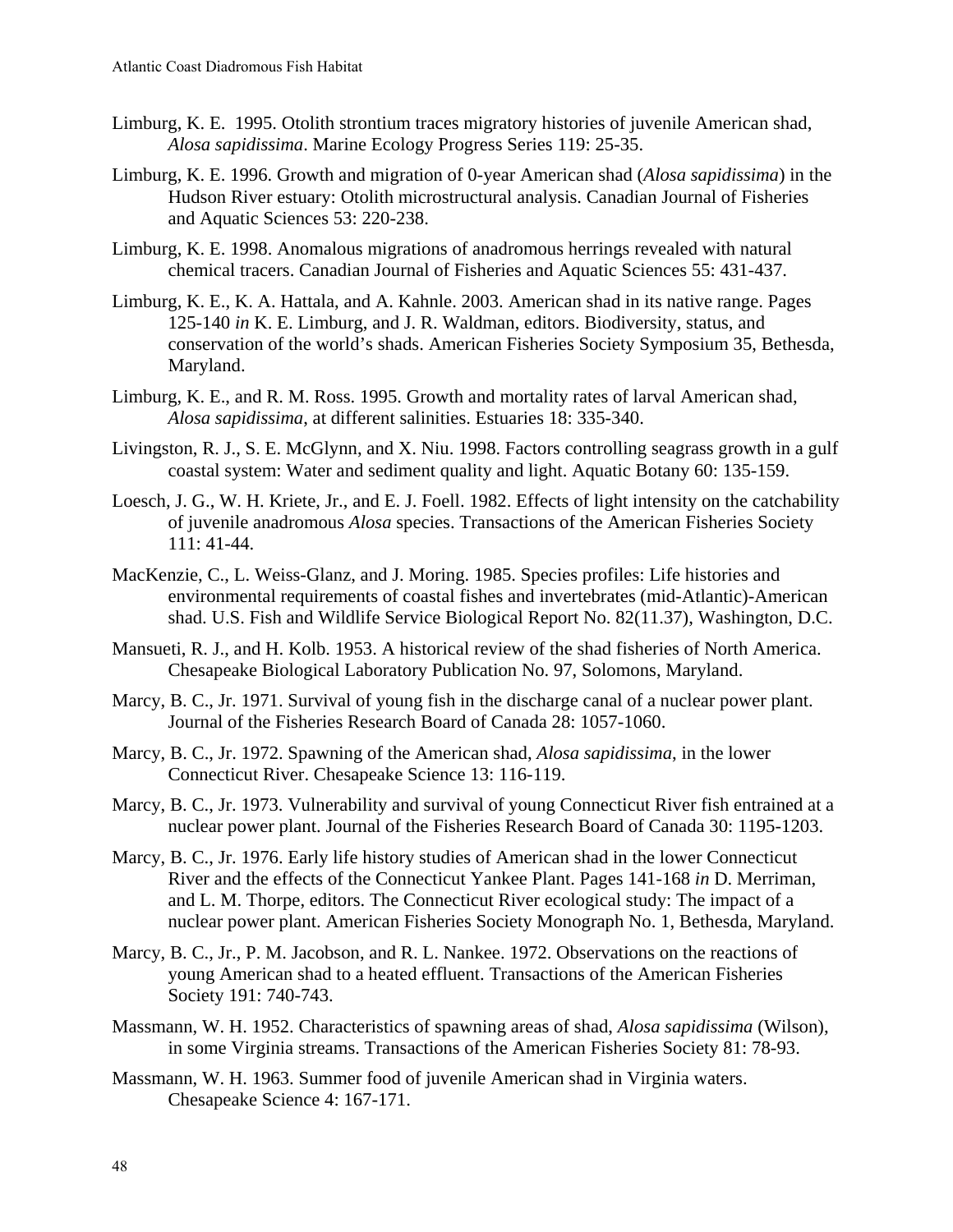- Limburg, K. E. 1995. Otolith strontium traces migratory histories of juvenile American shad, *Alosa sapidissima*. Marine Ecology Progress Series 119: 25-35.
- Limburg, K. E. 1996. Growth and migration of 0-year American shad (*Alosa sapidissima*) in the Hudson River estuary: Otolith microstructural analysis. Canadian Journal of Fisheries and Aquatic Sciences 53: 220-238.
- Limburg, K. E. 1998. Anomalous migrations of anadromous herrings revealed with natural chemical tracers. Canadian Journal of Fisheries and Aquatic Sciences 55: 431-437.
- Limburg, K. E., K. A. Hattala, and A. Kahnle. 2003. American shad in its native range. Pages 125-140 *in* K. E. Limburg, and J. R. Waldman, editors. Biodiversity, status, and conservation of the world's shads. American Fisheries Society Symposium 35, Bethesda, Maryland.
- Limburg, K. E., and R. M. Ross. 1995. Growth and mortality rates of larval American shad, *Alosa sapidissima*, at different salinities. Estuaries 18: 335-340.
- Livingston, R. J., S. E. McGlynn, and X. Niu. 1998. Factors controlling seagrass growth in a gulf coastal system: Water and sediment quality and light. Aquatic Botany 60: 135-159.
- Loesch, J. G., W. H. Kriete, Jr., and E. J. Foell. 1982. Effects of light intensity on the catchability of juvenile anadromous *Alosa* species. Transactions of the American Fisheries Society 111: 41-44.
- MacKenzie, C., L. Weiss-Glanz, and J. Moring. 1985. Species profiles: Life histories and environmental requirements of coastal fishes and invertebrates (mid-Atlantic)-American shad. U.S. Fish and Wildlife Service Biological Report No. 82(11.37), Washington, D.C.
- Mansueti, R. J., and H. Kolb. 1953. A historical review of the shad fisheries of North America. Chesapeake Biological Laboratory Publication No. 97, Solomons, Maryland.
- Marcy, B. C., Jr. 1971. Survival of young fish in the discharge canal of a nuclear power plant. Journal of the Fisheries Research Board of Canada 28: 1057-1060.
- Marcy, B. C., Jr. 1972. Spawning of the American shad, *Alosa sapidissima*, in the lower Connecticut River. Chesapeake Science 13: 116-119.
- Marcy, B. C., Jr. 1973. Vulnerability and survival of young Connecticut River fish entrained at a nuclear power plant. Journal of the Fisheries Research Board of Canada 30: 1195-1203.
- Marcy, B. C., Jr. 1976. Early life history studies of American shad in the lower Connecticut River and the effects of the Connecticut Yankee Plant. Pages 141-168 *in* D. Merriman, and L. M. Thorpe, editors. The Connecticut River ecological study: The impact of a nuclear power plant. American Fisheries Society Monograph No. 1, Bethesda, Maryland.
- Marcy, B. C., Jr., P. M. Jacobson, and R. L. Nankee. 1972. Observations on the reactions of young American shad to a heated effluent. Transactions of the American Fisheries Society 191: 740-743.
- Massmann, W. H. 1952. Characteristics of spawning areas of shad, *Alosa sapidissima* (Wilson), in some Virginia streams. Transactions of the American Fisheries Society 81: 78-93.
- Massmann, W. H. 1963. Summer food of juvenile American shad in Virginia waters. Chesapeake Science 4: 167-171.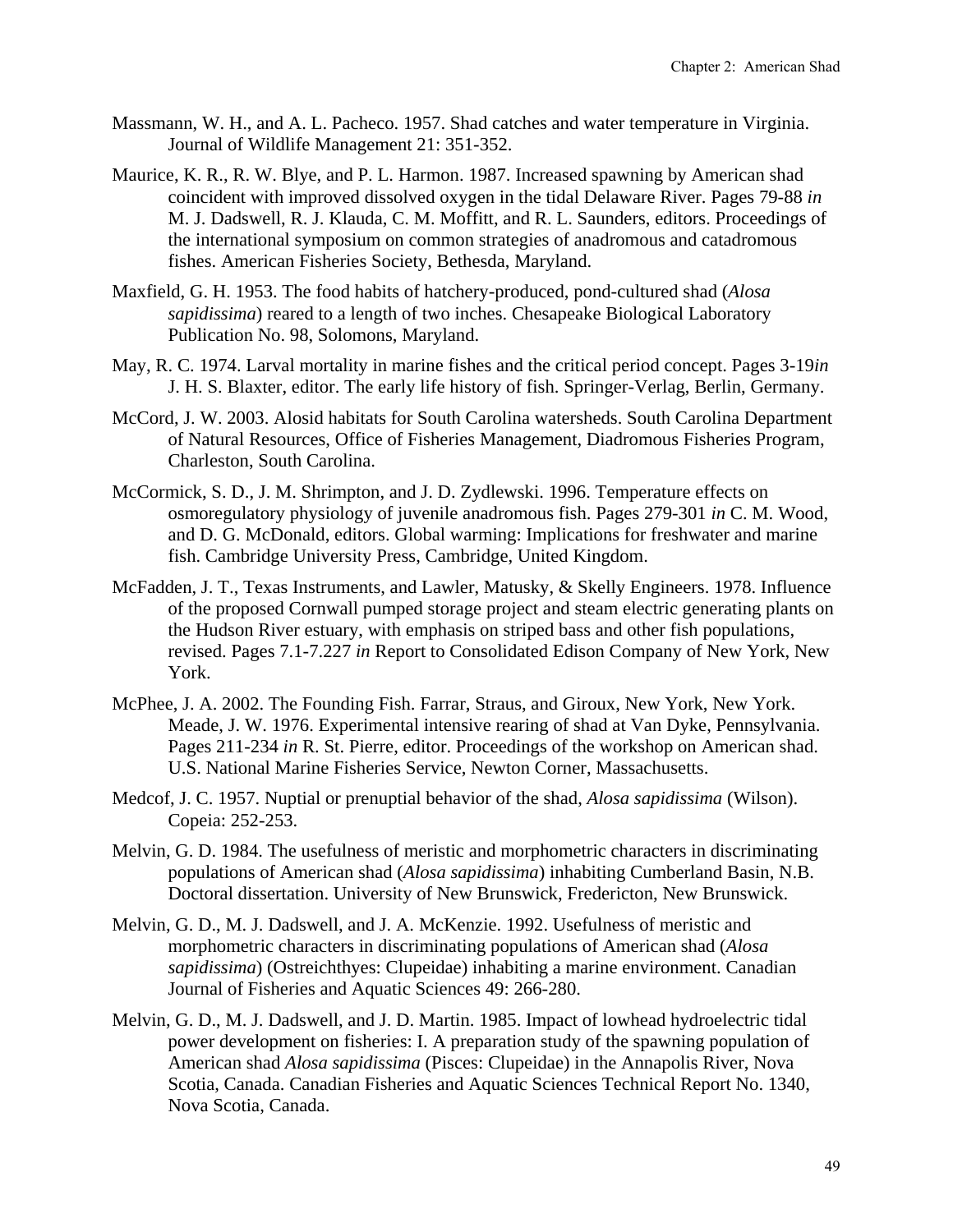- Massmann, W. H., and A. L. Pacheco. 1957. Shad catches and water temperature in Virginia. Journal of Wildlife Management 21: 351-352.
- Maurice, K. R., R. W. Blye, and P. L. Harmon. 1987. Increased spawning by American shad coincident with improved dissolved oxygen in the tidal Delaware River. Pages 79-88 *in* M. J. Dadswell, R. J. Klauda, C. M. Moffitt, and R. L. Saunders, editors. Proceedings of the international symposium on common strategies of anadromous and catadromous fishes. American Fisheries Society, Bethesda, Maryland.
- Maxfield, G. H. 1953. The food habits of hatchery-produced, pond-cultured shad (*Alosa sapidissima*) reared to a length of two inches. Chesapeake Biological Laboratory Publication No. 98, Solomons, Maryland.
- May, R. C. 1974. Larval mortality in marine fishes and the critical period concept. Pages 3-19*in* J. H. S. Blaxter, editor. The early life history of fish. Springer-Verlag, Berlin, Germany.
- McCord, J. W. 2003. Alosid habitats for South Carolina watersheds. South Carolina Department of Natural Resources, Office of Fisheries Management, Diadromous Fisheries Program, Charleston, South Carolina.
- McCormick, S. D., J. M. Shrimpton, and J. D. Zydlewski. 1996. Temperature effects on osmoregulatory physiology of juvenile anadromous fish. Pages 279-301 *in* C. M. Wood, and D. G. McDonald, editors. Global warming: Implications for freshwater and marine fish. Cambridge University Press, Cambridge, United Kingdom.
- McFadden, J. T., Texas Instruments, and Lawler, Matusky, & Skelly Engineers. 1978. Influence of the proposed Cornwall pumped storage project and steam electric generating plants on the Hudson River estuary, with emphasis on striped bass and other fish populations, revised. Pages 7.1-7.227 *in* Report to Consolidated Edison Company of New York, New York.
- McPhee, J. A. 2002. The Founding Fish. Farrar, Straus, and Giroux, New York, New York. Meade, J. W. 1976. Experimental intensive rearing of shad at Van Dyke, Pennsylvania. Pages 211-234 *in* R. St. Pierre, editor. Proceedings of the workshop on American shad. U.S. National Marine Fisheries Service, Newton Corner, Massachusetts.
- Medcof, J. C. 1957. Nuptial or prenuptial behavior of the shad, *Alosa sapidissima* (Wilson). Copeia: 252-253.
- Melvin, G. D. 1984. The usefulness of meristic and morphometric characters in discriminating populations of American shad (*Alosa sapidissima*) inhabiting Cumberland Basin, N.B. Doctoral dissertation. University of New Brunswick, Fredericton, New Brunswick.
- Melvin, G. D., M. J. Dadswell, and J. A. McKenzie. 1992. Usefulness of meristic and morphometric characters in discriminating populations of American shad (*Alosa sapidissima*) (Ostreichthyes: Clupeidae) inhabiting a marine environment. Canadian Journal of Fisheries and Aquatic Sciences 49: 266-280.
- Melvin, G. D., M. J. Dadswell, and J. D. Martin. 1985. Impact of lowhead hydroelectric tidal power development on fisheries: I. A preparation study of the spawning population of American shad *Alosa sapidissima* (Pisces: Clupeidae) in the Annapolis River, Nova Scotia, Canada. Canadian Fisheries and Aquatic Sciences Technical Report No. 1340, Nova Scotia, Canada.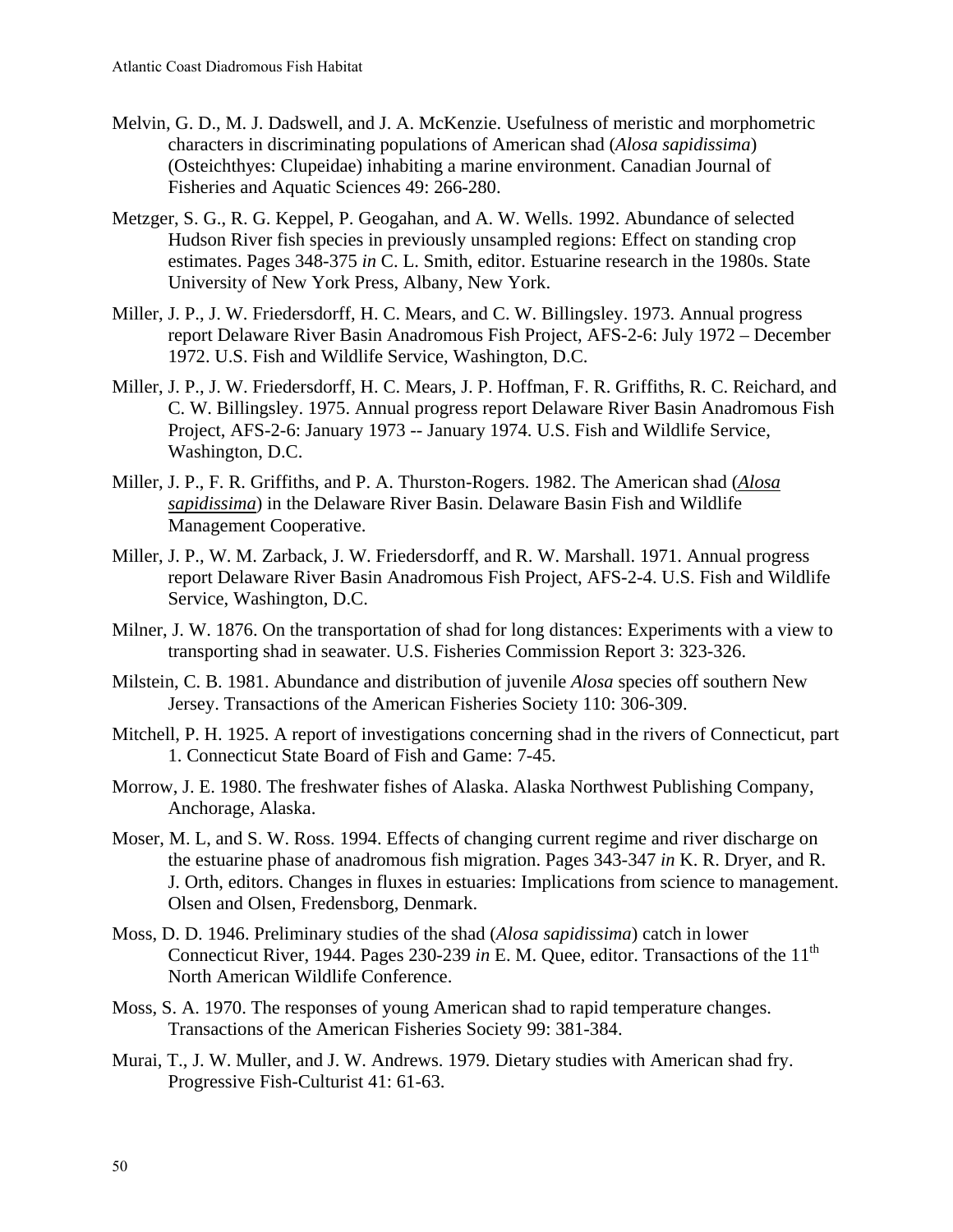- Melvin, G. D., M. J. Dadswell, and J. A. McKenzie. Usefulness of meristic and morphometric characters in discriminating populations of American shad (*Alosa sapidissima*) (Osteichthyes: Clupeidae) inhabiting a marine environment. Canadian Journal of Fisheries and Aquatic Sciences 49: 266-280.
- Metzger, S. G., R. G. Keppel, P. Geogahan, and A. W. Wells. 1992. Abundance of selected Hudson River fish species in previously unsampled regions: Effect on standing crop estimates. Pages 348-375 *in* C. L. Smith, editor. Estuarine research in the 1980s. State University of New York Press, Albany, New York.
- Miller, J. P., J. W. Friedersdorff, H. C. Mears, and C. W. Billingsley. 1973. Annual progress report Delaware River Basin Anadromous Fish Project, AFS-2-6: July 1972 – December 1972. U.S. Fish and Wildlife Service, Washington, D.C.
- Miller, J. P., J. W. Friedersdorff, H. C. Mears, J. P. Hoffman, F. R. Griffiths, R. C. Reichard, and C. W. Billingsley. 1975. Annual progress report Delaware River Basin Anadromous Fish Project, AFS-2-6: January 1973 -- January 1974. U.S. Fish and Wildlife Service, Washington, D.C.
- Miller, J. P., F. R. Griffiths, and P. A. Thurston-Rogers. 1982. The American shad (*Alosa sapidissima*) in the Delaware River Basin. Delaware Basin Fish and Wildlife Management Cooperative.
- Miller, J. P., W. M. Zarback, J. W. Friedersdorff, and R. W. Marshall. 1971. Annual progress report Delaware River Basin Anadromous Fish Project, AFS-2-4. U.S. Fish and Wildlife Service, Washington, D.C.
- Milner, J. W. 1876. On the transportation of shad for long distances: Experiments with a view to transporting shad in seawater. U.S. Fisheries Commission Report 3: 323-326.
- Milstein, C. B. 1981. Abundance and distribution of juvenile *Alosa* species off southern New Jersey. Transactions of the American Fisheries Society 110: 306-309.
- Mitchell, P. H. 1925. A report of investigations concerning shad in the rivers of Connecticut, part 1. Connecticut State Board of Fish and Game: 7-45.
- Morrow, J. E. 1980. The freshwater fishes of Alaska. Alaska Northwest Publishing Company, Anchorage, Alaska.
- Moser, M. L, and S. W. Ross. 1994. Effects of changing current regime and river discharge on the estuarine phase of anadromous fish migration. Pages 343-347 *in* K. R. Dryer, and R. J. Orth, editors. Changes in fluxes in estuaries: Implications from science to management. Olsen and Olsen, Fredensborg, Denmark.
- Moss, D. D. 1946. Preliminary studies of the shad (*Alosa sapidissima*) catch in lower Connecticut River, 1944. Pages 230-239 *in* E. M. Quee, editor. Transactions of the 11<sup>th</sup> North American Wildlife Conference.
- Moss, S. A. 1970. The responses of young American shad to rapid temperature changes. Transactions of the American Fisheries Society 99: 381-384.
- Murai, T., J. W. Muller, and J. W. Andrews. 1979. Dietary studies with American shad fry. Progressive Fish-Culturist 41: 61-63.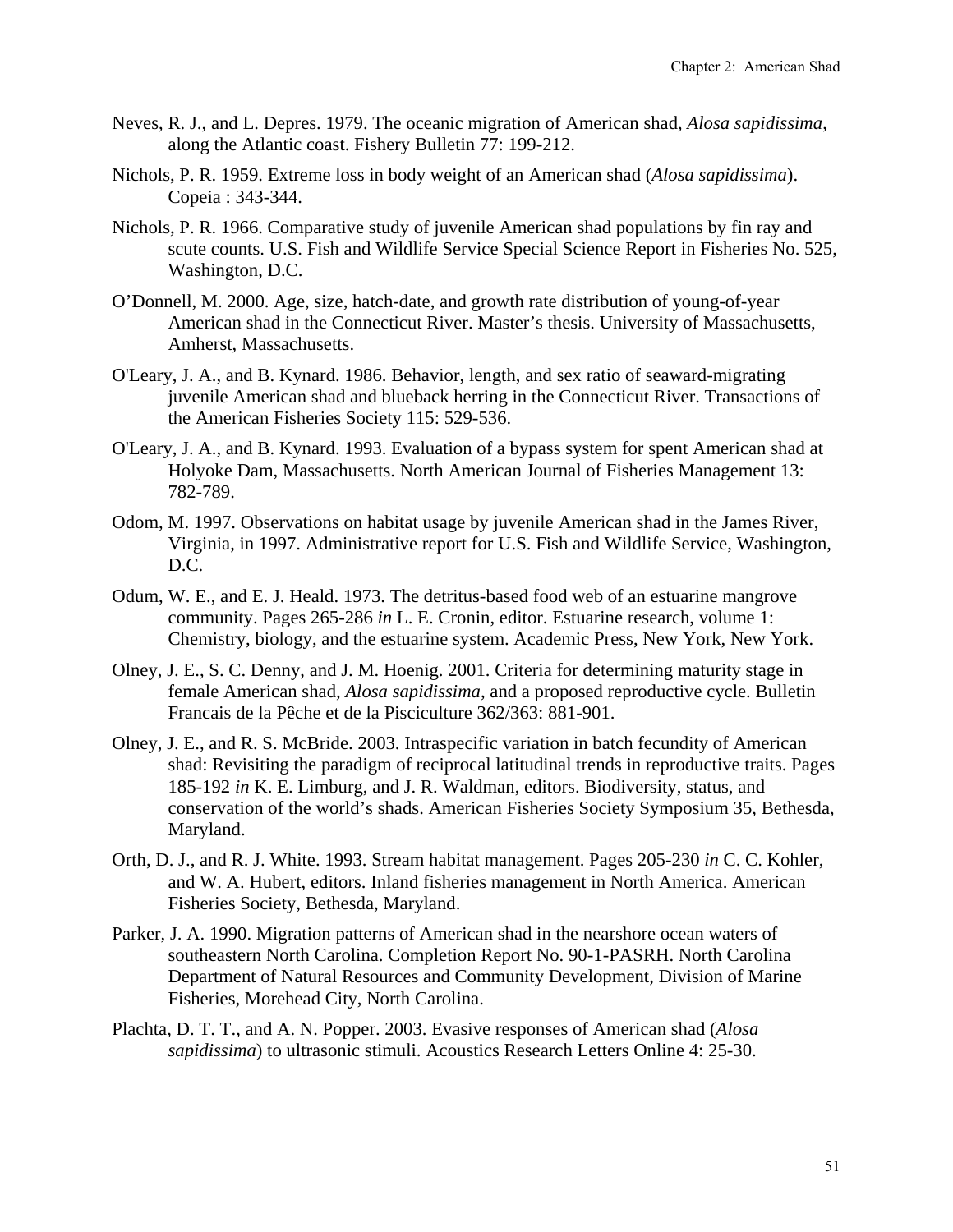- Neves, R. J., and L. Depres. 1979. The oceanic migration of American shad, *Alosa sapidissima*, along the Atlantic coast. Fishery Bulletin 77: 199-212.
- Nichols, P. R. 1959. Extreme loss in body weight of an American shad (*Alosa sapidissima*). Copeia : 343-344.
- Nichols, P. R. 1966. Comparative study of juvenile American shad populations by fin ray and scute counts. U.S. Fish and Wildlife Service Special Science Report in Fisheries No. 525, Washington, D.C.
- O'Donnell, M. 2000. Age, size, hatch-date, and growth rate distribution of young-of-year American shad in the Connecticut River. Master's thesis. University of Massachusetts, Amherst, Massachusetts.
- O'Leary, J. A., and B. Kynard. 1986. Behavior, length, and sex ratio of seaward-migrating juvenile American shad and blueback herring in the Connecticut River. Transactions of the American Fisheries Society 115: 529-536.
- O'Leary, J. A., and B. Kynard. 1993. Evaluation of a bypass system for spent American shad at Holyoke Dam, Massachusetts. North American Journal of Fisheries Management 13: 782-789.
- Odom, M. 1997. Observations on habitat usage by juvenile American shad in the James River, Virginia, in 1997. Administrative report for U.S. Fish and Wildlife Service, Washington, D.C.
- Odum, W. E., and E. J. Heald. 1973. The detritus-based food web of an estuarine mangrove community. Pages 265-286 *in* L. E. Cronin, editor. Estuarine research, volume 1: Chemistry, biology, and the estuarine system. Academic Press, New York, New York.
- Olney, J. E., S. C. Denny, and J. M. Hoenig. 2001. Criteria for determining maturity stage in female American shad, *Alosa sapidissima*, and a proposed reproductive cycle. Bulletin Francais de la Pêche et de la Pisciculture 362/363: 881-901.
- Olney, J. E., and R. S. McBride. 2003. Intraspecific variation in batch fecundity of American shad: Revisiting the paradigm of reciprocal latitudinal trends in reproductive traits. Pages 185-192 *in* K. E. Limburg, and J. R. Waldman, editors. Biodiversity, status, and conservation of the world's shads. American Fisheries Society Symposium 35, Bethesda, Maryland.
- Orth, D. J., and R. J. White. 1993. Stream habitat management. Pages 205-230 *in* C. C. Kohler, and W. A. Hubert, editors. Inland fisheries management in North America. American Fisheries Society, Bethesda, Maryland.
- Parker, J. A. 1990. Migration patterns of American shad in the nearshore ocean waters of southeastern North Carolina. Completion Report No. 90-1-PASRH. North Carolina Department of Natural Resources and Community Development, Division of Marine Fisheries, Morehead City, North Carolina.
- Plachta, D. T. T., and A. N. Popper. 2003. Evasive responses of American shad (*Alosa sapidissima*) to ultrasonic stimuli. Acoustics Research Letters Online 4: 25-30.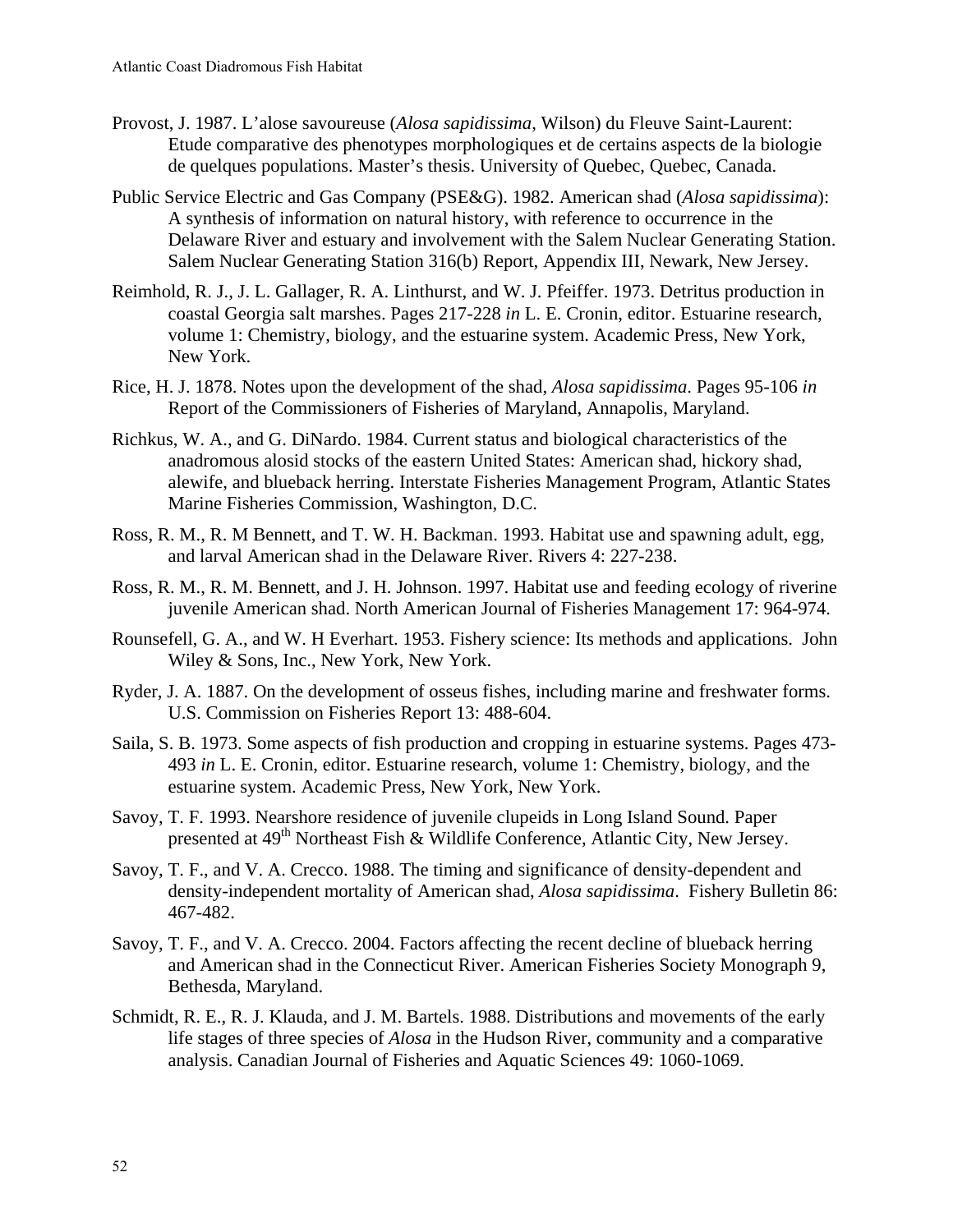- Provost, J. 1987. L'alose savoureuse (*Alosa sapidissima*, Wilson) du Fleuve Saint-Laurent: Etude comparative des phenotypes morphologiques et de certains aspects de la biologie de quelques populations. Master's thesis. University of Quebec, Quebec, Canada.
- Public Service Electric and Gas Company (PSE&G). 1982. American shad (*Alosa sapidissima*): A synthesis of information on natural history, with reference to occurrence in the Delaware River and estuary and involvement with the Salem Nuclear Generating Station. Salem Nuclear Generating Station 316(b) Report, Appendix III, Newark, New Jersey.
- Reimhold, R. J., J. L. Gallager, R. A. Linthurst, and W. J. Pfeiffer. 1973. Detritus production in coastal Georgia salt marshes. Pages 217-228 *in* L. E. Cronin, editor. Estuarine research, volume 1: Chemistry, biology, and the estuarine system. Academic Press, New York, New York.
- Rice, H. J. 1878. Notes upon the development of the shad, *Alosa sapidissima*. Pages 95-106 *in* Report of the Commissioners of Fisheries of Maryland, Annapolis, Maryland.
- Richkus, W. A., and G. DiNardo. 1984. Current status and biological characteristics of the anadromous alosid stocks of the eastern United States: American shad, hickory shad, alewife, and blueback herring. Interstate Fisheries Management Program, Atlantic States Marine Fisheries Commission, Washington, D.C.
- Ross, R. M., R. M Bennett, and T. W. H. Backman. 1993. Habitat use and spawning adult, egg, and larval American shad in the Delaware River. Rivers 4: 227-238.
- Ross, R. M., R. M. Bennett, and J. H. Johnson. 1997. Habitat use and feeding ecology of riverine juvenile American shad. North American Journal of Fisheries Management 17: 964-974.
- Rounsefell, G. A., and W. H Everhart. 1953. Fishery science: Its methods and applications. John Wiley & Sons, Inc., New York, New York.
- Ryder, J. A. 1887. On the development of osseus fishes, including marine and freshwater forms. U.S. Commission on Fisheries Report 13: 488-604.
- Saila, S. B. 1973. Some aspects of fish production and cropping in estuarine systems. Pages 473- 493 *in* L. E. Cronin, editor. Estuarine research, volume 1: Chemistry, biology, and the estuarine system. Academic Press, New York, New York.
- Savoy, T. F. 1993. Nearshore residence of juvenile clupeids in Long Island Sound. Paper presented at 49<sup>th</sup> Northeast Fish & Wildlife Conference, Atlantic City, New Jersey.
- Savoy, T. F., and V. A. Crecco. 1988. The timing and significance of density-dependent and density-independent mortality of American shad, *Alosa sapidissima*. Fishery Bulletin 86: 467-482.
- Savoy, T. F., and V. A. Crecco. 2004. Factors affecting the recent decline of blueback herring and American shad in the Connecticut River. American Fisheries Society Monograph 9, Bethesda, Maryland.
- Schmidt, R. E., R. J. Klauda, and J. M. Bartels. 1988. Distributions and movements of the early life stages of three species of *Alosa* in the Hudson River, community and a comparative analysis. Canadian Journal of Fisheries and Aquatic Sciences 49: 1060-1069.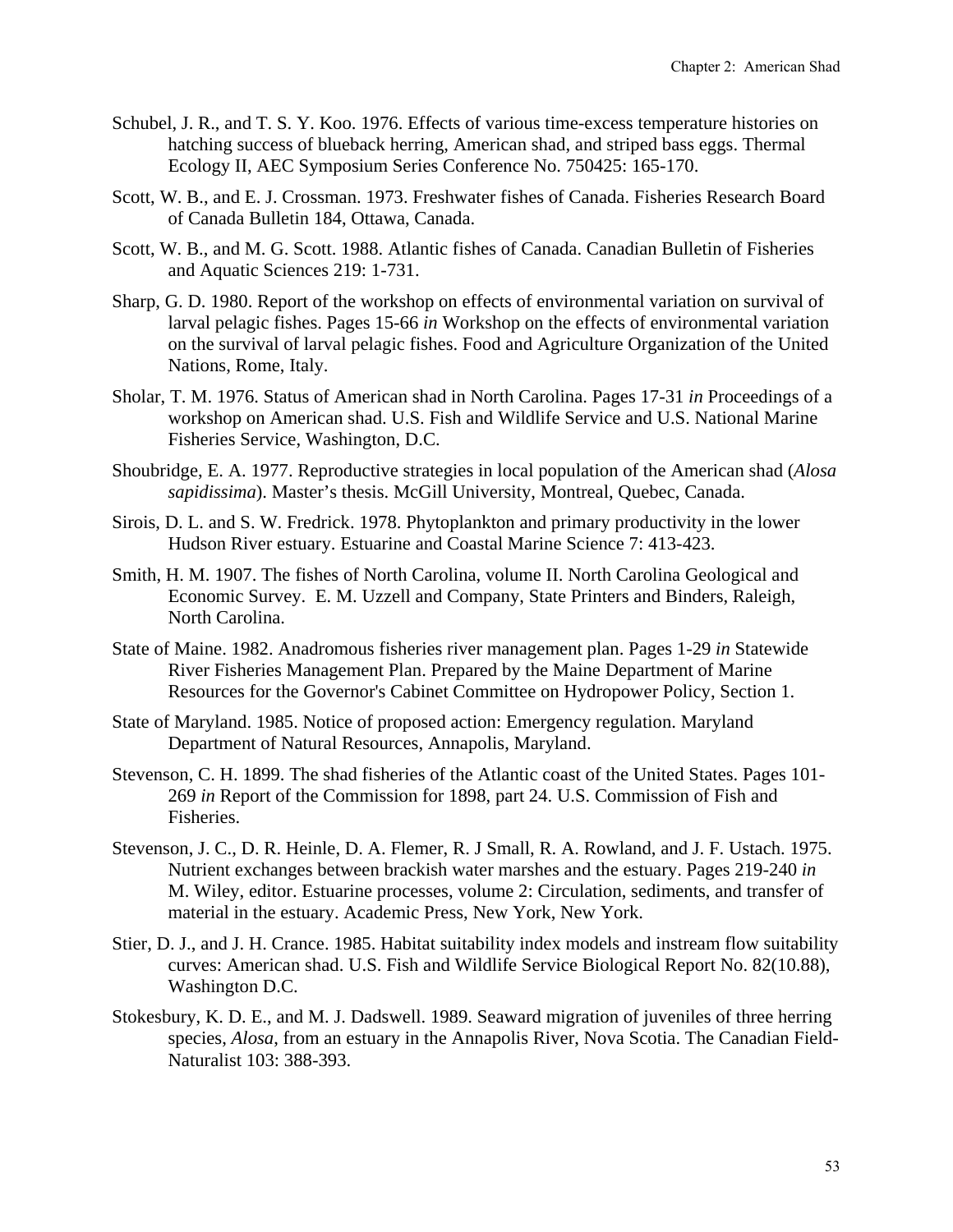- Schubel, J. R., and T. S. Y. Koo. 1976. Effects of various time-excess temperature histories on hatching success of blueback herring, American shad, and striped bass eggs. Thermal Ecology II, AEC Symposium Series Conference No. 750425: 165-170.
- Scott, W. B., and E. J. Crossman. 1973. Freshwater fishes of Canada. Fisheries Research Board of Canada Bulletin 184, Ottawa, Canada.
- Scott, W. B., and M. G. Scott. 1988. Atlantic fishes of Canada. Canadian Bulletin of Fisheries and Aquatic Sciences 219: 1-731.
- Sharp, G. D. 1980. Report of the workshop on effects of environmental variation on survival of larval pelagic fishes. Pages 15-66 *in* Workshop on the effects of environmental variation on the survival of larval pelagic fishes. Food and Agriculture Organization of the United Nations, Rome, Italy.
- Sholar, T. M. 1976. Status of American shad in North Carolina. Pages 17-31 *in* Proceedings of a workshop on American shad. U.S. Fish and Wildlife Service and U.S. National Marine Fisheries Service, Washington, D.C.
- Shoubridge, E. A. 1977. Reproductive strategies in local population of the American shad (*Alosa sapidissima*). Master's thesis. McGill University, Montreal, Quebec, Canada.
- Sirois, D. L. and S. W. Fredrick. 1978. Phytoplankton and primary productivity in the lower Hudson River estuary. Estuarine and Coastal Marine Science 7: 413-423.
- Smith, H. M. 1907. The fishes of North Carolina, volume II. North Carolina Geological and Economic Survey. E. M. Uzzell and Company, State Printers and Binders, Raleigh, North Carolina.
- State of Maine. 1982. Anadromous fisheries river management plan. Pages 1-29 *in* Statewide River Fisheries Management Plan. Prepared by the Maine Department of Marine Resources for the Governor's Cabinet Committee on Hydropower Policy, Section 1.
- State of Maryland. 1985. Notice of proposed action: Emergency regulation. Maryland Department of Natural Resources, Annapolis, Maryland.
- Stevenson, C. H. 1899. The shad fisheries of the Atlantic coast of the United States. Pages 101- 269 *in* Report of the Commission for 1898, part 24. U.S. Commission of Fish and Fisheries.
- Stevenson, J. C., D. R. Heinle, D. A. Flemer, R. J Small, R. A. Rowland, and J. F. Ustach. 1975. Nutrient exchanges between brackish water marshes and the estuary. Pages 219-240 *in* M. Wiley, editor. Estuarine processes, volume 2: Circulation, sediments, and transfer of material in the estuary. Academic Press, New York, New York.
- Stier, D. J., and J. H. Crance. 1985. Habitat suitability index models and instream flow suitability curves: American shad. U.S. Fish and Wildlife Service Biological Report No. 82(10.88), Washington D.C.
- Stokesbury, K. D. E., and M. J. Dadswell. 1989. Seaward migration of juveniles of three herring species, *Alosa*, from an estuary in the Annapolis River, Nova Scotia. The Canadian Field-Naturalist 103: 388-393.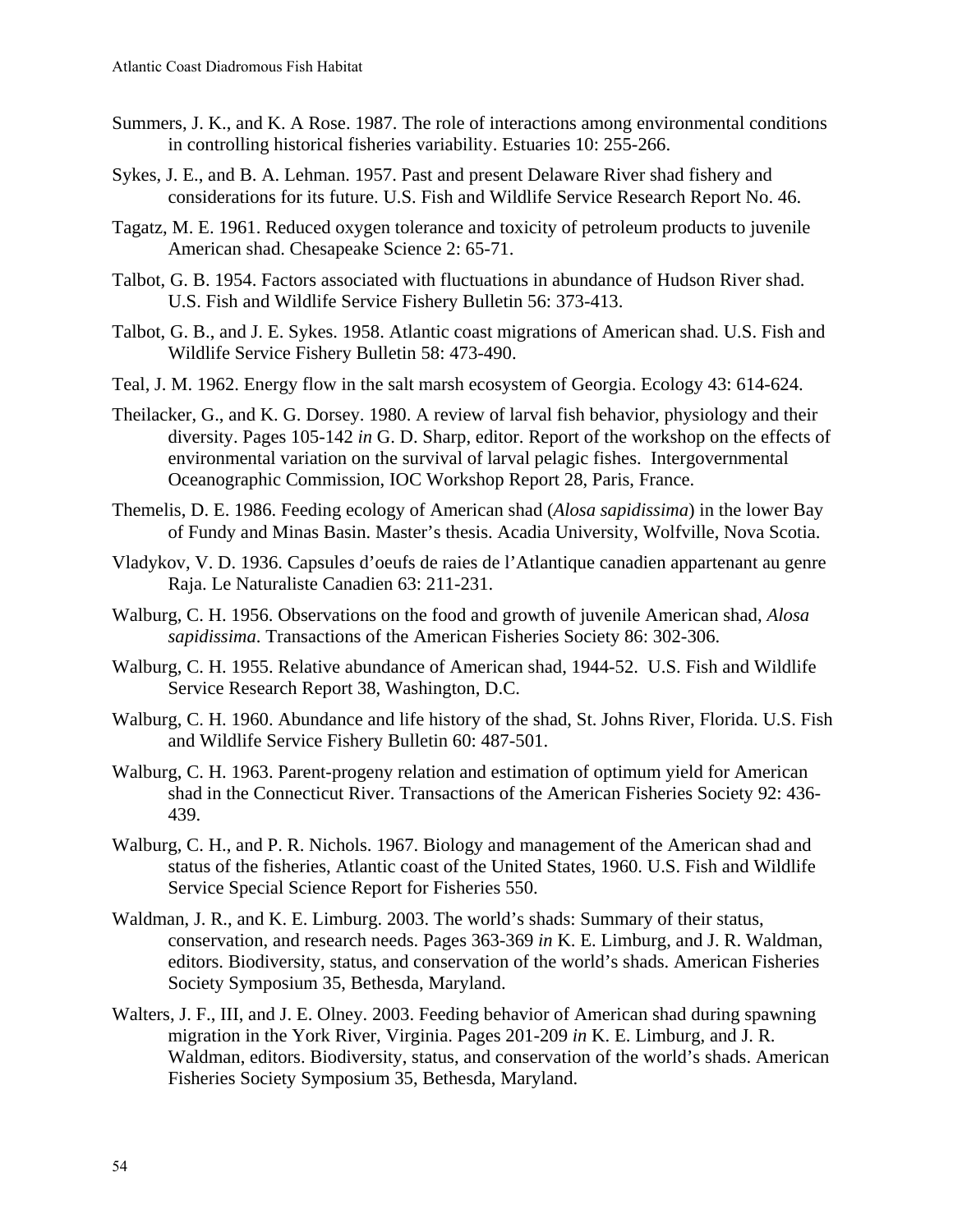- Summers, J. K., and K. A Rose. 1987. The role of interactions among environmental conditions in controlling historical fisheries variability. Estuaries 10: 255-266.
- Sykes, J. E., and B. A. Lehman. 1957. Past and present Delaware River shad fishery and considerations for its future. U.S. Fish and Wildlife Service Research Report No. 46.
- Tagatz, M. E. 1961. Reduced oxygen tolerance and toxicity of petroleum products to juvenile American shad. Chesapeake Science 2: 65-71.
- Talbot, G. B. 1954. Factors associated with fluctuations in abundance of Hudson River shad. U.S. Fish and Wildlife Service Fishery Bulletin 56: 373-413.
- Talbot, G. B., and J. E. Sykes. 1958. Atlantic coast migrations of American shad. U.S. Fish and Wildlife Service Fishery Bulletin 58: 473-490.
- Teal, J. M. 1962. Energy flow in the salt marsh ecosystem of Georgia. Ecology 43: 614-624.
- Theilacker, G., and K. G. Dorsey. 1980. A review of larval fish behavior, physiology and their diversity. Pages 105-142 *in* G. D. Sharp, editor. Report of the workshop on the effects of environmental variation on the survival of larval pelagic fishes. Intergovernmental Oceanographic Commission, IOC Workshop Report 28, Paris, France.
- Themelis, D. E. 1986. Feeding ecology of American shad (*Alosa sapidissima*) in the lower Bay of Fundy and Minas Basin. Master's thesis. Acadia University, Wolfville, Nova Scotia.
- Vladykov, V. D. 1936. Capsules d'oeufs de raies de l'Atlantique canadien appartenant au genre Raja. Le Naturaliste Canadien 63: 211-231.
- Walburg, C. H. 1956. Observations on the food and growth of juvenile American shad, *Alosa sapidissima*. Transactions of the American Fisheries Society 86: 302-306.
- Walburg, C. H. 1955. Relative abundance of American shad, 1944-52. U.S. Fish and Wildlife Service Research Report 38, Washington, D.C.
- Walburg, C. H. 1960. Abundance and life history of the shad, St. Johns River, Florida. U.S. Fish and Wildlife Service Fishery Bulletin 60: 487-501.
- Walburg, C. H. 1963. Parent-progeny relation and estimation of optimum yield for American shad in the Connecticut River. Transactions of the American Fisheries Society 92: 436- 439.
- Walburg, C. H., and P. R. Nichols. 1967. Biology and management of the American shad and status of the fisheries, Atlantic coast of the United States, 1960. U.S. Fish and Wildlife Service Special Science Report for Fisheries 550.
- Waldman, J. R., and K. E. Limburg. 2003. The world's shads: Summary of their status, conservation, and research needs. Pages 363-369 *in* K. E. Limburg, and J. R. Waldman, editors. Biodiversity, status, and conservation of the world's shads. American Fisheries Society Symposium 35, Bethesda, Maryland.
- Walters, J. F., III, and J. E. Olney. 2003. Feeding behavior of American shad during spawning migration in the York River, Virginia. Pages 201-209 *in* K. E. Limburg, and J. R. Waldman, editors. Biodiversity, status, and conservation of the world's shads. American Fisheries Society Symposium 35, Bethesda, Maryland.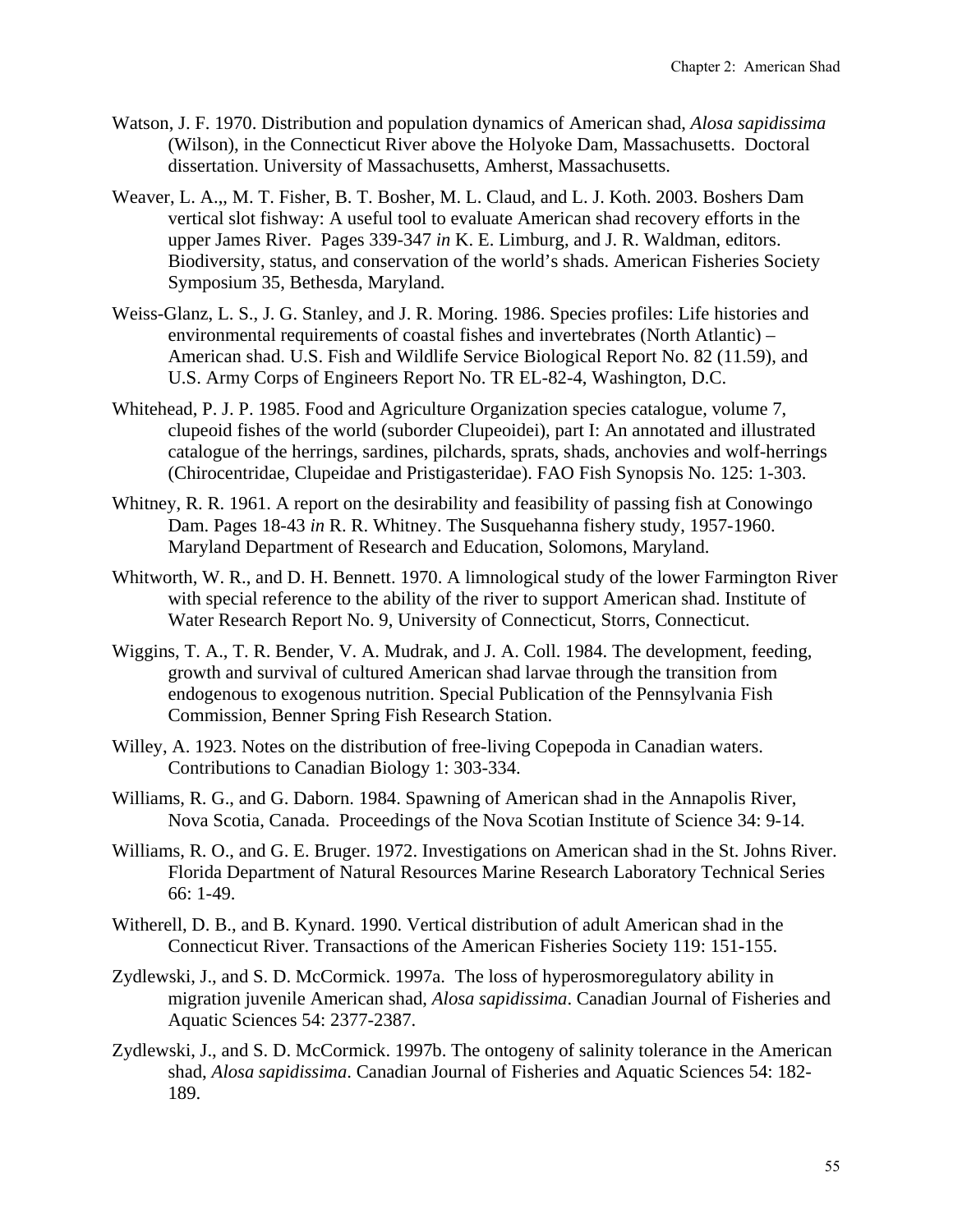- Watson, J. F. 1970. Distribution and population dynamics of American shad, *Alosa sapidissima* (Wilson), in the Connecticut River above the Holyoke Dam, Massachusetts. Doctoral dissertation. University of Massachusetts, Amherst, Massachusetts.
- Weaver, L. A.,, M. T. Fisher, B. T. Bosher, M. L. Claud, and L. J. Koth. 2003. Boshers Dam vertical slot fishway: A useful tool to evaluate American shad recovery efforts in the upper James River. Pages 339-347 *in* K. E. Limburg, and J. R. Waldman, editors. Biodiversity, status, and conservation of the world's shads. American Fisheries Society Symposium 35, Bethesda, Maryland.
- Weiss-Glanz, L. S., J. G. Stanley, and J. R. Moring. 1986. Species profiles: Life histories and environmental requirements of coastal fishes and invertebrates (North Atlantic) – American shad. U.S. Fish and Wildlife Service Biological Report No. 82 (11.59), and U.S. Army Corps of Engineers Report No. TR EL-82-4, Washington, D.C.
- Whitehead, P. J. P. 1985. Food and Agriculture Organization species catalogue, volume 7, clupeoid fishes of the world (suborder Clupeoidei), part I: An annotated and illustrated catalogue of the herrings, sardines, pilchards, sprats, shads, anchovies and wolf-herrings (Chirocentridae, Clupeidae and Pristigasteridae). FAO Fish Synopsis No. 125: 1-303.
- Whitney, R. R. 1961. A report on the desirability and feasibility of passing fish at Conowingo Dam. Pages 18-43 *in* R. R. Whitney. The Susquehanna fishery study, 1957-1960. Maryland Department of Research and Education, Solomons, Maryland.
- Whitworth, W. R., and D. H. Bennett. 1970. A limnological study of the lower Farmington River with special reference to the ability of the river to support American shad. Institute of Water Research Report No. 9, University of Connecticut, Storrs, Connecticut.
- Wiggins, T. A., T. R. Bender, V. A. Mudrak, and J. A. Coll. 1984. The development, feeding, growth and survival of cultured American shad larvae through the transition from endogenous to exogenous nutrition. Special Publication of the Pennsylvania Fish Commission, Benner Spring Fish Research Station.
- Willey, A. 1923. Notes on the distribution of free-living Copepoda in Canadian waters. Contributions to Canadian Biology 1: 303-334.
- Williams, R. G., and G. Daborn. 1984. Spawning of American shad in the Annapolis River, Nova Scotia, Canada. Proceedings of the Nova Scotian Institute of Science 34: 9-14.
- Williams, R. O., and G. E. Bruger. 1972. Investigations on American shad in the St. Johns River. Florida Department of Natural Resources Marine Research Laboratory Technical Series 66: 1-49.
- Witherell, D. B., and B. Kynard. 1990. Vertical distribution of adult American shad in the Connecticut River. Transactions of the American Fisheries Society 119: 151-155.
- Zydlewski, J., and S. D. McCormick. 1997a. The loss of hyperosmoregulatory ability in migration juvenile American shad, *Alosa sapidissima*. Canadian Journal of Fisheries and Aquatic Sciences 54: 2377-2387.
- Zydlewski, J., and S. D. McCormick. 1997b. The ontogeny of salinity tolerance in the American shad, *Alosa sapidissima*. Canadian Journal of Fisheries and Aquatic Sciences 54: 182- 189.